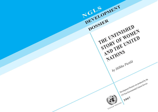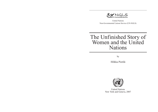

United Nations Non-Governmental Liaison Service (UN-NGLS)

# The Unfinished Story of Women and the United Nations

by

Hilkka Pietilä



United Nations New York and Geneva, 2007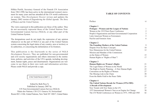Hilkka Pietilä, Secretary General of the Finnish UN Association from 1963-1990, has been active in the international women's movement for many years and has attended all the UN world conferences on women. This *Development Dossier* revises and updates the January 2002 version of *Engendering the Global Agenda: The Story of Women and the United Nations*.

The views expressed in this publication are those of the author. They do not necessarily represent those of the United Nations Non-Governmental Liaison Service (NGLS), or any other part of the United Nations System.

The designations used do not imply the expression of any opinion whatsoever on the part of NGLS or any part of the United Nations system concerning the legal status of any country, area or territory or its authorities, or concerning the delimitation of its frontiers.

This publication is the fourteenth in the series of NGLS *Development Dossiers*. They are published for non-governmental and civil society organizations and others interested in the institutions, policies, and activities of the UN's agenda, including development, human rights, peace and disarmament. Organizations are welcome to use them in their own work and information activities. Please credit NGLS and provide a copy.

# UNCTAD/NGLS/2007/1

Edited by Beth Peoc'h Published in January 2007 by UN Non-Governmental Liaison Service (NGLS) Palais des Nations, CH-1211 Geneva 10, Switzerland Room DC1-1106, United Nations, New York NY 10017, United States

#### **TABLE OF CONTENTS**

| Preface                                                   | vi             |
|-----------------------------------------------------------|----------------|
| <b>Chapter 1</b>                                          |                |
| Prologue—Women and the League of Nations                  | $\mathbf{1}$   |
| Women at the 1919 Paris Peace Conference                  | $\overline{c}$ |
| People's Organizations and Inter-Governmental Cooperation | $\overline{3}$ |
| Latin American Women as Forerunners                       | 5              |
| Pacifist and Feminist Aims                                | 6              |
| <b>Chapter 2</b>                                          |                |
| The Founding Mothers of the United Nations                | 9              |
| Dispute Over the Basic Concepts                           | 10             |
| New Dimensions for the United Nations                     | 12             |
| Mission and Mandate of the Commission                     |                |
| on the Status of Women                                    | 15             |
| Human Rights or "Rights of Man"?                          | 17             |
| <b>Chapter 3</b>                                          |                |
| <b>Human Rights are Women's Rights</b>                    | 21             |
| The Legal Status of Women in the World                    | 21             |
| The Right to Family Planning-A New Human Right            | 22             |
| Convention on the Rights of Women                         | 27             |
| The Missing Link in the Chain                             | 30             |
| From the Battle Field to the Peace Table                  | 33             |
| <b>Chapter 4</b>                                          |                |
| The United Nations Decade for Women (1976-1985):          |                |
| <b>A Decade of Development</b>                            | 37             |
| New Trends with New States in the UN                      | 37             |
| 1975 International Women's Year as an Engine for Change   | 38             |
| The UN World Conferences on Women in 1975, 1980 and 1985  | 42             |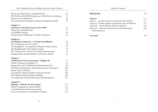iv

*The Unfinished Story of Women and the United Nations*

| Review and Appraisal as a Regular Practice               | 45  |
|----------------------------------------------------------|-----|
| INSTRAW and UNIFEM Emerge out of the Mexico Conference   | 47  |
| Women's Own Global Fora                                  | 49  |
| The United Nations Decade for Women Changed the World    | 54  |
| <b>Chapter 5</b>                                         |     |
| All Issues are Women's Issues in the 1990s               | 57  |
| Women for a Healthy Planet                               | 57  |
| An Infallible Strategy                                   | 59  |
| Diving into the Mainstream of World Conferences          | 62  |
| <b>Chapter 6</b>                                         |     |
| The Beijing Conference—A Grand Consolidation             | 69  |
| The Greatest Success of All Time                         | 70  |
| The BeijingPFA-An Agenda for Women's Empowerment         | 72  |
| The Breakthrough of the Gender Concept                   | 75  |
| The UN System as a Pioneer in Gender Mainstreaming       | 79  |
| Reorganization and Reorientation of Women's Worlds       | 82  |
| <b>Chapter 7</b>                                         |     |
| Celebrating 30 Years of Progress-Beijing+10              | 91  |
| Global Consensus for Beijing+10                          | 92  |
| Beijing PFA and the Millennium Development Goals         | 96  |
| The Political Declaration: Recommitment and Continuation | 100 |
| Women and UN Reform                                      | 103 |
| Governments' Reports Double Checked by NGOs              | 104 |
| NGO Reports Reflect Women's Realities                    | 106 |
| An Experiment of Global Democracy through Internet       | 110 |
| <b>Chapter 8</b>                                         |     |
| <b>Epilogue—Will the World Change?</b>                   | 113 |
| Women Changing the United Nations                        | 113 |
| A Global Women's Movement Created                        | 117 |
| Every Government is Accountable to Women                 | 119 |

| <b>Bibliography</b>                                  | 123 |
|------------------------------------------------------|-----|
| Annexes                                              | 131 |
| Annex I—An Open Letter to the Women of the World     | 131 |
| Annex II—Gender Equality Architecture and UN Reforms | 133 |
| Annex III—United Nations World Conferences           | 146 |
| Annex IV—Selected United Nations and International   | 150 |
| <b>NGO Resources</b>                                 |     |

*Table of Contents*

**Acronyms** 158

v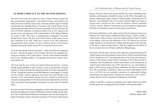# **AUTHOR'S PREFACE TO THE SECOND EDITION**

This book covers more than eighty-five years of history between women and inter-governmental organizations. Unrecorded by history and untold by the media, this book recalls the success story of women and the League of Nations and describes the unfolding history of women at the United Nations for the advancement and empowerment of women, especially in the 30 years since the First UN World Conference on Women in Mexico City in 1975, and up to the ten-year review and appraisal of the implementation of the Beijing Platform for Action in 2005. Thus, this is a complementary monograph to the book *Making Women Matter: The Role of the United Nations*, which *Jeanne Vickers* and I published in the early 1990s and a revision of the 2002 publication *Engendering the Global Agenda: The Story of Women and the United Nations*, produced as the tenth volume in the NGLS *Development Dossier*series.

It was the international women's movement—which was itself in the making at the time—that had an impact on the foresight reflected in the principles governing the creation of the United Nations. All due credit should be therefore given to the "founding mothers" of cooperation between the women's movement and the UN.

This book tells the story of how the United Nations has become a womenfriendly global institution in spite of being a forum of governments, the great majority of which until lately has reflected primarily the visions and aspirations of men. Through the strenuous and skilful diplomacy and struggles of women over the decades, women's aspirations and visions have been brought to the forefront of the international agenda and have resulted in declarations, covenants and programmes for the advancement and empowerment of women, which go beyond existing legislation and policies in most of the UN Member **States**.

In recent years the UN has been undergoing a system-wide reform process that started at the highest level with the Millennium Summit in 2000, and the adoption of the United Nations Millennium Declaration, and is far from being completed. The global women's movement around the UN has been following this

process with great interest and concern and they have been undertaking many initiatives and proposals on behalf of women. In July 2006 a thoroughly considered, comprehensive paper, entitled "Gender Equality Architecture and UN Reforms," was submitted to the UN Secretary-General's High Level Panel on System-wide Coherence by the Center for Women's Global Leadership (CWGL) and the Women's Environment and Development Organization (WEDO). It is attached as Annex II to this edition of the *Dossier*.

My former publications on this subject and also this *Development Dossier* are related to the United Nations Intellectual History Project, which is, finally, a written history of the economic, social and cultural activities of the UN system in the making. Until now this dimension of the UN's history has not been taught, studied, nor researched in the colleges and universities of the world due to the lack of written/recorded history. I hope this updated second edition of the *Development Dossier* will help contribute to filling this gap.

This book is also the latest outcome of the long-term cooperation between the United Nations Non-Governmental Liaison Service (NGLS) and myself from NGLS's inception in 1975, first during the years of my work as the Secretary-General of the Finnish United Nations Association (1963-1990) and then in connection with the publication of books and booklets on the advancement of women by the United Nations since 1985. Therefore my very warm thanks go again to NGLS and my long-term friend, collaborator and NGLS Coordinator, *Tony Hill*. In particular I would like to express my most cordial thanks to *Beth Peoc'h* of NGLS for her invaluable cooperation in substantially editing, streamlining and linguistically finishing this manuscript, and to *Robert-Anthony Bunoan* for his cooperation in finalizing the manuscript.

Finally I would like to express my gratitude to the United Nations and NGLS for their generosity in making this book available to all interested readers.

> Hilkka Pietilä Helsinki, January 2007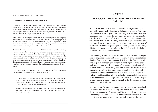## *H.E. Sheikha Haya Rashed Al Khalifa:*

#### **…to empower women to lead their lives.**

"I believe it is the common responsibility of you, the Member States, to make the General Assembly and the United Nations even more effective. As efforts to revitalize the General Assembly are under way, we must not lose sight of the main purpose of these actions: to meet the rising expectations of the hundreds of millions of peoples around the world.

"We have a challenging task to meet their expectations; those that are poor, malnourished, illiterate or victims of disease…We have a challenging task to ensure their economic and social security which is just as important as their political and military security… We have a challenging task to liberate them from want while seeking to liberate them from fear…

"I would also like to underline that over half the world's population, namely women, typically have less access to health care, employment, decision making and property ownership. This disparity needs to be addressed so that women and men can enjoy the same opportunities, the same rights, and the same responsibilities in all aspects of life. To promote gender equality, we need to empower women so that they have more autonomy to lead their lives. To achieve these goals it is essential that we work closely together, so that together, we can promote human rights and achieve sustainable development."

*—President of the 61st Session of the UN General Assembly, Sheikha Haya Rashed Al Khalifa, speaking on 12 September 2006*

Sheikha Haya from Bahrain is a champion of women's rights, particularly in the legal sphere and defending women before the Islamic sharia courts in her country. She is also an advocate of a progressive interpretation of Islamic texts as they apply to women.

In 2006 she was elected President of the 61st session of the UN General Assembly, and is the third woman to hold this position in the history of the United Nations.

# **Chapter 1**

## **PROLOGUE—WOMEN AND THE LEAGUE OF NATIONS**

In the 1920s and 1930s women's international organizations, which were still young, had interesting collaboration with the first intergovernmental peace organization, the League of Nations. This collaboration also gave them the necessary experience for participating effectively in the process of the founding of the United Nations after the Second World War. This early history of engendering inter-governmental politics attracted, surprisingly late, the interest of researchers first at the beginning of the 1990s (Miller, 1992). During this time the process of engendering the global agenda also led to a number of irreversible achievements.

The founding of the League of Nations in 1919 marked the beginning of organized and institutionalized inter-governmental collaboration in a form that was unprecedented. This was the first step in joint foreign policy between governments toward supra-national goals such as peace and security—instead of each nation merely defending its own individual interests against the interests of others. Women immediately realized the importance of such cooperation and had good reason to become interested in it as it aimed at ending wars and violence, and the settlement of disputes through negotiations, which corresponded with women's yearning for peace. This desire was particularly strong in people's minds right after the destruction and horrors of the First World War.

Another reason for women's commitment to inter-governmental collaboration right from the beginning was their firm belief in the fact that the advancement of women in different countries required governmental policies and democratic opportunities for women to influence those policies. Women were united across borders as they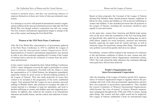worked to promote peace, and they saw promising chances to empower themselves in these new forms of inter-governmental cooperation.

It is amazing to see how well-prepared international women's organizations influenced the inter-governmental process right after the First World War even though women's cooperation was still very young. The first women's international organizations began to emerge at the turn of the century and during the First World War.

#### **Women at the 1919 Paris Peace Conference**

After the First World War, representatives of governments gathered at the Paris Peace Conference in 1919 to establish the League of Nations and the International Labour Organization (ILO). Representatives of women's international organizations were present in order to give their proposals regarding the Covenant of the League of Nations and to prevent the exclusion of women from the provisions and decisions.

In this context women founded the Inter-Allied Suffrage Conference (IASC), whose delegation received the right to participate in certain peace conference commissions. Provided with the chance to meet the representatives of 14 Allied Nations, the delegation immediately urged that women be given access to decision-making positions in the League of Nations. They also made proposals on issues they wished to be included in the programme of the newly established League. They proposed that the League set out to promote universal suffrage in Member States, take measures to recognize the right of a woman married to a foreigner to keep her nationality, and work to abolish trafficking in women and children and state-supported prostitution. In addition, they called for the creation of an international education and health bureau, and the control and reduction of armaments.

Based on these proposals, the Covenant of the League of Nations declared that Member States should promote humane conditions of labour for men, women and children as well as prevent trafficking in women and children. It also included provisions that all positions in the League of Nations, including the secretariat, should be open equally to men and women.

At the same time, women from American and British trade unions were on the move when the constitution of the ILO was being drafted. Specifically, they called for an eight-hour working day, an end to child labour, support for social insurance, pensions and maternity benefits, equal pay for equal work for women and men, as well as minimum wages for housework, among other things. Their proposals were politely received but quickly shelved as too radical.

Nevertheless, women's efforts resulted in the inclusion of a reference to fair and humane conditions of labour for men, women and children in the International Labour Organization constitution (Galey, 1995). The work toward the other objectives has continued, although some goals have still not been achieved.

# **People's Organizations and Inter-Governmental Cooperation**

After the founding of the League of Nations and the ILO, representatives of women's organizations began to regularly observe the proceedings and work of the inter-governmental organizations and give their own proposals to government representatives. They founded the Liaison Committee of Women's International Organizations, which became "the voice of women" in Geneva. Women's organizations campaigned throughout the 1920s and 1930s to ensure, among other things, that women and their rights would not be neglected. The League of Nations established a body for international legal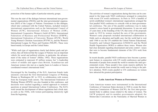protection of the human rights of particular minority groups.

This was the start of the dialogue between international non-governmental organizations (INGOs) and the inter-governmental organization (IGO) of the League of Nations. Forerunners in this dialogue, which later continued with the United Nations, included women's international organizations such as the International Council of Women (ICW), International Alliance of Women (IAW), International Cooperative Women's Guild (ICWG), International Federation of Business and Professional Women (IFBPW), International Federation of University Women (IFUW), World Young Women's Christian Association (WYWCA), and the Women's International League for Peace and Freedom (WILPF). These were based mainly in Europe and the United States.

"While each type of organization clearly had distinct goals and priorities, they all believed that the League of Nations was an important vehicle for social and political reforms, in particular, the advancement of the status of women" (Miller, 1992). These organizations were estimated to represent 45 million women, but "a leadership cohort of middle and upper-class British, Scandinavian and American women who met on a regular basis in London or Geneva coordinated women's international work."

Encouraged by the founding of the ILO, American female trade unionists convened the first International Congress of Working Women in Washington DC in 1919, in collaboration with women from the European trade unions. The International Federation of Working Women (IFWW) was also founded at this conference, and decisions were reached regarding a united approach to women's questions at annual International Labour Conferences. The ILO's work toward the development of labour regulations had a brisk start, as early as the 1920s, with women participating intensively right from the beginning.

The activities of women's organizations during that time can be compared to the large-scale NGO conferences arranged in connection with recent UN world conferences. In Paris in 1919 a handful of newly-established women's international organizations arranged the first parallel NGO conference to coincide with an inter-governmental conference. The aim of the parallel conference was to make women's voices heard in governmental discussions. It was not until 25 years later, at the founding of the UN, that some of the proposals made in 1919 by women reached the ears of the governments. Women's early proposals included international collaboration in fields such as education and health care; but the world had to wait until 1946 to see the UN establish the United Nations Educational, Scientific and Cultural Organization (UNESCO) and the World Health Organization (WHO) to address these issues. Women also had clear demands regarding disarmament and arms control—issues that were to become fundamental elements of the UN's work from the outset.

In recent decades, parallel NGO conferences have become a permanent feature in connection with UN world conferences and gather thousands of people from around the world to monitor the inter-governmental events. These people's fora create massive publicity for issues that activists from around the world want to bring to the public's attention. NGO events parallel to UN conferences on women have attracted the greatest participation.

## **Latin American Women as Forerunners**

Latin American women were instrumental in the International Conference of American States decision in 1928 to create the Inter-American Commission of Women (IACW), the first inter-governmental body to address issues related to the status of women. The IACW prepared, and its member governments adopted, the Montevideo Convention on the Nationality of Married Women in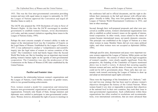1933. This was the first inter-governmental convention providing women and men with equal status in respect to nationality. In 1935 the League of Nations approved the Convention and urged all Member States to ratify it.

The IACW also prepared the 1938 Declaration of Lima in Favor of Women's Rights. At this time the IACW encouraged its member governments to establish women's bureaux, revise discriminatory civil codes, and take women's initiatives regarding these issues to the League of Nations (Galey, 1995).

Perhaps the most concrete example of women's ability to make an impact at the international level was the Committee of Experts on the Legal Status of Women. Established by the League of Nations in 1937, it was authorized to conduct a "comprehensive and scientific inquiry into the legal status of women in various countries of the world." The Committee's work had barely begun when the Second World War broke out. But its founding was an important step toward putting women's human rights on the agenda of inter-governmental cooperation. The Committee was also the predecessor of the Commission on the Status of Women (CSW) later established by the United Nations.

# **Pacifist and Feminist Aims**

To summarize the relationship between women's organizations and the League of Nations, Carol Miller, researcher on gender issues, refers to two ground-breaking achievements.

First, women created a model for cooperation and interaction between non-governmental organizations and inter-governmental organizations. Formerly only Heads of State, foreign ministers and diplomats were entitled to participate in inter-governmental conferences. Women, however, demanded the right of access to meetings in

the conference hall and to official documents, and the right to distribute their statements in the hall and interact with official delegates—literally to lobby. They were first granted these rights at the League of Nations World Disarmament Conference in 1932, and later at other meetings.

Second, through their well-prepared proposals and what were perceived as credible actions, women's international organizations were able to establish so-called women's issues on the agenda of international cooperation. In other words, issues related to the status of women became international issues, not purely domestic concerns. This principle was established at the League of Nations at a time when women in many Member States did not even enjoy political rights, and when women were not accepted as diplomats (Miller, 1995).

Although pacifist aims, disarmament and peace were important reasons women supported the League of Nations, Miller points out that feminist objectives—the essence of which was the legal recognition of women's equality—were clearly equally significant. From this perspective, the founding of the Committee of Experts mentioned above was in itself a victory. It showed that securing equality between women and men, and the status of women, were issues that could not be left to governments alone. These early days saw systematic work toward convincing the League of Nations to draw up and adopt an international equal rights convention.

These were the beginnings of the formulation of a "dialectic," indirect and two-way strategy that has been used to advance women's objectives throughout the history of the United Nations. When women found it very slow or impossible to promote their objectives at the national level in their own countries, they took their issue to inter-governmental organizations. Such collaboration within these organizations has often resulted in resolutions and recommendations, even international conventions, that are more advanced than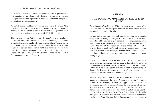those adopted at national levels. These accepted inter-governmental instruments then have been used effectively by women to pressure their governments and legislators to adopt and implement compatible laws in their respective countries.

As British pacifist and feminist Vera Brittain said in the 1920s, "The time has now come to move from the national to the international sphere, and to endeavour to obtain by international agreement what national legislation has failed to accomplish" (Miller, 1994).

The League of Nations' attitude toward women's activism was based on the realization that women were a valuable lobbying and support group for the League in almost every Member State. Women, on the other hand, saw the League as a new and powerful arena for advancing their objectives: peace, human rights and women's equality in all countries. Thus due to women's tenacious and clever diplomacy, the League of Nations was soon in advance of most of its Member States concerning women's issues.

# **Chapter 2**

# **THE FOUNDING MOTHERS OF THE UNITED NATIONS**

The existence of the League of Nations ended with the onset of the Second World War. In retrospect, however, the work carried out during its existence was not in vain.

History shows that the basis and models for inter-governmental cooperation created by the League of Nations formed a firm base on which to build a new inter-governmental peace organization, which was already being planned by the Allied Nations during the war. During the time of the League of Nations, models of cooperation between international NGOs and inter-governmental organizations were also created. Furthermore, so-called women's issues had gained visibility and began to appear more often on the international community's agenda.

Due to the actions in the 1920s and 1930s, a substantial number of women gained experience and expertise in the international arena and networking. Women in official government delegations, representatives of women's organizations and women in significant positions in the League of Nations kept in touch with each other and acted in consort to further their common objectives.

Women's experience was also an indispensable asset when the founding conference of the United Nations was held in 1945 in San Francisco. Consequently, women were appointed to several of the government delegations participating in the conference. There were four Latin American women serving as delegates: Minerva Bernardino (Dominican Republic), Amália Caballero de Castillo Ledón (Mexico), Bertha Lutz (Brazil) and Isabel P. de Vidal (Uruguay). In addition, two women in the Venezuelan delegation, Lucila L. de Perez Diaz and Isabel Sanchez de Urdaneta, served as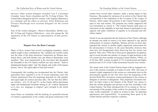advisors. Other women delegates included Cora T. Casselman (Canada), Jessie Street (Australia) and Wu Yi-Fang (China). The United States delegation had five women, with Virginia Gildersleeve as a delegate and the others as advisors. Ellen Wilkinson and Florence Horsbrugh were assistant delegates for the United Kingdom.

Four of the women delegates—Minerva Bernardino, Bertha Lutz, Wu Yi-Fang and Virginia Gildersleeve—were also among the 160 signatories of the UN Charter as representatives of their governments.

# **Dispute Over the Basic Concepts**

Many of these women had several overlapping mandates, which added weight to their contributions. Ms. Caballero de Castillo Ledón was the chair of the Inter-American Commission on Women mentioned above, and both Bertha Lutz and Minerva Bernardino were members. They were instrumental in the movement that demanded the Preamble to the UN Charter reaffirm not only nations' "faith in fundamental human rights" and "the dignity and worth of the human person," but in "the equal rights of men and women."

Consequently, this wording was incorporated into the Charter; later generations have regarded it to be of crucial importance since the Charter legitimized from the beginning demands for full equality and equal rights for women and men alike. The fact that four different Articles—1(3), 55, 68 and 76—in the Charter affirm that human rights and fundamental freedoms belong to all "without distinction as to race, sex, language or religion" gave strength to the initial wording.

Jessie Street, an Australian with the backing of a powerful network of women's organizations in her country and good connections with

women from several other countries, made a strong impact in San Francisco. She pushed for inclusion of an article in the Charter that corresponded to the stipulation in the Covenant of the League of Nations, which makes all positions in the United Nations equally open to men and women. The proposal was widely supported and was formulated as Article 8: "The United Nations shall place no restrictions on the eligibility of men and women to participate in any capacity and under conditions of equality in its principal and subsidiary organs."

Article 8 was incorporated into the final text of the Charter, although an attempt was made to remove it by those opposed to any special endorsement of women's eligibility. Women activists in those days regarded this Article as another highly significant achievement for the advancement of women. In the years thereafter, however, they must have felt disappointed when observing how the Article was ignored. Only since 1970s has it been given appropriate recognition, and in recent decades the number of women in high positions in the UN system has been steadily increasing (United Nations, 1999a). As of 30 June 2005, women occupied 37.1% of professional and higher positions and 16.2% of the Under-Secretaries-General were women.

The actual work of the United Nations began with an inaugural session of the General Assembly in London in early 1946. The issue of women's rights reappeared in the session as a prominent item on the international agenda for the first time since the beginning of the Second World War. Seventeen women participated in the session as delegates or advisers to delegations. They prepared a document entitled "An Open Letter to the Women of the World" (see Annex I), from the women delegates and advisers at the first Assembly of the United Nations. The letter introduced the UN to women as "the second attempt of the peoples of the world to live peacefully in a democratic world community." It called on women to take "an important opportunity and responsibility" in promoting these goals in the United Nations and their respective countries.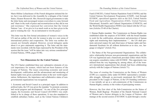Marie-Hélène Lefaucheaux of the French delegation initiated the letter, but it was delivered to the Assembly by a delegate of the United States, Eleanor Roosevelt. Mrs. Roosevelt urged governments to take the letter home and encouraged women everywhere to come forward and "share in the work of peace and reconstruction as they did in war and resistance." She expressed her conviction that the United Nations "can—if we give to it as much work as we have given in the past to winning the war—be an instrument to win the peace."

This letter was the first formal articulation of women's voices in the UN and an outline of the role for women to play in a new arena of international politics and cooperation. The letter was neither discussed, nor formally adopted. However, several delegates spoke about it or gave statements supporting it. The letter and the statements were recorded, with the hope expressed by the President of the session that the issue "will be taken into very serious consideration" (United Nations, 1995b, pages 93-98).

## **New Dimensions for the United Nations**

The UN Charter established three new substantive elements of crucial importance for women, which had not been features of the League of Nations. The issues concerning economic and social development, codification and the advancement and monitoring of human rights were given a prominent status in the new world organization; furthermore, the importance and collaborative status of nongovernmental organizations was recognized.

1. Economic and Social Council as a principal organ: In addition to political tasks, the UN was given the mandate "to promote economic and social progress and development." As one of the five principal organs, the Economic and Social Council (ECOSOC) was established to be in charge of these operations. It was also mandated to establish subsidiary bodies, such as the United Nations Children's

Fund (UNICEF), United Nations Population Fund (UNFPA) and the United Nations Development Programme (UNDP). And through ECOSOC, specialized agencies such as the ILO, United Nations Food and Agriculture Organization (FAO), United Nations Educational, Scientific and Cultural Organization (UNESCO), and the World Health Organization (WHO) were linked with the UN system (Articles 55-60 of the Charter).

2. Human Rights mandate: The Commission on Human Rights was established under the auspices of ECOSOC with the broad mandate to work for the codification, advancement and protection of human rights and monitoring their implementation: "… the UN shall promote universal respect for and observance of human rights and fundamental freedoms for all without distinction as to race, sex, language or religion" (Article 55c).

3. The Status of the Non-governmental Organizations: The collaborative relationship between non-governmental organizations and the UN was legitimized and a framework provided within which NGOs can acquire consultative status with ECOSOC. This opportunity was utilized from the very beginning by, among others, all of the women's international organizations that already had been collaborating actively with the League of Nations (Article 71).

The issue of creating the Commission on the Status of Women (CSW) as a separate entity under ECOSOC represented a considerable struggle. Although, as previously mentioned, the CSW had a precedent in the League of Nations, in the UN founding conference it was initially set up as a sub-commission of the Commission on Human Rights, contrary to the wishes of participating women.

However, the first chair of the Sub-Commission on the Status of Women, Bodil Begtrup—President of the Danish National Council of Women and a former delegate to the League of Nations—did manage at the second session of ECOSOC to push through a resolu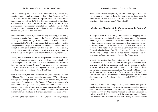tion establishing the CSW as an autonomous entity. Therefore, despite failure to reach a decision on this in San Francisco in 1945, CSW was able to commence its operations as an autonomous Commission as early as 1947. Ms. Begtrup continued as the chair, and Jessie Street was elected as the first vice-chair of the Commission. The members included Ms. Caballero de Castillo Ledón and Ms. Urdaneta, who had been active members of their national delegations in San Francisco.

Why was it that women, right from the very beginning, persistently demanded a special Commission on the Status of Women instead of pursuing their cause through a sub-commission of the Commission on Human Rights? Ms. Begtrup argued that women did not want to be dependent on the pace of another commission. They believed that through a commission of their own they could proceed more quickly than in the Commission of Human Rights, where their proposals would end up "in the queue" with many other human rights issues.

In fact, time has shown that in the independent Commission on the Status of Women, the proposals by women have gained a totally different weight and significance than would have been the case in the Commission on Human Rights. As an independent commission, CSW was entitled to set its own agenda, decide its priorities, and report and make proposals directly to ECOSOC.

John P. Humphrey, the first Director of the UN Secretariat Division of Human Rights, gives an interesting account of CSW in his memoirs: "[More] perhaps than any other United Nations body the delegates to the Commission on the Status of Women were personally committed to its objectives…[and] acted as a kind of lobby for the women of the world.…There was no more independent body in the UN. Many governments had appointed…as their representatives women who were militants in their own countries" (Morsink, 1991).

Concerning the significance of the UN Charter to women, it "gave

[them] slim, formal recognition, but the human rights provisions gave women constitutional-legal leverage to renew their quest for improvement of their status, achieve full citizenship with men, and enter the world's political stage" (Galey, 1995).

#### **Mission and Mandate of the Commission on the Status of Women**

In the years from 1946 to 1962, CSW focused on mapping out the legal status of women in the Member States and later on the preparation of legislation and international conventions for the advancement of the status of women. The resources of the Commission were extremely small, and the assistance provided was limited to a Section on the Status of Women with a very small staff within the Human Rights Division of the United Nations Department of Social Affairs. The shortage of resources was partly compensated by the motivation and enthusiasm of members of the Commission.

In the initial session, the Commission began to specify its mission and mandate. Its two basic functions were to "prepare recommendations and reports to the Economic and Social Council on promoting women's rights in the political, economic, civil and educational fields," and to make recommendations "on urgent problems requiring immediate attention in the field of women's rights." The Commission also has the mandate to make proposals on the further development of its functions and mandate (E/RES/2/11, 21 June 1946).

The CSW, as part of the UN system, is by definition an inter-governmental institution. However, from the beginning it also has had direct contacts with women's international non-governmental organizations. They were the channel through which the Commission aspired to establish direct contact with the women of Member States. The women's international NGOs had already manifested their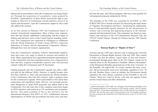interest and resourcefulness when the Commission was being founded. Through the acquisition of consultative status granted by ECOSOC, representatives of these NGOs received the right to participate as observers at Commission sessions and have access to its reports and documents. Upon the Commission's approval, they could also address the sessions.

At its first session in February 1947, the Commission heard 12 women's international organizations. Most of these were organizations that had already established a relationship with the League of Nations and had been active at the United Nations founding conference. The Commission also expressed its willingness to collaborate with the World Federation of Trade Unions (WFTU), American Federation of Labour, and the International Cooperative Alliance, although these were not women's organizations.

From the Commission's inception, women's international organizations have been very eager to attend its sessions and monitor its work. Many organizations have appointed permanent representatives to the Commission who have attended sessions over a long period of time and have acquired considerable expertise and vital personal contacts within the Commission and UN Secretariat.

Getting proposals onto the Commission's agenda was often a difficult task for the different NGOs. However, it rapidly became clear how they could do so. Since only governments are official members of the Commission, they have the exclusive right to propose items for the Commission's agenda. NGO representatives who utilize their connections and negotiation skills, however, can persuade government delegations to adopt NGO proposals and submit them to the Commission. Over the years this is how countless issues have begun as NGO initiatives and ended up as UN resolutions and recommendations. One main example of this is the initiative for the International Women's Year (IWY) in 1972. Collaboration between representatives of NGOs and governments has been close and fruitful from the start, and official delegates often have been grateful for well-prepared proposals submitted by NGOs.

The mandate of the CSW was expanded by ECOSOC in 1987 (E/RES/1987/24) to include activities for advocating the triple theme of "Equality, Development and Peace;" monitoring the implementation of internationally-agreed measures for the advancement of women; and reviewing and appraising progress at the national, regional and international levels. This expansion was based on experiences and outcomes of the 1975 International Women's Year, the 1976-85 United Nations' Decade for Women and the 1985 Nairobi Conference.

## **Human Rights or "Rights of Man"?**

Activists and the CSW had a decisive role in drafting the Universal Declaration of Human Rights between 1946 and 1948. They wanted to make sure that the phrase "equal rights of men and women," incorporated through great effort in the UN Charter, would not be watered down in the Declaration's Preamble. Minerva Bernardino<sup>1</sup> of the Dominican Republic questioned use of the term "everyone" in the Preamble; she argued that "in certain countries the term 'everyone' did not necessarily mean every individual, regardless of sex." In the end, Member States voted on whether the Declaration should reproduce the exact phrase contained in the Preamble to the UN Charter. Thirty-two voted in favour, with only two against (China and the United States) and three abstentions.

<sup>1.</sup> Minerva Bernardino (1907-1998) was a delegate of the Dominican Republic to the UN founding conference in San Francisco in 1945 and her country's first UN ambassador until 1957. Her positions included the Chair of CSW and First Vice President of ECOSOC. She was the only woman of those present at the UN founding conference who also took part in the celebration of the 50th anniversary of the UN in 1995 in San Francisco.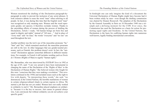Women monitored the drafting of the Declaration paragraph-byparagraph in order to prevent the inclusion of any sexist phrases. It took extensive debate to erase the word "man" when referring to all people. In fact, it was during this time that the English word "man" was recognized as only meaning men. Women said the word represents gender, not species; it therefore excludes women. Thanks to the unyielding efforts of women during the process of drafting the Declaration, Article 1 reads, "All human beings are born free and equal in dignity and rights" instead of "All men…" And in place of "every man" and "no man," the words "everyone" and "no one" are used throughout the text.

Another problem was the text's use of the masculine pronouns "he," "him" and "his," which remained unsolved; the masculine pronouns are still in the text. In other languages that use gender-neutral pronouns, such as Finnish, this problem doesn't exist. In fact, the "universal" Declaration appears somewhat different in different translations. For example, in French it still includes wording such as *Droits de l'Homme* (Rights of Man) to signify "human rights."

Ms. Bernardino, who was interviewed by *INSTRAW News* in 1992 at the age of 85, said: "I am very proud to have been instrumental in changing the name of the Declaration of the 'Rights of Men' to the Declaration of Human Rights." She believed women who fought for this were "conscious that they were making a revolution." This revolution continued in the 1950s and included issues such as the right to live with dignity. "In interpreting these words," she said, "we denounced, in the United Nations, the horrible mutilations of women in certain religious/cultural rituals in certain regions in Africa. We started a job that has not yet ended. Women have not really worked in solidarity to end it." Ms. Bernardino placed emphasis on solidarity "because it is the key to success. Just causes in general always win, I am convinced, but without solidarity you do not achieve your specific goals."

In hindsight one can only imagine the kind of a document the Universal Declaration of Human Rights might have become had it been written solely by men—even though the drafting commission was chaired by Eleanor Roosevelt. The adoption of the Declaration by the General Assembly in Paris on 10 December 1948 was a triumph and a defining moment for the CSW. Ever since, the Commission has used the Declaration as a basis for action for promoting equal rights and freedoms. At the United Nations, the Declaration is the basis for codifying human rights into numerous well-known, legally binding international conventions.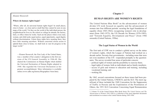*Eleanor Roosevelt:* 

#### **Where do human rights begin?**

"Where, after all, do universal human rights begin? In small places, close to home—so close and so small that they cannot be seen on any maps of the world. Yet they are the world of the individual person; the neighborhood he lives in; the school or college he attends; the factory, farm, or office where he works. Such are the places where every man, woman, and child seeks equal justice, equal opportunity, equal dignity without discrimination. Unless these rights have meaning there, they have little meaning anywhere. Without concerted citizen action to uphold them close to home, we shall look in vain for progress in the larger world."

—Eleanor Roosevelt, the First Lady of the United States, was a member of her country's delegation in the first sessions of the UN General Assembly in 1946-48. She chaired the Commission on Human Rights which drafted the Universal Declaration of Human Rights adopted in 1948. She regarded the Universal Declaration as her greatest accomplishment. More information is available online (www.udhr.org/history/Biographies/ bioer.htm).

# **Chapter 3**

# **HUMAN RIGHTS ARE WOMEN'S RIGHTS**

The United Nations Blue Book<sup>2</sup> on the advancement of women divides UN work focused on equality and the advancement of women into four different periods: securing the legal foundations of equality (from 1945-1962); recognizing women's role in development (from 1963-1975); the UN Decade for Women (1976-1985); and "Towards Equality, Development and Peace" (from 1986 onwards) (United Nations, 1996a).

#### **The Legal Status of Women in the World**

The first task of CSW was to conduct a global survey on the status of women's rights, which the League of Nations had worked on a decade earlier. Seventy-four governments—including some that were not even members of the UN—responded promptly to the questionnaire. The survey revealed four areas of particular concern:

- —political rights of women and the possibility to exercise them;
- —legal rights of women, both as individuals and as family members;
- —access of girls and women to education and training, including vocational training; and
- —working life.

By 1962, several conventions focused on these issues had been prepared by the United Nations, UNESCO, and the ILO. The most significant of these included the 1949 Convention for the Suppression of Traffic in Persons and the Exploitation of the Prostitution of Others; the 1951 ILO Convention Concerning Equal Remuneration

<sup>2.</sup> Volume VI of the United Nations Blue Book Series *The United Nations and The Advancement of Women 1945-1996* is a collection of the most important documents and resolutions on women in the United Nations during 1945-1996.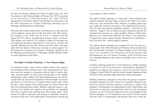for Men and Women Workers for Work of Equal Value; the 1952 Convention on the Political Rights of Women; the 1957 Convention on the Nationality of Married Women; the 1960 UNESCO International Convention Against Discrimination in Education; and the 1962 Convention on Consent to Marriage, Minimum Age of Marriage, and Registration of Marriages.

The titles and realities behind these conventions are a sad reflection of the problems women faced in the first half of the 20th century. For example, in the 1940s only 30 of the 51 countries that had signed the UN Charter acknowledged political rights of women. (The number now stands at 118 countries.) Often if a marriage was not registered and hence legitimized, a wife had no security and could be abandoned at any time, thrown out of her home, and separated from her family without any economic or social support. For this reason the Convention on Consent to Marriage, Minimum Age for Marriage and Registration of Marriages obliged Member States to create legislation to that effect.

# **The Right to Family Planning—A New Human Right**

As mentioned earlier, when women couldn't achieve their goals at the national level they took the issues to the international level. They have used this strategy in connection with the right to family planning, women's rights over their body and deciding on the number and spacing of their children. The family planning issue was not discussed when the Universal Declaration of Human Rights was drawn up. However, it has become a recognized basic human right, which has had a major impact on the advancement of women's status and their lives during the past century. Women's right and means to control their own fertility also improves the possibility of controlling their lives in general and realizing their other human rights. These include the right to education and training, to undertake economic activities of their own, and to participate in the political, cultural and social spheres in their countries.

The right to family planning is a "latecomer" when compared with women's political and legal rights; as late as the 1960s it was still a fairly new issue around the world. However, it rapidly gained support within the women's movement of the industrialized countries. The UN and some densely populated countries—with India in the forefront—began to take an interest because population growth was regarded more and more as a major problem. However, family planning was very controversial within the UN, where it was categorically opposed by many nations strongly influenced by Catholicism led by the Holy See—and by Islamic countries.

The right to family planning was recognized for the first time as a human right in the 1968 Declaration of Teheran, which resulted from the International Conference on Human Rights. In the following year it was included in the Declaration on Social Progress and Development by the UN General Assembly. In the 1970s the issue was constantly debated at the General Assembly and in world conferences.

Countries opposing promotion of and education in family planning for women, as well as the provision of contraceptives, threatened to withdraw all support from agencies such as the United Nations Children's Fund (UNICEF) and the United Nations Population Fund (UNFPA) if they included family planning in their programmes.

Political controversy managed to slow down the process of promoting family planning, but not to bring it to a standstill. Women's organizations and development agencies continued to support and demand it. Development aid organizations in the United States and politicians in particular regarded birth control in the developing countries as one of the most important forms of development aid. Women delegates to UN conferences and women's NGOs created networks with UN organizations and kept the issue alive, while dis-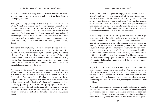putes in the General Assembly persisted. Women activists saw this as a major issue for women in general and not just for those from the developing countries.

The right to family planning became a major issue at the first UN World Population Conference in 1974. Very precise formulations on the issue were adopted by the 1975 World Conference of the International Women's Year (IWY) in Mexico. Its World Plan of Action and Declaration said that "every couple and every individual has the right to decide freely and responsibly whether or not to have children as well as to determine their number and spacing, and to have information, education and means to do so" (United Nations, 1975).

The right to family planning is more specifically defined in the 1979 Convention on the Elimination of All Forms of Discrimination Against Women. It reaffirms this right as a binding obligation of the Member States. In the Programme of Action of the 1994 International Conference on Population and Development (ICPD) held in Cairo, the concepts of "reproductive rights and reproductive health" were further defined and adopted. These new formulations expanded understanding of the issue.

According to the Cairo Programme of Action (United Nations, 1994), "Reproductive health implies that people are able to have a satisfying and safe sex life and that they have the capability to reproduce and the freedom to decide if, when and how often to do so. Implicit in this are the rights of men and women to be informed and to have access to safe, effective, affordable and acceptable methods of family planning of their choice" (paragraphs 7.2 and 7.3). Reproductive health and rights received even more precise and extensive formulation in the 1995 Beijing Platform for Action, which reconfirms the definitions formulated in Cairo (paragraphs 94-96).

A heated discussion took place in Beijing on the concept of "sexual rights," which was supposed to cover all of the above in addition to the issue of various sexual orientations. Although the concept was not acceptable to many countries and was not adopted, the essential content—as formulated in Cairo and further developed in Beijing was finally adopted by consensus. However, 12 Catholic countries, the Holy See and 19 Islamic countries expressed their reservations to paragraphs related to this issue in the final document.

With the right to family planning, another basic human right becomes a reality: the right to be born a wanted child. It is easy to understand how infinitely important this is as a fundamental human right at the beginning of a new life. A recent study in Finland has shed light on the physical and practical importance of this; for example, the risk of being born prematurely is lower with children wanted by their parents, they are breastfed longer than unwanted children and have fewer health problems later. The study also reveals that in 1966 12% of children were born unwanted in Finland whereas in 1988 the corresponding figure had dropped to 1%, with the number of premature babies also dropping by half during the same period (Järvelin, 1997).

In practice, the right and access to family planning is an asset for entire families—men, women and children—the world over. First of all it is the means of preventing unwanted pregnancies and thus making abortions unnecessary. It is important even from the economic point of view because it will provide families with better options to plan for nourishment, care, housing and education of their children.

When policies promoting reproductive health and rights are implemented, even controversial issues such as abortion and teenage pregnancy become easier to address. In Finland abortion has been legal since 1970, and at the same time education and family planning services have been greatly improved. In the meantime teenage and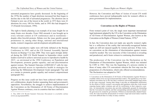unwanted pregnancies have greatly decreased. In the beginning of the 1970s the number of legal abortions increased but then began to decline due to the fall of unwanted pregnancies. The abortion rate in Finland is now one of the lowest in the world: in 1973 there were 41 abortions for every 100 live births, and in 1993 this had dropped to 15 (Finnish Government, 1994).

The right to family planning is an example of an issue fought for on many fronts over decades. From 1968 onwards it was brought up in every relevant context at UN conferences and in resolutions despite often forceful protests. Debate over the issue quickly gained prominence in, among other things, national and international media, women's magazines and development aid publications.

Women's reproductive rights were still hotly debated at the Beijing Conference in 1995, and at the UN General Assembly Special Session on Beijing+5 in June 2000. They were again strongly debated during the 2005 UN World Summit in September where world leaders resolved to achieve universal access to reproductive health by 2015—as envisioned at the 1994 Conference on Population and Development; promote gender equality; and end discrimination against women. The Summit Outcome (A/RES/60/1)<sup>3</sup> calls for integrating universal access to reproductive health in strategies for achieving the Millennium Development Goals (paragraph 57g) and as a means to promote gender equality and women's empowerment (paragraph 58c).

Progress on this issue could not have been achieved without women's collaboration, despite borders separating them and government's opposition. Nevertheless, the struggle to achieve implementation of the Convention on the Elimination of All Forms of Discrimination Against Women continues, even in countries that have ratified it.

However, the Convention and Plans of Action of recent UN world conferences have proved indispensable tools for women's efforts to press governments for implementation.

## **Convention on the Rights of Women**

From women's point of view, the single most important international legal instrument adopted by the UN is the Convention on the Elimination of All Forms of Discrimination Against Women, also known as the Convention on the Rights of Women (United Nations, 1979).<sup>4</sup>

In fact, the Convention does not imply any specific women's rights but is a reflection of the reality that universally-recognized human rights are still not enjoyed equally by women and men. If they were, no convention on the elimination of discrimination against women would be needed. The very necessity of this Convention is revealing and paradoxical, and it bears witness to continuing discrimination.

The predecessor of the Convention was the Declaration on the Elimination of Discrimination Against Women, which was initiated by CSW in 1963. This was the beginning of a process similar to those of many other UN conventions wherein the first step was the preparation of a Declaration, which only offered recommendations. The Declaration was adopted in 1967.

<sup>3.</sup> The 2005 UN World Summit Outcome Document is available online (www.un.org/summit2005).

<sup>4.</sup> Convention on the Elimination of All Forms of Discrimination Against Women is available online (www.un.org/womenwatch/daw/cedaw). The significance of an international convention lies in the fact that it reinforces universally-adopted legal norms on the issue concerned. Among other things it provides an indisputable justification for the efforts of NGOs, women's movements and legislators when they work toward exposing human rights violations and call for rectification in their respective countries. An international convention also provides indisputable grounds for demanding that the Convention be ratified, and that corresponding national legislation to remedy the grievances be created by governments. Without an internationally adopted framework, the work toward the advancement of women's legal and social status would be even more difficult than it is today in many countries.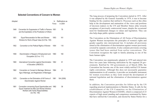# **Selected Conventions of Concern to Women**

| Adopted |                                                                                                                                                      | In<br>Force | Ratifications as<br>in 2004 |
|---------|------------------------------------------------------------------------------------------------------------------------------------------------------|-------------|-----------------------------|
| 1949    | Convention for Suppression of Traffic in Persons 1951<br>and the Exploitation of the Prostitution of Others                                          |             | 78                          |
| 1951    | Equal Remuneration for Men and Women<br>Workers for Work of Equal Value (ILO No. 100)                                                                | 1953        | 161                         |
| 1952    | Convention on the Political Rights of Women                                                                                                          | 1954        | 118                         |
| 1958    | Discrimination in Respect of Employment and<br>Occupation (ILO no. 111)                                                                              | 1960        | 160                         |
| 1960    | International Convention against Discrimination<br>in Education (UNESCO)                                                                             | 1962        | 91                          |
| 1962    | Convention on Consent to Marriage, Minimum<br>Age of Marriage, and Registration of Marriages                                                         | 1964        | 51                          |
| 1979    | Convention on the Elimination of All Forms of<br>Discrimination Against Women                                                                        | 1981        | 184 (2006)                  |
| 1981    | Convention concerning Equal Opportunities and<br>Equal Treatment for Men and Women Workers:<br>Workers with Family Responsibilities<br>(ILO No. 156) | 1982        | 36                          |

The long process of preparing the Convention started in 1973. After it was adopted by the General Assembly in 1979, it was to become binding for the countries that ratified it. Processes such as this often help in the development and maturation of the views and positions of decision makers in the UN and Member States alike towards acceptance of previously controversial issues, despite the occasional need for fundamental changes in values and legislation. They can also help shape public opinion worldwide.

The Convention on the Elimination of All Forms of Discrimination Against Women incorporates the principles of women's rights and gender equality into international law. It includes all provisions aimed at the elimination of discrimination against women previously covered by separate conventions. It also contains provisions covering issues that had been omitted from earlier conventions. The Convention recognizes the right to family planning as one of the basic human rights.

The Convention was unanimously adopted in 1979 and entered into force two years later following ratification by the required 20 governments. Ratified by 184 governments as of March 2006, the Convention has become one of the most widely-ratified UN human rights conventions. Although this does not necessarily guarantee implementation in all countries, it provides an invaluable instrument for women everywhere as they work toward the development of national legislation and the elimination of discrimination against them.

In addition, the Convention provides for follow-up by the UN regarding practical implementation in Member States. It calls for the establishment of the UN Committee on the Elimination of Discrimination Against Women (CEDAW), which is composed of 23 experts of high moral standing and competence nominated by States that have ratified the Convention, and elected by States Parties for a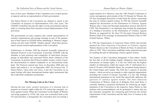term of four years. Members of the Committee serve in their personal capacity and not as representatives of their governments.

The States Parties to the Convention are obliged to report to the Committee on progress of implementation every four years. The CEDAW Committee also has the right to invite governments individually to a hearing about their measures toward implementation of the provisions.

The governments of some countries also consult representatives of women's organizations and arrange hearings as part of the preparation of their report to CEDAW before submitting it. Women's organizations can also send CEDAW "shadow reports" about their government's actions toward implementation of the Convention.

Furthermore, in October 1999 the General Assembly endorsed an Optional Protocol to the Convention. It provides CEDAW with the mandate to hear petitions and complaints of individual citizens, groups of individuals and concerned NGOs about violations of the Convention. In practice this Protocol enables women victims of gender discrimination to submit complaints to an international treaty body. The Protocol entered into force in December 2000 after ten States had ratified it. As of September 2005, the Protocol has 72 States Parties. Upon entry into force, it put the Convention on an equal footing with other international human rights instruments that have individual complaints mechanisms.

## **The Missing Link in the Chain**

During the past years, greater awareness of a missing link in progress on women's rights within the UN system has emerged: violence against women. When the Convention on the Rights of Women was being prepared in 1970s, this issue was overlooked both in the UN and elsewhere. Consequently, the Convention does not include a

single mention of it. However, since the 1985 Nairobi Conference to review and appraise achievements of the UN Decade for Women, the UN has encouraged discussion to help break the silence concerning the issue of violence against women. In 1993 the General Assembly adopted the Declaration on the Elimination of Violence Against Women after a long and thorough preparation process directed by CSW. This Declaration is an important step towards the preparation of a binding Convention on the Elimination of Violence Against Women, as suggested by the then UN Secretary-General Boutros Boutros-Ghali in his message on International Women's Day in 1995 (United Nations, 1996a).

In 1994 the Organization of American States (OAS) had already adopted the Inter-American Convention on Violence Against Women (known as the Convention of Belem do Para). It entered into effect in 1995. This Convention establishes many important precepts for tackling the task of eliminating violence against women.

Two features of this Convention distinguish it from others. Firstly, the fact that of all the binding (legally obligatory) inter-American instruments on human rights, it is the one which has the highest number of ratifications within the region with 31 ratifications by a total of 34 active OAS Member States, the exceptions being Jamaica, the United States and Canada. The OAS has a capacity to develop treaties—which served as an example to other regional organizations including the Council of Europe. Secondly, it is the only binding international instrument in the world that specifically addresses the question of violence against women. The Inter-American Commission of Women, made up of delegates from each State, is currently drafting a proposed mechanism for following up implementation of the Convention in the respective States Parties so that analyses and recommendations can be generated to reduce and one day eliminate altogether the remaining gulf between the formal requirements of the Convention and the daily lives of women in the continent.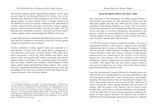The decisive impetus toward making further progress on this issue was provided by the Beijing Platform for Action. One of the Platform's key objectives is "the elimination of all forms of violence against women." As many as three of the 12 strategic objectives of the Platform of Action are directly connected to the elimination of violence against women and girls, and include violence against women, women and armed conflict, and the girl-child. Also the detecting and eliminating economic, structural, social and cultural violence against women runs throughout the Platform for Action.

As part of the process to implement the Platform for Action, in 1997 four high level conferences were held, in which the violence against women was dealt from a new viewpoint.<sup>5</sup>

In these conferences violence against women was examined as "a male problem," as part of the male culture and its consequences to men themselves and society in whole (Pietilä, 1998). Since then, men's movements—such as the White Ribbon and others—have grown in their work against male violence in general, and violence against women in particular, in an increasing number of countries such as Canada, Namibia, New Zealand, United Kingdom, United States, and the Nordic and South-East Asian countries. Also, current research is gradually spreading and analysing the role of men and masculinity in the same way as women's research has worked on preconceived women's roles in various cultures.

# **From the Battle Field to the Peace Table**

The Convention on the Elimination of Violence against Women is still missing, but progress on other dimensions of this issue has taken place rapidly since the early 1990s and also as part of implementation of the Beijing Platform for Action. The UN Security Council has expressed its views strongly and effectively on this issue for the first time in its history. Resolutions and decisions of the Security Council are strong indications of the change in attitudes: Violence against women is no longer an issue of private life, but an issue of security, human rights and war crimes.

In 1992 the Security Council condemned strongly "the acts of unspeakable brutality of the massive, organized and systematic detention and rape of women in Bosnia and Herzegovina." In May 1993 the Security Council decided to establish an International War Crimes Tribunal to deal with "serious violations of international humanitarian law committed in the territory of the former Yugoslavia" after January 1991. The mandate of this tribunal includes the "massive, organized and systematic detention and rape of women." This implies that rape and violence against women in war are now recognized as war crimes: the aim for which women's peace movements had worked for years.

Later the International Criminal Tribunal for Rwanda broke new ground in the area of jurisprudence by convicting individuals of rape as an instrument of genocide, a form of torture and a crime against humanity. The Rome Statute of the new International Criminal Court (ICC) takes gender concerns into account in their definition of crimes of genocide, crimes against humanity and war crimes. In January 2002 the statute of the Special Court for Sierra Leone includes rape, sexual slavery, enforced prostitution, forced pregnancy and any other form of sexual violence among the constituent elements of crimes against humanity. The Special Court decided in 2004 that even forced marriage would be prosecuted as an "inhuman

<sup>5.</sup> The following conferences were held: "Is Violence Masculine? – Conference on men and violence." Swedish government in Stockholm; "Promoting Equality: A common Issue for Men and Women". Council of Europe in Strasbourg (France); "Domestic Violence in Latin America and the Caribbean, Costs, Programs and Policies", Inter-American Development Bank (IDB) in Washington DC (USA); "Male Roles and Masculinities in the Perspective of a Culture of Peace," Expert Group Meeting on Male Roles and Masculinity in the Perspective of a Culture of Peace, UNESCO in Oslo (Norway).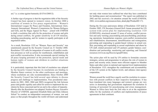act," i.e. a crime against humanity (E/CN.6/2005/2).

A further sign of progress is that the negotiation table of the Security Council has been opened to women's voices. In October 2000 a coalition of women in five peace organizations  $-$  Women's International League for Peace and Freedom, International Alert, Amnesty International, Women's Commission for Women Refugees and Girls, and the Hague Appeal for Peace – joined with UNIFEM to draft a resolution that calls for the protection of women and girls during armed conflicts, for gender sensitivity in all UN missions, including peacekeeping, and for women to equally participate at all negotiation tables.

As a result, Resolution 1325 on "Women, Peace and Security" was unanimously passed by the Security Council on 31 October 2000. Resolution 1325 calls for integration of women in all conflict resolution processes as well as actions for resettlement, rehabilitation and post-conflict reconstruction. It also recommends special training for all peace keeping personnel on the protection, special needs and human rights of women and children in conflict situations (S/RES/1325).

It is particularly important that this kind of resolution was adopted by the Security Council because its resolutions are binding to Member States contrary to the other conferences and meetings, whose resolutions are only recommendations. Since October 2000 the Security Council has held several open debates to discuss progress and challenge to implementation. Four presidential statements (in 2001, 2002, 2004 and 2005) recognized the link between peace and gender equality and called for action to implement the resolution by those concerned and for an end to the culture of impunity. Shortly after the Resolution was adopted, Noeleen Heyzer, Executive Director of UNIFEM, appointed Elisabeth Rehn and Ellen Johnson Sirleaf "to conduct an independent assessment of women, war and peace so that people throughout the world will know and understand

not only what women have suffered but what they have contributed for building peace and reconstruction." The report was published in 2002 and has received a lot attention around the world (UNIFEM, 2002, www.unifem.org/resources/item\_detail.php?ProductID=17).

During the five-year anniversary debate of Resolution 1325 held in October 2005, UN Secretary-General Kofi Annan presented his UN system-wide action plan for implementing resolution 1325 (S/2005/636), structured around 12 areas of action: conflict prevention and early warning; peacemaking and peacebuilding; peacekeeping operations; humanitarian response; post-conflict reconstruction and rehabilitation; disarmament, demobilization and reintegration; preventing and responding to gender-based violence in armed conflict; preventing and responding to sexual exploitation and abuse by UN staff, related personnel and UN partners; gender balance; coordination and partnership; monitoring and reporting; and financial resources (www.un.org/Docs/sc/sgrep05.htm).

The action plan will be used by UN entities to formulate concrete strategies, actions and programmes to advance the role of women in peace and security areas; ensure more efficient support to Member States and other actors in national and regional level implementation of Resolution 1325; strengthen the commitment and accountability of the UN system at the highest levels; and enhance inter-agency cooperation.

Women around the world have eagerly used the resolution in connection with present conflicts in their respective hemispheres. It has been translated into many languages and women's groups are very active in demanding that governments implement the resolution in training of personnel for peacekeeping and crises management. Women in Africa have been the first ones to sit at the negotiation tables for the resolution of conflicts and implementation of peace agreements in their continent.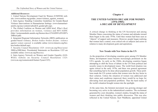#### *Additional Resources:*

1. United Nations Development Fund for Women (UNIFEM) website: (www.unifem.org/gender\_issues/violence\_against\_women).

2. Inter-Agency Standing Committee Guidelines for Gender-Based Violence Interventions in Humanitarian Settings: (www.humanitarianinfo.org/iasc/content/subsidi/tf\_gender/gbv.asp).

3. The Global Coalition on Women and AIDS brief, *What's Real*, provides information on women, violence and HIV/AIDS: (http://womenandaids.unaids.org/themes/docs/UNAIDS%20VAW% 20Brief.pdf).

4. Integrated Regional Information Networks (IRIN) publication on gender-based violence, *Broken bodies–broken dreams: violence against women exposed,* is available online (www.irinnews.org/broken-bodies/default.asp).

5. Security Council Resolution 1325: (www.un.org/Docs/scres/ 2000/sc2000.htm). Presidential Statements on Resolution 1325 are available online: (www.un.org/Docs/sc).

6. Inter-Agency Network on Women and Gender Equality (IAN-WGE) website on Security Council Resolution 1325: (www.un.org/womenwatch/feature/5years1325).

# **Chapter 4**

# **THE UNITED NATIONS DECADE FOR WOMEN (1976-1985): A DECADE OF DEVELOPMENT**

A critical change in thinking at the UN Secretariat and among Member States concerning the status of women and attitudes toward them began in the early 1970s. Until then women had been seen as "objects" of support and measures. However, people began realizing that women had a central, even critical role as subjects and actors in relation to many development goals and aspirations.

# **New Trends with New States in the UN**

As the proportion of developing countries grew among UN Member States, development issues became increasingly prominent on the UN's agenda. As early as the 1960s, developing countries began attempting to shift the focus of debate in the UN from political and security issues to development issues. The world food situation was again critical in the early 1970s, and there was general agreement that something had to be done about population growth. These problems made the UN system realize that women were the key factor in their solution. Unless the situation of women was addressed and their status and conditions improved, there would be no hope for alleviating food and population problems. Thus the hard reality of the world's situation brought women into the spotlight.

At the same time, the feminist movement was growing stronger and becoming very active in the industrialized countries. The excitement generated by a new discipline, women's studies, brought the status of women and their thinking into public discussion. This was also reflected in the United Nations. Kurt Waldheim, appointed United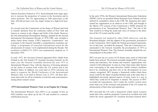Nations Secretary-General in 1971, faced demands from many quarters to increase the proportion of women in the Secretariat and in senior positions. The UN, approaching its 30th anniversary at the time, still did not have even one single woman in a high-level position.

For several years the Commission on the Status of Women had tried to transfer attention from the conference tables of New York and Geneva to women in the villages and fields of the South. However, the first International Development Strategy, adopted for the Second International Development Decade of 1970-1980, only included a minor clause about women. CSW's impressive "countermove" was to propose to the General Assembly a comprehensive resolution outlining "a programme of concerted international action for the advancement of women," to be implemented during the Decade. The resolution (A/RES/2715 XXV) was unanimously adopted on 15 December 1970.

In early 1972, the Secretary-General appointed Helvi Sipilä from Finland as the first female UN Assistant Secretary-General. In the same year the General Assembly declared the year 1975 as International Women's Year, with the objective of focusing attention on the status of women both within the UN system and in the Member States. In addition, two years later in 1974 a decision was made to organize the World Conference of the International Women's Year, to be held in Mexico City in 1975. All these decisions and events set off an avalanche of activities and consciousnessraising about women's issues.

# **1975 International Women's Year as an Engine for Change**

The International Women's Year (IWY) is an example of how an NGO initiative was taken up by the UN and resulted in a massive mobilization process.

In the early 1970s, the Women's International Democratic Federation (WIDF), led by its president Hertta Kuusinen from Finland, actively utilized its consultative status in the CSW. Ms. Kuusinen also represented her organization as an observer at the CSW, and brought to the March 1972 session of the Commission a WIDF proposal for proclamation of an "International Women's Year." The aim of the Year would be to bring the needs and views of women to the attention of the UN system and the world.

The proposal was backed by other NGO observers, and the Romanian delegate, with the support of her government, presented it to the Commission. Helvi Sipilä, the Finnish government representative at that time, seconded the proposal. Thus the Commission recommended to the General Assembly the proclamation of 1975 as International Women's Year. The General Assembly adopted the recommendation in December 1972.

IWY was just one in a series of UN theme years, most of which had hardly been noticed. The General Assembly adopted IWY with scepticism and reluctance, but women and women's organizations welcomed it with enthusiasm. It came at a time when many other factors were converging in the same direction: finally women's problems had to be considered, and their role in the development of every country recognized. IWY became a framework within which these issues could be the object of global attention and, at the same time, it highlighted previously ignored aspects of many issues in a way in which they could not be forgotten or denied. The success of IWY exceeded all expectations, and it made the world's women more aware than ever of the existence and potential of the UN system for advancement of their aims and aspirations.

IWY provided the UN with a framework within which women's needs and views could be promoted. It proved an excellent tool with which the newly appointed UN Assistant Secretary-General Helvi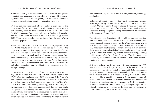Sipilä could justify in every possible context measures designed to promote the advancement of women. It also provided NGOs, operating within and outside the UN system, with an excellent additional impetus to their efforts on behalf of women the world over.

IWY, in fact, had significant influence before it even started. The preparations for two important UN world conferences were already well underway when the decision about IWY was taken. These were the World Population Conference to be held in Bucharest (Romania), and the World Food Conference to be held in Rome (Italy), both in 1974. These were focused on two key issues from the point of view of women: population and food.

When Helvi Sipilä became involved in 1972 with preparations for the World Population Conference, she worked to convince the preparatory committee that no population policy could be effective without the involvement of women. An unofficial preparatory meeting was organized, to which she invited one prominent woman from each Member State; 116 women attended the meeting. It aimed to ensure that government delegations to the World Population Conference would include women who would see to it that their crucial role in population issues would get due consideration in conference proceedings.

Preparations for the World Food Conference were at an advanced stage at the United Nations Food and Agriculture Organization (FAO) when the proclamation on IWY was adopted. FAO already had a section on household and nutrition that was well aware of the vital role of women in food production, especially in Africa. With the World Food Conference approaching, NGOs—including the International Peace Research Association's Food Policy Study Group—arranged a meeting in Rome, which succeeded in influencing the official conference. As a consequence, the conference adopted an extensive and comprehensive resolution on Women and Food, which indicated how women could contribute to the improvement of food supplies if they had better access to land, education, technology and funding.

Unfortunately most of the 11 other world conferences on major issues organized by the UN in the 1970s did not take women into account. On the contrary, it was by chance if women's voices were heard in the "male enclaves" of these conferences, which aimed to assess and draw up long-term action plans for the key problem areas of development (Palmer, 1980).

The primarily male delegations did not address women's contributions and needs, even when they were provided with excellent background material. A case in point was the Water Conference held in Mar del Plata (Argentina) in 1977. Both the UN Secretariat and the FAO had prepared outstanding documents proving in many countries that women were the only existing "water supply system" and literally carried the water required by their villages for drinking, cleaning and irrigation, often from distant locations. The final documents adopted by the conference did not include a word about women's crucial role in water procurement.

A decisive influence on the outcome of the conferences in the 1970s was whether or not a delegation happened to include an informed woman who would take the initiative—preferably beforehand during her government's preparation process—and get women's issues to the discussion table. As a member of a delegation, even a single woman could be in a position to prepare a draft resolution or amendment to conference papers on women's concerns and persuade her delegation to introduce it in the conference. For NGOs participating in parallel conferences, on the other hand, making an impact on the official conference proceedings on the spot was very difficult or almost impossible (Pietilä and Vickers, 1996).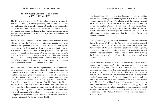# **The UN World Conferences on Women in 1975, 1980 and 1985**

The UN world conferences for the advancement of women in Mexico City (1975), Copenhagen (1980) and Nairobi (1985) were part and parcel of a series of 20 major UN conferences organized in the 1970s and 1980s. However, although each conference focusing on women was unique in character, they form a consequent series and systematic process towards the aim of advancement and empowerment of women.

The 1975 World Conference of the International Women's Year in Mexico City was the first-ever global inter-governmental conference specifically organized to address women's issues and world problems from women's perspectives. Even though it could not be called a women's conference—since official participants were governments—it was still the first major UN event in which a vast majority (73%) of the 1,200 delegates were women. In addition, women headed 113 of the 133 delegations present. However, the proportion of men (27%) among the delegates was higher than the usual proportion of women at other UN conferences at that time.

The World Plan of Action for the Implementation of the Objectives of International Women's Year adopted by the conference was intended as a programme for the advancement of women to be implemented during the forthcoming decade in all areas and all countries. It crystallized the past and present long-term objectives of the women's movement under the theme Equality—Development— Peace. This became the overall theme of the UN Decade for Women and all other world conferences on women afterwards. From the beginning, these three objectives were considered interrelated and mutually reinforcing, such that the advancement of one contributes to the advancement of the others. This interaction is emphasized throughout the document adopted by the conference in Mexico City (United Nations, 1976; United Nations, 1996).

The General Assembly, endorsing the Declaration of Mexico and the World Plan of Action, proclaimed the years 1976-1985 as the United Nations Decade for Women. The objectives of the Decade were set out in the World Plan of Action. It also decided to review and appraise the implementation of the outcome of the conference at regular periods in the future. A decision was also taken to hold the World Conference in Copenhagen (Denmark) in 1980 for the first mid-decade review and to define further the objectives for the second half of the Decade.

The experiences gained, obstacles encountered and results achieved during the entire UN Decade for Women were thoroughly assessed and evaluated at the World Conference to Review and Appraise the Achievements of the United Nations Decade for Women: Equality, Development and Peace in Nairobi in 1985. The evaluation showed that the objectives set forth in Mexico had not been achieved during the Decade, but that plenty of other significant results had been attained.

One of the major achievements was that the situation of the world's women was "mapped out" better than ever before. During the Decade the UN system collected an enormous amount of information, facts and figures on the lives, problems and conditions of women in different countries. However, this revealed the problem that, as a rule, national and international statistics did not provide gender-disaggregated data. Thus it was impossible to get a real picture of the status of women and disparities between men and women in the Member States. Therefore, the UN requested governments to revise their statistics and provide the UN with data disaggregated by sex. With such data the scale of inequality and discrimination would become more visible and women's contributions to society better acknowledged. The "invisibilities" of women's lives began to become visible.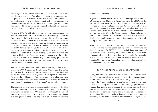Another great step forward during the UN Decade for Women was that the very concept of "development" came under scrutiny from the point of view of women. Before the Nairobi Conference, two comprehensive surveys on development had been produced. The General Assembly decided in 1981 that an interdisciplinary and multisectoral world survey should be prepared on the role of women in overall development (United Nations, 1986).

In August 1984 Devaki Jain, a well-known development economist and thinker from India, initiated a brainstorming session in Bangalore (India), which led to the founding of Development Alternatives with Women for a New Era (DAWN), a network of women social scientists who provided an alternative framework for understanding the location of and advancing the cause of women of the South. For the Nairobi Conference DAWN produced an alternative report on development, bringing together these social scientists' experiences with development strategies, policies, theories and research. Their point of departure was the awareness "of the need to question in a more fundamental way the underlying processes of development into which we have been attempting to integrate women" (Sen and Grown, 1985).

The survey and alternative report were produced parallel to each other. The DAWN report on *Development, Crises, and Alternative Visions* is critical in a straightforward manner. The *UN World Survey on the Role of Women in Development* is more diplomatic and subtle. However, the publications' findings support each other, and their basic message is the same: development is not serving the needs of women and does not correspond to women's values and aspirations.

These reports became important background documents for the 1985 Nairobi Conference. They also represented a turning point in dealing with women's issues in the UN system. They brought the role of women in development into focus as an indispensable new dimension and questioned the prevailing pattern of development from the

point of view of women.

In general, attitudes toward women began to change both within the UN system and the Member States as a result of the UN Decade for Women. A manifestation of this was the fact that the Nairobi Forward-Looking Strategies for the Advancement of Women (NFLS) were adopted by consensus by 157 Member States (United Nations, 1985), whereas the World Conference in Copenhagen had resorted to a vote. When the General Assembly later endorsed the NFLS, it also decided that world surveys on the role of women in development would be prepared every five years as part of the follow-up of the Nairobi Conference.

Although the objectives of the UN Decade for Women were not achieved during the ten years, setting new objectives was not deemed necessary. The NFLS document included new definitions of key concepts such as Equality, Development and Peace from women's perspectives, and it approved improved strategies for the attainment of the goals of the UN Decade for Women by the year 2000. Thus the UN Decade for Women became an "extra long decade" and continued until the year 2000.

# **Review and Appraisal as a Regular Practice**

During the first UN Conference on Women in 1975, governments decided to have the first review and appraisal of the implementation of the Mexico World Plan of Action in five years. It would take place in the form of another world conference in order to give women's issues publicity and visibility and to encourage governments to prepare their reports and to attend. It was agreed that the Second World Conference on Women would be held in 1980. Thus began the practice of periodic reviews and appraisals of conferences on women in the UN system. It allowed governments to create rules and measures, and to make themselves accountable in the eyes of "the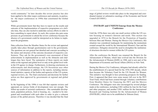world community." In later decades this review practice has also been applied to the other major conferences and summits, in particular the major conferences in 1990s that constituted the Global Agenda.

While governments know that they have to report on the results and outcome of the implementation of respective programmes at a definite time, they are also incited to undertake serious efforts in order to have something to report about. As such, this system also puts some pressure on governments to attend the review conference because the absence of a government could be interpreted as its failure to implement the programme.

Data collection from the Member States for the review and appraisal usually takes place through questionnaires sent to the governments. The questions are not general but detailed and concrete according to the nature and structure of the outcome document of respective conferences. They ask for the government's own assessment of their achievements in implementation as well as the obstacles and challenges they have faced. The summaries of these reports are made either at the regional and global level or only at the global level within the UN agency in charge. Furthermore, in drawing conclusions on achievements and shortcomings, the UN Secretariat uses other sources of information in addition to the reports, including international statistics, reports of the bodies and agencies of the UN system, regional reviews, etc. The final conclusions and decisions for further action are then approved by governments at regional and global levels.

In the beginning of the 1990s it was felt that separate reviews and appraisals on various fields of development were not enough. The follow-up results of sectorial conferences—like sustainable development, population policies, food or housing, etc,—needed to be integrated and coordinated with each other in order to give a coherent picture of the global process. Therefore it was decided that the final

stage of global reviews would take place in the integrated and coordinated manner at substantive meetings of the Economic and Social Council (ECOSOC).

#### **INSTRAW and UNIFEM Emerge from the Mexico Conference**

Until the 1970s there was only one small section within the UN system focusing on women's interests and needs. This section was upgraded in 1974 to the Branch for the Promotion of Equality between Men and Women. During the Mexico City Conference, this situation was considered inadequate for maintaining the momentum created around the world by the International Women's Year and the conference. Delegates stressed the need to strengthen the institutional structures devoted to women within the UN system.

After the conference the Branch was renamed the Branch for the Advancement of Women, which later evolved into the Division for the Advancement of Women (DAW) in 1988, and is now part of the Department of Economic and Social Affairs (DESA) in New York.

During the Mexico City Conference, delegates had already called for the establishment of a special fund for the 1976-1985 decade, which then became the Voluntary Fund for the UN Decade for Women. This initiative was thought to have promising prospects for funding. First, it appeared that there were some money left over in the IWY Trust Fund, which had been created through voluntary contributions from Member States for financing the IWY and the Mexico Conference. The delegates were also encouraged by several pledges made at the conference, including US\$1 million by Iran for the Fund and other purposes, and another US\$1 million for the International Research and Training Institute for the Advancement of Women (INSTRAW), which was to be established in Teheran (Iran).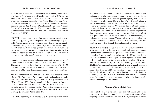After a series of complicated procedures, the Voluntary Fund for the UN Decade for Women was officially established in 1976 to give support to "the poorest women in the poorest countries" in their efforts to implement the goals of the World Plan of Action. When the Decade ended in 1985, the mandate of the Fund was expanded to become the United Nations Development Fund for Women (UNIFEM), a separate and identifiable entity within the UN system in autonomous association with the United Nations Development Programme (UNDP).

UNIFEM focuses its activities on four strategic areas: reducing feminized poverty; ending violence against women; reversing the spread of HIV/AIDS among women and girls; and achieving gender equality in democratic governance in times of peace as well as war. Within the UN system, it promotes gender equality and links women's issues and concerns to national, regional and global agendas by fostering collaboration and providing technical expertise on gender mainstreaming and women's empowerment strategies.

In addition to governments' voluntary contributions, women in different countries have also raised funds for the work of UNIFEM. This activity has been formalized by the establishment of UNIFEM National Committees to raise funds and disseminate information about UNIFEM's work. These committees now exist in 15 countries.

The recommendation to establish INSTRAW was adopted by the Mexico City Conference. Furthermore, the formal decision to establish INSTRAW was made by ECOSOC in 1976 (Resolution 1998 LX of 12 May 1976). Due to the political developments in Iran, the plan to locate the Institute in Teheran did not materialize. The Institute initiated operations in New York in the beginning of the 1980s and finally established its permanent headquarters in Santo Domingo (Dominican Republic) in 1983.

INSTRAW, according to its mandate, is the only institution within

the United Nations system to serve at the international level to promote and undertake research and training programmes to contribute to the advancement of women and gender equality worldwide. Its activities cover all Member States of the UN, both industrialized as well as developing countries. INSTRAW, in consultation with civil society, governments and the UN system, has identified emerging and crucial themes for the integration of women into development. Studies promoted by INSTRAW have shown the effects of globalization in processes such as migration, the impact of structural adjustment policies on women's access to work, health and education, and violence against older women. Themes related to human rights, gender-based violence and the role of women in processes of peace have also been approached through different research projects.

INSTRAW is funded exclusively through voluntary contributions from Member States, inter-governmental and non-governmental organizations, foundations and private sources. It is not entitled to financing through regular contributions of UN Member States, which is the method of funding of other UN agencies; nor is it funded by an endowment, as is the case with some other UN research institutions. These ambiguities in its financing have hampered INSTRAW in reaching the scope and role it was originally intended to have. In order to revitalize and strengthen its work, the Institute received in 1999 an additional mandate to carry out its activities through the utilization of new information and communication technologies (ITCs). As a result, it developed a new operational methodology for the production, management and dissemination of gender related knowledge and information.

#### **Women's Own Global Fora**

The parallel NGO fora held in connection with major UN conferences on women have become the "real" world conferences of participating women. From the first one in 1975, these parallel events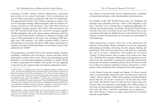consisting of NGOs—mainly women's organizations, researchers and activists in the women's movement—took on proportions not seen in NGO events held in connection with other UN conferences. The International Women's Year Tribune organized in Mexico City in 1975 had approximately 4,000 participants, while the official conference had about 1,200 delegates. The 1980 NGO Forum in Copenhagen brought together some 6,000-7,000 participants, and the 1985 Nairobi Forum broke the records by bringing together 16,000 participants. One of the largest global conferences until then was the 1995 Fourth World Conference on Women in Beijing with some 17,000 participants in the main event, including 6,000 delegates from 189 countries, over 4,000 accredited NGOs, a host of international civil servants and about 4,000 media representatives. Together with about 40,000 participants in the Huairou Forum, they numbered over 50,000.<sup>6</sup>

The programmes of parallel NGO events include seminars, lectures, workshops, exhibitions and even theatre, concerts and other artistic performances mostly drawn up by NGOs and participating groups themselves. An international planning committee is usually formed to make arrangements for facilities and logistics for the suggested events and can also organize large-scale plenary gatherings if necessary. Massive events like these are also characterized by a multitude of improvised meetings, events, demonstrations and processions.

For example, at the 1985 Nairobi Forum some 125 workshops and meetings were scheduled each day—about 1,200 altogether in ten days—and there was a constant flow of unplanned gatherings, discussions and group meetings of all kinds. During the Nairobi Forum networks were sown in the heart of the event, the Peace Tent, on the green lawns and under the shadowing trees of the Nairobi University campus, in hotels and dormitories; no one knows the total number of such gatherings.

What characterizes women's NGO fora is the enthusiasm and activism of participants. Women themselves are actively organizing, participating, presenting, discussing and also singing, dancing and performing. They don't just passively sit and listen as is generally the case in so many conferences. Participants are all natural "experts" on being women, and on women's lives in their own countries. Therefore the exchange of information and experiences is easy, and all are also interested in sharing the knowledge presented by researchers on women's conditions and lives from all over the world. It is at these fora that the separation of theory and practice is eliminated, as both contribute to the enrichment of the total experience.

At the Nairobi Forum the strength and dignity of African women made an unforgettable impression upon European and American women. African women's visible self-confidence and determination proved that they are not the "second sex" but the first one in their own world. The Nairobi Forum was also the first of these large conferences where the proportion of participants from different parts of the world was becoming more balanced. There were so many women from Asia and Africa—and their contribution was so impressive that white Western women no longer represented the dominant majority of participants.

<sup>6.</sup> NGO forums in connection with major UN conferences became common in the 1970s. The first large parallel forum was held with the United Nations Conference on Human Environment (UNCHE) in Stockholm in 1972. The UN world conferences on women created huge interest from the beginning among women both at international and national levels. Under the auspices of CONGO (the Conference of NGOs in Consultative Relationship with ECOSOC) a special planning and preparatory committee was established to organize and prepare, at the international level, participation of NGOs in the conferences on women. Also in collaboration with local NGOs there was established in hosting countries preparatory committees, which had the task of making practical arrangements in Mexico City, Copenhagen and Nairobi.

NGOs wishing to observe and participate in UN processes and events can apply to ECOSOC for Consultative Status. Then they will be entitled to be accredited as observers to UN world conferences. This kind of participation has been available to NGOs since the founding of the UN.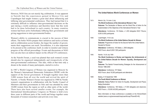However, NGO fora are not merely big celebrations. It was apparent in Nairobi that the experiences gained in Mexico City and Copenhagen had taught women a great deal about influencing and lobbying inter-governmental conferences. They had learned that it is extremely difficult to influence inter-governmental decisions on the spot during a world conference and therefore knew that this work had to be done beforehand in each country. In many countries women had been active beforehand, lobbying their governments and giving suggestions to inter-governmental bodies.

Women's ability to communicate is crucial to the success of their efforts. The better NGOs prepare their initiatives and tactics at home and in collaboration across borders, the larger the number of governments their suggestions can reach. Nevertheless, it is also important to be present at the conference itself, in order to monitor and witness progress of the official proceedings. Events and discussions at NGO fora can also have an indirect impact on the official UN conferences.

At the Nairobi Forum, a seed was planted that such women's events should also be organized independently and irrespectively of the inter-governmental conferences. This idea, while at that time only a dream in the minds of many participants, started to evolve.

In 1987 a World Congress of Women was organized in Moscow by the Women's International Democratic Federation (WIDF) with the support of the Soviet government. It brought together more than 3,000 women from all over the world and revived the spirit of Nairobi. A Nordic Women's Forum was organized in 1988 by Nordic women's organizations in collaboration with the Nordic Council of Ministers and their governments in Oslo and was attended by some 10,000 women from the region as well as other parts of the world. There have also been several smaller events. For example, the International Interdisciplinary Congress on Women is held every three years in different parts of the world and brings together some thousands of women researchers and activists every time.

|      | The United Nations World Conferences on Women                                                                                                                                                                                                                                                          |
|------|--------------------------------------------------------------------------------------------------------------------------------------------------------------------------------------------------------------------------------------------------------------------------------------------------------|
| 1975 | Mexico City, 19 June-2 July<br>The World Conference of the International Women's Year<br><b>Outcome:</b> The Declaration of Mexico and the World Plan of Action for the<br>Implementation of the Objectives of the International Women's Year                                                          |
|      | Attendance: Conference, 133 States, c.1,200 delegates NGO Tribune,<br>6,000 (4,000) participants                                                                                                                                                                                                       |
| 1980 | Copenhagen, 14-30 July<br>The World Conference of the United Nations Decade for Women<br>Outcome: Programme of Action for the Second Half of the United Nations<br>Decade for Women<br>Attendance: Conference, 145 States; c. 2000 delegates<br>NGO Forum, about 6,000-7,000 participants              |
| 1985 | Nairobi, 15-26 July 1985<br>The World Conference to Review and Appraise the Achievements of<br>the United Nations Decade for Women: Equality, Development and<br>Peace<br>Outcome: The Nairobi Forward-looking Strategies for the Advancement of<br>Women 1986-2000                                    |
|      | Attendance: Conference, 157 States<br>NGO Forum, about 16,000 participants and attendants                                                                                                                                                                                                              |
| 1995 | Beijing, 4-15 September 1995<br>The Fourth World Conference on Women<br>Outcome: Beijing Platform for Action for Equality, Development and Peace;<br><b>Beijing Declaration</b><br>Attendance: Conference, 189 States, c.17,000 delegates and observers;<br>NGO Forum, c. 35,000 (40,000) participants |
|      | More information on these conferences is available on the WomenWatch<br>website (www.un.org/womenwatch/asp/user/list.asp?ParentID=40).                                                                                                                                                                 |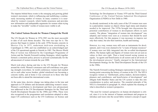The impetus behind these events is the emerging and growing global women's movement, which is influencing and mobilizing a continuously increasing number of women. In many countries it is nourished by women's research, which builds awareness and provides new information and indisputable arguments for women when trying to make the "invisible" worlds of women more visible to all.

# **The United Nations Decade for Women Changed the World**

The UN Decade for Women in 1976-1985 was the most successful to date of all such theme decades. The time was ripe for it. The process that began to mature in the early 1970s became concrete in Mexico City in 1975, underwent mid-term stocktaking in Copenhagen in 1980, and was established as an acknowledged part of the UN operational agenda in Nairobi in 1985. The Mexico World Plan of Action was followed by the Copenhagen Programme of Action and the Nairobi Forward-Looking Strategies, which together formed a consistent policy process to proceed systematically for the advancement of women towards the year 2000.

Much took place during and due to the UN Decade for Women around the world. Women's awareness and self-confidence was gaining strength everywhere. In world conferences women had reached out to each other across borders, global sisterhood was becoming a concrete reality, and at home it was conveyed on to those who had not been able to attend the international events.

At the same time, decisive change was taking place in the tone and approach in UN debates and documents addressing women's issues. Women's contribution to development and their own advancement was addressed in the UN Development Strategies for the Third and Fourth Development Decades for the 1980s and 1990s. These were also recognized in the programmes and resolutions adopted in other major UN conferences such as the UN Conference on Science and Technology for Development in Vienna 1979 and the Third General Conference of the United Nations Industrial Development Organization (UNIDO) in New Delhi in 1980.

As already mentioned, in the early years of the UN women were seen in a paternalistic manner as objects whose legal status and situation needed to be improved. The 1970s brought into discussions the potential contribution of women to development efforts in each country. The phrase "integration of women into development" was adopted, and women were seen as a resource that should be used more effectively. For this purpose it was necessary to improve not only their status, but also their nutrition, health and training.

However, in a way, women were still seen as instruments for development, and it was even claimed to be "a waste of human resources" if women were not fully integrated into the so-called development efforts. The human rights and dignity of women were not yet seen as values in their own right. Then a trend toward seeing women as equals, "as agents and beneficiaries in all sectors and at all levels of the development process," finally emerged in the International Development Strategy for the Third Development Decade of the UN in the 1980s.

The Nairobi Forward-Looking Strategies represented in many ways a turning point concerning the history of women in the UN. The NFLS recognize women as "intellectuals, policy-makers, decision-makers, planners and contributors, and beneficiaries of development" and obligate both Member States and the UN system to take this into consideration in policy and practice. The essential principle of the NFLS is formulated in paragraph 16, which explains the meaning of what is described as women's perspective.

"The need for women's perspective on human development is critical, since it is in the interest of human enrichment and progress to introduce and weave into the social fabric women's concept of equal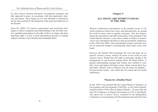ity, their choices between alternative development strategies and their approach to peace, in accordance with their aspirations, interests and talents. These things are not only desirable in themselves but are also essential for the attainment of the goals and objectives of the Decade"

Since the 1980s, UN reports, programmes and resolutions have begun to reflect recognition and understanding of the fact that women's equitable participation in all walks of life is no longer only their legitimate right; it is also a social and political necessity in making progress towards a more humane and sustainable future.

# **Chapter 5**

## **ALL ISSUES ARE WOMEN'S ISSUES IN THE 1990s**

Women's enthusiastic participation in the parallel events to UN world conferences shows how active and interested they are around the world in issues such as equality and peace. This also demonstrates the expectations and faith women place in the potential of the United Nations. However, it was often a matter of chance if women's voices were articulated and heard at inter-governmental conferences in the 1970s and 1980s, when international women's networks were not yet advanced enough to systematically ensure their voices were heard.

However, the Nairobi NFLS postulates the view that there are no specific women's issues; instead, all issues in the world are also women's issues. Women have the right to participate equally in the management of, and decision making about, all human affairs. A general understanding emerged that women were entitled to voice their views and impact all human issues, which concern their lives and future. Women wish to influence how all issues are handled not just women's issues—also within the UN system and at its world conferences.

#### **Women for a Healthy Planet**

In late 1989 it was decided that the United Nations Conference on Environment and Development (UNCED), or the Earth Summit, would be held in 1992 in Rio de Janeiro (Brazil)—20 years after the first UN Conference on Human Environment in 1972 in Stockholm. The report *Our Common Future*, compiled by the Independent Commission on Environment and Development and chaired by then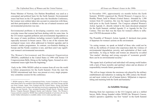Prime Minister of Norway, Gro Harlem Brundtland, was used as a conceptual and political basis for the Earth Summit. Environmental issues had been on the UN agenda since the Stockholm Conference, but women were seldom taken into account in connection with these, and their participation in debates on the use of natural resources and environmental protection was rare.

Environmental problems in developing countries were concrete, everyday issues that women had been dealing with for some time. In the US women regarded pollution and environmental degradation as the cause of many problems including women's health problems, especially increases in breast cancer. This is one of the reasons that ecological issues were often addressed in feminist agendas and in women's studies programmes. In contrast, eco-feminist thinking in Europe and the Nordic countries is rare, and there aren't any significant women's environmental movements.

The Women's Environment and Development Organization (WEDO), established in the United States in 1990 with former US Congresswoman Bella Abzug as the leading figure, focused on environmental issues right from the beginning.<sup>7</sup>

Early in the 1990s WEDO called on women from all over the world to follow preparations for the Earth Summit. From the start the WEDO international task force was present at every single preparatory committee session for the conference.

women from 83 countries, this was the largest unofficial meeting held prior to the Earth Summit. The Congress adopted Women's Action Agenda 21, directly related to the main document prepared for the Earth Summit, entitled Agenda 21 or Agenda for the 21st Century. This text then was the basis for women's efforts to influence UNCED documents in Rio.

The Preamble of Women's Action Agenda 21 declared clear points of departure for women's actions on the environment:

"As caring women, we speak on behalf of those who could not be with us, the millions of women who experience daily the violence of environmental degradation, poverty, and exploitation of their work and bodies. As long as Nature and women are abused by so-called 'free market' ideology and wrong concepts of 'economic growth' there can be no environmental security."

"We equate lack of political and individual will among world leaders with a lack of basic morality and spiritual values and an absence of responsibility towards future generations."

"We will no longer tolerate the enormous role played by the military establishment and industries in making the 20th century the bloodiest and most violent in all of human history. Militarism is impoverishing and maiming both the Earth and humanity."

## **An Infallible Strategy**

Drawing from her experience in the US Congress and as a skilled lawyer, Bella Abzug founded within WEDO the Women's Caucus, which's operative capability was first "tested" in the Earth Summit

<sup>7.</sup> WEDO started in 1990 as an International Policy Action Committee of 54 women, with almost half of its members from developing countries, nine from Europe and the rest from Canada, Japan, New Zealand and the United States. Along with Bella Abzug, initiators were women who had been involved in organizing the NGO Forums in Mexico and Nairobi. They included Rosalind Wright Harris, Dorothy Slater Brown, Virginia Hazzard, Margaret Snyder and Catherine Tinker. The Women's Caucus network created by WEDO then mobilized hundreds of activities all over the world. Further information is available online: (www.wedo.org/index.aspx).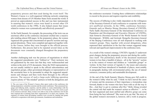preparatory process and then used during the event itself. The Women's Caucus is a well-organized lobbying network comprising women from dozens of UN Member States from around the world. It proved an unprecedented success in Rio and was later instrumental in ensuring that women's voices were heard in several other UN world conferences in the 1990s. It also helped ensure that issues related to women were systematically and effectively promoted.<sup>8</sup>

At the Earth Summit, for example, the processing of the texts was an enormous effort as the conference document swelled into a massive pile totalling almost 800 pages. In the preparatory phase, the women organized into groups that concentrated on specific sections and suggested alterations. These were compiled and approved together within the Caucus, before they were brought to the official process. Furthermore, this process had to be repeated several times as the documents were constantly changed throughout the preparatory process.

Another challenging task was the process of negotiations in which the suggested amendments were "lobbied in." Their inclusion was not guaranteed by the mere fact that they were wellresearched and written in the style of UN documents. Since the NGO representatives are not usually entitled to speak in the official subcommittees and negotiation groups, either government delegates or representatives of the secretariat have to be persuaded to adopt the suggested amendments and changes and then work them through in the official process. The success of such a large-scale lobbying operation requires plenty of "like-minded" partners in both the delegations and

the conference secretariat. Creating these collaborative relationships is crucial to the process and requires expertise and credibility.

The success of lobbying is also vitally dependent on the willingness of the Secretary-General of each conference to cooperate with women's unofficial networks. In the 1990s, conference Secretary-Generals such as Maurice Strong (Secretary-General of UNCED), Nafis Sadik (Secretary-General of the International Conference on Population and Development and Executive Director of UNFPA), Juan Somavía (Secretary-General of the World Summit for Social Development—WSSD), and Gertrude Mongella (Secretary-General of the Beijing Conference) were all well disposed to working with women's groups. They, together with several delegations, often expressed their satisfaction at the fact that women suggested many relevant and significant improvements to the conference texts.

As a result of the women's strategy, UNCED's Agenda 21 underwent great changes during the preparatory process and during the conference itself. The preliminary drafts of the document mentioned women in less than a handful of places—all in the "poverty" section or in the context of women and children as "vulnerable groups" or victims. In the final version of Agenda 21, the issues and concerns of women had been introduced in hundreds of places, most notably in paragraphs dealing with environmental policy, the use of natural resources, consumer policy and sustainable development.

At the end of the Earth Summit, Maurice Strong gave full credit to the women's lobby when he said, "I think we have moved the cause of women and the awareness of their importance a tremendous step forward, thanks to the women who have been with us all the way to Rio....And they've got to continue after Rio." Bella Abzug revealed the central rule that made the women's action so effective: "…to be the best organized and most unified and effective group can come from being the best informed." She went on to say that "the story of the global women's movement is, however, still a work in progress.

<sup>8.</sup> The core team of the Women's Caucus often spent weeks at the conference site during preparatory committee sessions and the actual conference. They possessed language and lobbying skills, expertise, and the ability to create relationships with the delegations of like-minded countries and the UN Secretariat. They also acted as part of an extensive network. Many women were able to stay at the conference site for the time required due to backing from their organizations or at their own expense. The expenses of women from developing countries were covered by funding and grants collected in cooperation with donor governments, foundations and institutions.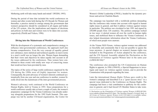Mothering earth will take many hands and minds" (WEDO, 1993).

During the period of time that included the world conferences on women and other events held during the UN Decade for Women and thereafter, a practice started to emerge among the governments that women's perspective should be considered in all organs and bodies of the UN system. Also the implications and impacts of decisions and policies on both men and women were to be taken into account, respectively (Pietilä and Vickers, 1996).

### **Diving into the Mainstream of World Conferences**

With the development of a systematic and comprehensive strategy to influence inter-governmental conferences, the approach itself also became comprehensive. Even the very concept of equality gained new substance; mere statistical and technical equality on men's terms in a men's world was no longer the aim. Women began demanding that their views and objectives be taken equally into account in all the issues addressed by the conferences. Thus women have contributed to these events with totally new ways of conceiving issues that would not have been provided by men.

The topics of the series of large world conferences organized by the UN during the 1990s were all highly important for women. Consequently, the joint advocacy of women's interests continued systematically from one year and one conference to another; women literally dived into the mainstream of the inter-governmental process.

Women's advocacy work continued at the World Conference on Human Rights, held in Vienna in 1993. Since preparations for a world conference usually take at least a couple of years, the women's preparatory campaign for the Vienna Conference was already underway alongside preparations for the 1992 Earth Summit. This campaign was led by another US-based organization, the Center for Women's Global Leadership (CWGL), headed by the dynamic professor and activist Charlotte Bunch.

The campaign was launched with a worldwide petition demanding that the conference take women into account with regard to human rights issues in general, and that it address violence against women in particular. The petition was circulated in late 1991 and signed by 250,000 people from 120 countries. The petition campaign worked in two ways: it alerted women all over the world to human rights issues, and mobilized them to influence the Vienna Conference. It also helped disseminate information about the Vienna Conference, of which most people were unaware.

At the Vienna NGO Forum, violence against women was addressed so forcefully and consistently that it was not possible to ignore the issue anymore. A special chapter on women's human rights was included in the Programme of Action adopted by the conference, and the UN General Assembly adopted the Declaration on the Elimination of Violence against Women later in the same year  $(A/RES/48/104).$ <sup>9</sup>

The conference also prompted the UN Commission on Human Rights to appoint, in 1994 (1994/45), a Special Rapporteur to investigate and report on violence against women, and to provide the Commission with proposals regarding the issue.

Later the international *Human Rights Tribune* gave credit to the women's campaign and described it as a "great success story" in a special issue dedicated to the Conference on Human Rights. The campaign had been a vital contribution to publicity for the conference in general, and it had forced UN Member States to take wom-

<sup>9.</sup> Declaration on the Elimination of Violence against Women (A/RES/48/104): (www.unhchr.ch/html/menu3/b/21.htm). The Secretary-General's *In-depth Study on All Forms of Violence Against Women* (A/61/122/Add.1) is available online: (www.un.org/womenwatch/daw/vaw/violenceagainstwomenstudydoc.pdf).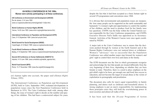### **UN WORLD CONFERENCES IN THE 1990s Women were actively participating in all these conferences.**

**UN Conference on Environment and Development (UNCED)** Rio de Janeiro, 3-14 June 1992: (www.un.org/esa/sustdev/documents/agenda21 /index.htm)

**World Conference on Human Rights (WCHR)** Vienna, 14-25 June 1993: (www.ohchr.org/english/law/vienna.htm)

**International Conference on Population and Development (ICPD)** Cairo, 5-13 September 1994: (www.iisd.ca/cairo.html)

**World Summit for Social Development (WSSD**) Copenhagen, 6-12 March 1995: (www.un.org/esa/socdev/wssd)

**Fourth World Conference on Women (FWCW)** Beijing, 4-15 September 1995: (www.un.org/womenwatch/daw/beijing/fwcw.htm)

**Second UN Conference on Human Settlements (HABITAT II)** Istanbul, 4-15 June 1996: (www.unhabitat.org/habitat\_agenda.htm)

**World Food Summit (WFS)** Rome, 13-17 November 1996: (www.fao.org/wfs/homepage.htm)

en's human rights into account, the paper said (*Human Rights Tribune*, 1993).

The International Conference on Population and Development (ICPD), held in Cairo, September 1994, evaluated developments in population issues since the first Population Conference held in Bucharest in 1974. The Cairo Conference dealt with, among other things, the issue of woman's right to decide on the number and spacing of her children. This had been a controversial subject for years,

despite the fact that it had been accepted as a basic human right in several UN programmes and conventions since 1968.

It is obvious that environmental and population issues are inseparable: how many people can be supported on the earth sustainably and humanely? A woman's right and opportunities to control the number of her children, and the need to produce food for her family were key questions. UNFPA was the body within the United Nations system responsible for the Cairo Conference preparations, and UNFPA Executive Director Nafis Sadik was appointed as its Secretary-General. Activities of the Women's Caucus were once again coordinated by WEDO.

A major task at the Cairo Conference was to ensure that the decisions pushed through by women at the Earth Summit and at the Human Rights Conference were not watered down or withdrawn. Women's "advocacy" was so successful that the Population Conference was called another major step forward for women's and girls' right to control their own lives and status in the family.

The ICPD document was the first in which governments recognize and acknowledge the fact that people are treated differently from the very beginning of their lives, depending on whether they are born female or male. Therefore, there is a need to place emphasis on the girl-child's right to be born, get enough care and food, have access to education, and not become the target of sexual abuse or the victim of exploitation in pornography and prostitution.

The document also calls for men's equal responsibility in family planning, and duties such as childcare and household chores. A strong emphasis is put on men's responsibility for implementing these principles since they still hold the overwhelming power in most societies and almost all walks of life.

It has been said that the 20-year Programme of Action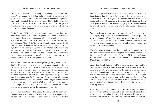(A/CONF.171/13/Add.1) adopted by the ICPD speaks "feminist language." No wonder the Holy See and a group of the most patriarchal governments were upset with the consensus in which the Programme was finally adopted. In her closing words, Nafis Sadik stated that "this Programme of Action has the potential to change the world...over the next 20 years [it] will bring women at last into the mainstream of development."

On 14 October 2004, the General Assembly commemorated the 10th anniversary of the ICPD and its Programme of Action. Governments underscored that the commitments made in Cairo and those pledged at the Millennium Summit in New York in 2000 [Millennium Development Goals (MDGs)] were mutually reinforcing. On 13 October 2004, a statement by world leaders and more than 30,000 signatures from citizens in Europe and the United States expressing support for the Cairo Consensus was presented to the United Nations. The statement calls on the international community, national governments and private philanthropic organizations to prioritize and fund the ICPD Programme of Action.

The World Summit for Social Development (WSSD), held in March 1995 in Copenhagen was a cry for social development and human values in the impersonal world of unfettered market forces in the 1990s, when social structures were eroding both in industrialized and developing countries. Eradication of poverty is the first and foremost concern of women since the majority of the poor in the world are women, and the feminization of poverty is a reality in poor and rich countries alike. The Social Summit brought up the issue of increasing poverty in the midst of plenty, and it aimed to, among other things, convince Heads of State and Government to commit themselves to policies toward the eradication of poverty.

One of the initiators of the Social Summit, and its Secretary-General, was Juan Somavía of Chile. His career as a supporter and advocate of social development dates back to President Allende's time and the progressive atmosphere of the UN in the 1970s. Mr. Somavía described the Social Summit as "a deep cry of alarm…and a moral and ethical challenge to governments, business, media, trade unions, political parties, religious traditions, intellectuals, civil society in general, and all of us individually [to give social development] the highest priority both now and into the 21st century" (Somavía, 1995).

Women activists were on the move naturally in Copenhagen, too. Once again, they ensured that achievements of the three previous world conferences of the 1990s were not watered down or deleted. Mr. Somavía was pleased with the contributions of women in support of the Social Summit's objectives, and he collaborated with them right from the beginning.

"The Copenhagen Summit was the international community's most forthright acknowledgement that the problems faced by women lie at the heart of the global agenda," the then UN Secretary-General Boutros Boutros-Ghali said in his assessment of the Social Summit (United Nations, 1995b).

During the Social Summit WEDO launched a campaign—entitled 180 Days/180 Ways Women's Action Campaign—to mobilize women to distribute information on the outcomes of the Vienna, Cairo and Copenhagen conferences and to prepare for the Fourth World Conference on Women six months later in 1995. The campaign included daily events, and on International Women's Day, March 8, thousands of women marched in a torch procession "on the way to Beijing" from the city hall in Copenhagen to the Forum '95 in nearby Holmen.

In February 2005, the Commission on Social Development held its ten-year review of the implementation of commitments agreed upon in Copenhagen. Member States called for renewed momentum in meeting the objectives of the Copenhagen Declaration and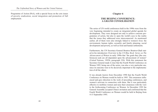Programme of Action (PoA), with a special focus on the core issues of poverty eradication, social integration and promotion of full employment.

### **Chapter 6**

### **THE BEIJING CONFERENCE: A GRAND CONSOLIDATION**

The series of UN world conferences held in the 1990s were from the very beginning intended to create an integrated global agenda for development. They were designed not only to achieve concrete programmes of action, but also to open the world's eyes to the reality that the issues they addressed were interconnected. As mentioned earlier, all of them were also strongly linked to women's lives: the environment, human rights, sexuality and family planning, social development and poverty, as well as food and human settlements.

Furthermore, the UN Secretary-General Boutros Boutros-Ghali stated in his introductory Overview to the *UN Blue Book Series on The Advancement of Women* in early 1990s that "the goals they [the conferences] seek are all dependent upon the advancement of women" (United Nations, 1995b, paragraph 220). With this statement the Secretary-General made it clear that the Fourth World Conference on Women 1995, being one of the series, was also a very particular one, since its outcome were to be decisively important to the implementation of all the others.

It was already known from December 1990 that the Fourth World Conference on Women would be held in 1995. This awareness influenced and gave direction to the work of preceding conferences, and women's activism in connection with them. But it was particularly effective to mobilize women and raise their awareness with the view to the forthcoming Conference on Women. In December 1992 the General Assembly accepted China's invitation and confirmed that the Fourth World Conference on Women would be held in Beijing from 4-15 September 1995.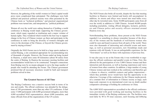However, the gathering of the world's women in China's capital would prove more complicated than anticipated. The challenges were both political and practical: political reasons were often presented by the Chinese hosts as "technical problems," and practical organizational problems were turned into, and interpreted as, "political problems."

Women all over the world were asking themselves if holding a world conference in Beijing would imply supporting the Chinese government, which many regarded as totalitarian and a major violator of human rights. They wondered which would be the best way to support change in the lives of Chinese women: go there and participate in the conference in order to bring the diversity of women's thoughts and views to the doorsteps of the Chinese, or boycott the Chinese government by staying at home?

Originally the NGO Forum was to be held in a large sports stadium in central Beijing, a site considered appropriate for accommodating tens of thousands of people. However, the Forum ended up being located in Huairou, a small town some 60 kilometres (about 40 miles) from the centre of Beijing. In Huairou the necessary meeting facilities and accommodation would have to be constructed. Transport connections from Beijing were by no means adequate to serve the large number of people who would be attending the Forum. The Chinese government promised that all necessary structures would be built and transport problems solved in time.

#### **The Greatest Success of All Time**

The Beijing Conference was a massive success both in terms of its size and results. The official conference was attended by the delegations of 189 governments, more than any other UN conference. It had some 17,000 participants with 6,000 government delegates, more than 4,000 accredited NGO representatives, about 4,000 journalists, and many officials from all the organizations of the UN system.

The NGO Forum also broke all records, despite the fact that meeting facilities in Huairou were limited and hotels still uncompleted. In addition, its streets and alleys were turned into mud baths every other day by torrential rains. Some 30,000 participants came from all over the world, in addition to 5,000 Chinese. Around 40,000 people including journalists, visiting official delegates, lecturers, performers and Chinese police and security officers swarmed around Huairou every day.

Notwithstanding these problems, those present at the NGO Forum regarded it as something to always remember because of the diversity of the women and the hundreds of well-known women who could be seen and heard in person from all parts of the world. There were also thousands of interesting and colourful events and meetings, as well as personal encounters, new friendships made and reunions with old friends. It was an unforgettable experience for the "first-timers" as well as for those with experience of previous fora.

It was also easy to see at the Forum why it was worthwhile to organize the official conference and parallel events in China. First, this allowed for the participation of over 5,000 Chinese women and their interaction and discussion, as well as hearing experiences and views of women from other countries. In addition, a large number of young Chinese women and men worked at the conference and therefore got a chance to observe, establish contacts and gather impressions which they probably never would have had the opportunity to do otherwise. Coverage of the conference by the Chinese media provided a constant flow of information to Chinese society at large; such large-scale exposure to an international event was no doubt another comparative advantage of holding the conference in China.

The 4,000 NGO representatives accredited to the official conference were provided with good working and meeting facilities in the immediate vicinity of the Beijing conference site. The facilities were used daily by 40 to 50 issue caucuses, each focusing and lobbying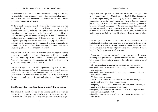on their chosen section of the basic documents. Many had already participated in every preparatory committee session, studied successive drafts of the final document, and worked on it in the different preparatory stages for two years.

At the official conference site the work of these issue caucuses was coordinated by the Linkage Caucus, which comprised about 1,300 women from over 70 countries. At eight o'clock every morning a "morning assembly" was held by the Linkage Caucus, at which the UN Secretariat gave an update on progress of the conference proceedings, and representatives of different caucuses reported on the progress regarding their respective issues. The joy experienced by members of the caucuses as they managed to push an amendment through was shared by all in these meetings. The more difficult the issue the greater the sense of accomplishment!

Around 85% of the recommendations that were not approved at the preparatory committee meetings and that were still in square brackets at the beginning of the conference—including the concept of "gender"—were adopted for inclusion into the final document by government delegations (WEDO, 1995).

In Bella Abzug's words: "We did not get everything that we want…. But it is the strongest statement of consensus on women's equality, empowerment and justice ever produced by the world's governments. It's a vision of a transformational picture of what the world can be for women as well as men, for this and future generations" (WEDO 1995).

## **The Beijing PFA—An Agenda for Women's Empowerment**

The official document adopted by the Beijing Conference is called the Beijing Declaration and Platform for Action for Equality, Development and Peace (PFA). The mission statement at the beginning of the PFA says that "the Platform for Action is an agenda for women's empowerment" (United Nations, 1996b). Thus, the emphasis is no longer merely on achieving equality and eradicating discrimination but on the empowerment of women so that they become full and equal partners in all policies and decision-making processes in their communities. Equality with men in a male-dominated culture and society alone is not enough. Women need to be empowered to bring their own views to policy making and the development of society, and to set their own priorities in accordance with their inherent values.

The PFA provides first an introduction to and assessment of the global situation at the time from women's viewpoints. It then specifies 12 Critical Areas of Concern, which are interrelated and interdependent, and sets strategic objectives and proposals for actions to be taken for the achievement of these targets.

"Governments, the international community and civil society, including non-governmental organizations and the private sector, are called upon to take strategic action in the following critical areas of concern:

- The persistent and increasing burden of poverty on women;
- Inequalities and inadequacies in and unequal access to education and training;
- Inequalities and inadequacies in and unequal access to health care and related services;
- Violence against women;
- The effects of armed or other kinds of conflict on women, includ ing those living under foreign occupation;
- Inequality in economic structures and policies, in all forms of pro ductive activities and in access to resources;
- Inequality between men and women in the sharing of power and decision making at all levels;
- Insufficient mechanisms at all levels to promote the advancement of women;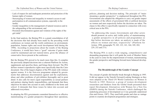- Lack of respect for and inadequate promotion and protection of the human rights of women;
- Stereotyping of women and inequality in women's access to and participation in all communication systems, especially in the media;
- Gender inequalities in the management of natural resources and in the safeguarding of the environment; and
- Persistent discrimination against and violation of the rights of the girl child."

In the final analysis, the Beijing PFA is a grand consolidation of all the decisions that had already been made by the preceding world conferences on women and the world conferences on environment, population, human rights and social development held during the 1990s. According to projections about the results of the Beijing Conference, it would have been a "good" outcome if gains made could be maintained and not watered down, given the alliance of conservative forces present at the conference.

But the Beijing PFA proved to be much more than this. It compiles the previously adopted decisions into a coherent Platform for Action, supplements and specifies them, and brings them forward. The PFA defines women's reproductive rights more specifically than the Cairo document. One of the largest chapters of the PFA deals with violence against women. It is the first-ever programme adopted by governments that addresses discrimination against and the exploitation, abuse and other problems of girl-children thoroughly and in great detail. It also calls for men's equal responsibility as sexual partners and partners sharing family responsibilities, and demands that these objectives be taken into account in early childhood in the home and school. It demands that these issues be taken into account and addressed everywhere.

In adopting the PFA governments committed themselves to effective mainstreaming of a gender perspective throughout their operations, policies, planning and decision making. The principle of "mainstreaming a gender perspective" is emphasized throughout the PFA. Governments also adopted the obligation to carry out gender impact assessments of the effects of government bills or political decisions on women and men respectively before the decisions are taken. The clause to this effect is specifically repeated in connection with every critical area in the PFA.

"In addressing [the issue], Governments and other actors should promote an active and visible policy of mainstreaming a gender perspective in all policies and programmes so that before decisions are taken, an analysis is made of the effects on women and men, respectively" (Platform for Action, 1996, paragraphs 79, 105, 123, 141, 164, 189, 202, 229, 252 and 273).

The Beijing PFA is such a wide ranging, comprehensive and demanding programme that it will guide the work of Member States in the years to come for the empowerment of women, mainstreaming the gender perspective and bringing forward more balanced development.

### **The Breakthrough of the Gender Concept**

The concept of gender did literally break through in Beijing in 1995. It did not appear in the Nairobi Forward-Looking Strategies as they were adopted at the Third UN World Conference on Women in Nairobi in 1985. However, a group of women development researchers and thinkers from the Global South presented their report Development Alternatives with Women for a New Era (DAWN) during the Nairobi Conference, which challenged the underlying processes of development as it was generally understood (Sen and Grown, 1987). They used both gender and class as vantage points to examine development programmes and strategies.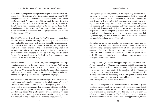After Nairobi, the gender concept slowly began to appear in UN language. One of the signals of its forthcoming was given when UNDP changed the name of its Women in Development Unit to the Gender in Development Programme in 1992. Around the same time, the drafting of the *Third World Survey on the Role of Women in Development* was beginning and it was to become the basic background document for the Beijing Conference. In fact, it was then the major document to launch the new language into the UN process (United Nations, 1995c).

The *World Survey* confirmed what the DAWN report had pointed out ten years earlier: "Policies that target women only cannot achieve the best results. Nor can those which assume that public actions are gender-neutral in their effects. Hence, promoting gender equality implies a profound change in the socio-economic organization of societies: not only in the way women work, live and care for the other members of the households, but also in the way men do, and in the way their respective roles in the family and community are articulated with the need to earn a living."

However, the term "gender" was so disputed among government representatives during the drafting process of the Beijing Platform for Action, that all references to the word gender were in square brackets when the Conference started in 1995. But during the process in Beijing, all square brackets were removed, gender literally broke out, and the concept of gender became accepted UN language.

The issue is not only about words and concepts, it is also about perceptions and understandings concerning the relationships of men and women in society and culture. It is about recognizing that men also have gender, which influences their thinking, attitudes and behaviour. This new perception and way of thinking has become part of UN thinking. Today, the gender perspective has partially replaced traditional equality thinking as such, albeit the aim is the equality of men and women as a prerequisite for women's empowerment.

Through the gender lens, equality is no longer only a technical and statistical perception. It is also an understanding that the views, values and experiences of men and women are different in many ways and, therefore, it is essential that both male and female views are equally heard and recognized in society, and in economic and political planning and decision making. Only then can men and women equally and democratically influence progress in society, which shapes the conditions and prerequisites of their lives. Thus, the equal participation and impact of women in society becomes not only their legitimate right, but also a social and political necessity for achieving more balanced and sustainable development.

As stated earlier in this chapter, by unanimously adopting the Beijing PFA in 1995, UN Member States committed themselves to mainstreaming a gender perspective into all areas of societal development in their respective countries in the years to come. Later in 1997, ECOSOC's agreed conclusions placed this obligation on the entire UN system to apply gender mainstreaming throughout its work (see the following section).

During the Beijing+5 review and appraisal process, the *Fourth World Survey on the Role of Women in Development* in 1999 continued this discussion. It reviewed the consequent phases of progress in development discourses and studied the problems of the Women in Development (WID) approach and policies (United Nations, 1999b). It also pointed out the inadequacy of WID programmes due to their emphasis on women alone, and for not addressing the basic structures of inequality between women and men.

This realization opened a whole new debate and resulted in greater emphasis being placed on the concept of gender, implying that all issues are to be studied from the point of both women and men. This new orientation has eventually paved the way for a new approach called gender and development (GAD), where "gender" as a category of analysis has taken the central stage. This approach has, to quite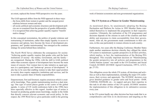*The Unfinished Story of Women and the United Nations The Beijing Conference*

an extent, replaced the former WID perspective over the years.

The GAD approach differs from the WID approach in three ways:

- —the focus shifts from women to gender and the unequal power relations between women and men;
- —all social, political and economic structures and development policies are re-examined from the perspective of gender differentials;
- —it is recognized that achieving gender equality requires "transfor mative change."

In this conceptual reorientation, the politics of gender relations and restructuring of institutions, rather than simply equality in access to resources and options, have become the focus of development programmes, and "gender mainstreaming" has emerged as the common strategy for action behind these initiatives.

The *Fourth World Survey* elaborates the consequences for society: "Achieving gender equality requires that gender roles and the basic institutions of society—the market, Government, and the family are reorganized. During the 1990s, with the shift to GAD, political rather than economic aspects of development have become the main issues of concern. Now women have to take initiative as equal partners in a participatory and 'bottom-up' process of development." It also has to be seen that enabling women to take their equal position in society does require supportive institutions and services, and for men to take a greater share of family responsibilities.

Empowerment, first and foremost, requires awareness which is created by knowledge. Thus, gender mainstreaming involves a dual strategy. One type of action places gender at the centre of the global agenda. A series of UN world conferences held in the 1990s have been especially effective in this regard. Another type of action is focused on producing gender-aware knowledge, mainly in the fields that directly concern relevant economic and social policy. In this respect, the *1999 World Survey* gives particular credit to the growing

work of feminist economists and non-governmental organizations.

## **The UN System as a Pioneer in Gender Mainstreaming**

As mentioned above, by unanimously adopting the Beijing Declaration and Platform for Action in 1995 Member States committed themselves to implement this programme in their respective countries. Ultimately, the realization of the UN programmes and decisions depends on the citizens in each of the countries and their ability and awareness to claim accountability from their governments. After all, the governments made commitments to their citizens, in this case particularly to women citizens in each country.

Furthermore, two years after the Beijing Conference Member States made another unanimous decision whereby they obliged the whole UN system to mainstream a gender perspective in all their activities, which implies, in fact, the implementation of the Beijing PFA throughout. This crucially important decision on "Mainstreaming the gender perspective into all policies and programmes in the United Nations system" was made in the UN Economic and Social Council, ECOSOC (ECOSOC Agreed Conclusions, 1997/2, A/52/3, pp. 27-35).

This obligation covers the whole UN system, all decisions and activities as well as their implementation, including the major UN conferences, their reviews and appraisals. The ECOSOC decision even gives detailed guidance to gender units and focal points—DAW, UNIFEM, INSTRAW, etc.—to support and give their expertise in this task to all other entities of the UN system. ECOSOC monitors the implementation of this obligation in its substantive sessions every year.

In the UN system hardly any other decision has been made that is as comprehensive and firm in its decisiveness and targeting as the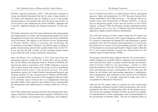ECOSOC Agreed Conclusions, 1997/2. This particular resolution is a large and detailed document that lists by name a large number of UN bodies and institutions that are obliged to see to it that gender mainstreaming is incorporated into their decisions and actions. In several points it also emphasizes the need to mobilize "adequate and, if need be, additional human and financial resources" for this purpose.

The bodies and units in the UN system dedicated to the advancement and empowerment of women and mainstreaming gender have been strengthened in recent years and new positions have been established in the Secretariat. This applies to the Division for the Advancement of Women (DAW), which is assisting and facilitating the Commission on the Status of Women, the political organ in charge of gender mainstreaming and all other gender-related issues in the UN. It now also has the task to follow up and coordinate gender-related issues within the work of other functional commissions.

Since the Mexico City Conference in 1975, there have been two autonomous agencies within the UN system that work for women. The United Nations Development Fund for Women (UNIFEM), the autonomous fund in association with UNDP, undertakes concrete work in many forms with women in the South as well as monitoring the gender-related issues in the political process. The other autonomous agency, the United Nations International Research and Training Institute for the Advancement of Women (INSTRAW), works on gender-related issues but is still struggling within the limits of its extremely scarce resources due to its inappropriate financing procedure. Both of these agencies have distinct roles in looking after the advancement and empowerment of women within the UN system.

One of the enhancement measures has been the promotion the Inter-Agency Network on Women and Gender Equality (IANWGE) to the status of a standing sub-committee for coordination and collaboration of Gender Focal Points in United Nations offices, specialized agencies, funds and programmes. In 1997 Secretary-General Kofi Annan established a new, high-level post — the Special Adviser on Gender Issues and Advancement of Women (OSAGI)—to advise him on integrating gender issues into the policies of the United Nations. In January 1998, the Secretary-General established another high position, next to his own, of Deputy Secretary-General and appointed a highly merited woman to that position.

The work and resources of these organs within the UN system can be seen within the framework of the overall obligations of the whole UN system to implement the Beijing PFA and mainstream a gender perspective into all of its policies and programmes. In recent years the proportion of women in decision-making positions within the UN Secretariat has increased significantly. Progress made within the UN in this regard probably exceeds any administration in the Member States (United Nations, 1999b).

The progress described above indicates that the UN system itself is, indeed, making every possible effort to implement the recommendations and decisions made on gender mainstreaming and advancement of women within its own proceedings—contrary to often repeated prejudices about the UN failing to implement its own decisions and betraying women. Unfortunately, the UN often gets the blame for the failures and shortcomings appearing in implementation of programmes and resolutions at the country level in Member States. Therefore, it is crucially important to make clear who is accountable for what and at which level.

After all, the UN system today is a pioneer not only in processing and adopting multilateral gender-related programmes and recommendations but also in implementing them in the global process. The UN has the legitimate mandate to follow up and review regularly implementation of these programmes and recommendations by the governments in Member States. This has an imposing effect on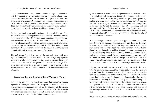*The Beijing Conference*

the governments not to forget their commitments agreed upon at the UN. Consequently, civil servants in charge of gender-related issues in each national administration have to acquire awareness and knowledge of existing UN programmes and recommendations and work towards their implementation in their respective countries. Thus the process trickles down through the inter-governmental structures from the UN to the national level in the Member States.

On the other hand, women citizens in each democratic Member State are entitled to hold their governments accountable for the promises they have made in the UN. These women constitute the global women's movement to widely inform their sister citizens—and brothers, too—in all countries about intergovernmental agreements and instruments and to exert the necessary political will. Civil society organizations and NGOs in each country are the channels and frameworks through which citizens can take actions for change.

The unfortunate fact is, however, that the vast majority of civil society—and the private sector in particular—are unforgivably ignorant about the revolutionary process taking place in gender thinking in recent times due to the UN system. This lack of knowledge is an enormous obstacle to progress in gender mainstreaming, the advancement of women and more equal and balanced development altogether.

### **Reorganization and Reorientation of Women's Worlds**

At beginning of this publication, it was noted that women's voluntary agencies were the path breakers for cooperation between NGOs and inter-governmental agencies as early as the founding of the League of Nations in 1919. In recent decades, since the 1970s, the women's movement has reactivated this cooperation and participation in politics at the macro level with the United Nations system.

Quite a number of new women's organizations and networks have emerged along with the process taking place around gender-related issues in the UN. Actually this process has provided a genuinely mutual exchange between the world's women and the UN system; the UN had to recognize women's role in development and politics in the early 1970s and the actions of the UN—beginning with the International Women's Year and Mexico City Conference in the 1970s—which stimulated and empowered women around the world to recognize how efficient an agency the UN could be for the sake of the advancement of women.

In this exchange with the UN, women's approaches and perceptions have become increasingly comprehensive and holistic. Equality between women and men, which has been very much an aim on its own merits, has become a baseline requirement for equal participation of women in decision making. Women's empowerment and gender mainstreaming form a new formula, which goes much beyond ordinary equality as a goal. However, mainstreaming must not result in "malestreaming," that is women's integration into men's world. In order to transform the patriarchal culture women must speak in their own voice, and act on the basis of their own experiences and values.

The purpose of mobilization, networking and reorganization is to activate women to learn about the politics at large and the ways and means of how the UN system operates. Only then can women participate in the process, not only by attending UN events and conferences, but by also seeing the importance of constantly following the politics in the making, at both the country and UN level. Only then women can influence the outcomes of the UN and other international organizations' events. Furthermore, national and international NGOs provide the machinery to organize women's participation in the meetings and conferences, both at the national and international level.

Below are a few examples of organizations and networks that are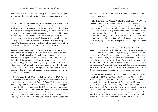conducting worldwide activities directly related to the UN and global processes. Contact information on these organizations is provided in Annex IV.

**—Association for Women's Rights in Development (AWID)** was established in 1982. It is a network of women and men, researchers, academics, students, educators, activists, business people, policymakers, development practitioners, funders, and other professionals in the field. AWID's mission is to connect, inform and mobilize people and organizations committed to achieving gender equality, sustainable development and women's human rights around the world. Its flagship event, the AWID International Forum, is held every three years. The Forum is the largest gathering of this kind outside of the UN. AWID's headquarters are located in Toronto (Canada).

**—ISIS International** was formed in 1974, in Rome and Geneva, and aims to create opportunities for women's voices to be heard, strengthen feminist analyses through information exchange, promote solidarity and support feminist movements across the globe. Since 1991 Isis International has three independent offices in Asia (Manila, Philippines), Africa (Kampala, Uganda) and Latin America (Santiago, Chile), reflecting a commitment towards South-South cooperation and South-North linkages. With connections in over 150 countries, ISIS keeps up with changing trends and analyses concerning women worldwide.

**—The International Women's Tribune Centre (IWTC)** is an international non-governmental organization established in l976 following the UN International Women's Year World Conference in Mexico City. With a philosophical commitment to empowering people and building communities, IWTC provides communication, information, education, and organizes support services to women's organizations and community groups working to improve the lives of women, particularly low-income women, in Africa, Asia and the Pacific, Latin America and the Caribbean, Eastern Europe and

Western Asia. IWTC is based in New York, just opposite United Nations headquarters.

**—The International Women's Health Coalition (IWHC)** was founded in 1984 and is based in New York. IWHC works to generate health and population policies, programmes, and funding that promote and protect the rights and health of girls and women worldwide. IWHC believes that global wellbeing and social and economic justice can only be achieved by ensuring women's human rights, health, and equality. At the 1994 Cairo Conference, IWHC was instrumental in shifting the focus of population policies from simply numbers of people to the health, empowerment and rights of individuals.

**—Development Alternatives with Women for a New Era (DAWN)** is a network established in 1984 by women scholars and activists from the economic South, who engage in feminist research and analyses of the global environment and are committed to working for economic and gender justice and democracy. DAWN works globally and regionally in Africa, Asia, the Caribbean, Latin America and the Pacific on the themes of the Political Economy of Globalization; Political Restructuring and Social Transformation; Sustainable Livelihoods; and Sexual and Reproductive Health and Rights, in partnership with other global NGOs and networks.

**—International Women's Rights Action Watch (IWRAW)** was organized in 1985 at the World Conference on Women in Nairobi (Kenya) to promote recognition of women's human rights under the Convention on the Elimination of All Forms of Discrimination against Women (CEDAW Convention), a basic international human rights treaty. IWRAW now is the primary international non-governmental organization that facilitates the use of international human rights treaties to promote women's human rights and rights within families. IWRAW is based at the Humphrey Institute of Public Affairs at the University of Minnesota in the United States.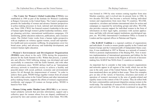**—The Center for Women's Global Leadership (CWGL)** was established in 1989 as part of the Institute for Women's Leadership at Rutgers University in the United States. The Center's programmes promote the leadership of women and advance feminist perspectives in policy-making processes in local, national and international arenas. Since 1990, CWGL has fostered women's leadership in the area of human rights through women's global leadership institutes, strategic planning activities, international mobilization campaigns, UN monitoring, global education endeavors, publications, and a resource center. The Global Center works from a human rights perspective with an emphasis on violence against women, sexual and reproductive health and socio-economic wellbeing. Its programmes cover two broad areas: policy and advocacy and leadership development, and women's human rights education.

**—Women's Environment and Development Organization (WEDO)** came about in the early 1990s during the preparatory process for the Earth Summit in Rio. Within that process, a systematic and effective NGO lobbying strategy was developed and used successfully in connection with the Earth Summit, and with other world conferences since. WEDO defines itself as an "international advocacy network to transform society to achieve a healthy and peaceful planet with social, political, economic and environmental justice for all through the empowerment of women." In order to achieve these goals, WEDO brings together women from all around

the world to take action in the United Nations and other international policy-making forums, supports the efforts of women's organizations worldwide, and engages US women on foreign policy. WEDO is based in New York.

**—Women Living under Muslim Laws (WLUML)** is an international solidarity network that provides information, support and a collective space for women whose lives are shaped, conditioned or governed by laws and customs said to derive from Islam. WLUML

was formed in 1984 by nine women coming together from nine Muslim countries, and it evolved into its present form in 1986. In two decades WLUML has become a network linking individual women and organizations from more than 70 countries. WLUML responds to, circulates and initiates international alerts for action and campaigns as requested by networking groups and allies. WLUML also provides concrete support for individual women in the form of information on their legal rights, assistance with asylum applications, and links with relevant support institutions, psychological support, etc. WLUML's International Coordination Office is located in London and has regional offices in Pakistan and Nigeria.

**—The KARAT Coalition** is a regional coalition of organizations and individuals. It works to ensure gender equality in the Central and Eastern Europe and the Commonwealth of Independent States countries. It was established in 1997 in Warsaw as a network of women's NGOs to promote implementation of the Beijing PFA. Now it monitors implementation of international agreements and lobbies for the needs and concerns of women in the Region at all levels of decisionmaking fora. KARAT has NGOs from 21 countries as members.

An important fact to consider is that today women's organizations and networks appear in all regions of the world, which was not the case in the early years of the United Nations. Most of the organizations mentioned above are global in their scope. These few examples give an idea of the variety of functions, structures and modes of operation of women's movement in the area of gender-related and equality issues in the context of the UN system. They do reflect both the basic commonalities and present disparities among women in the world today. The multitude of women's NGOs involved in the efforts and activities around the UN also attests (continued on page 90)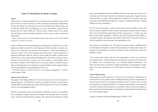#### **Some UN Definitions for Basic Concepts**

#### *Gender*

Gender refers to socially constructed roles of women and men ascribed to them on the basis of their sex, whereas the term sex refers to biological and physical characteristics. Gender roles depend on a particular socio-economic, political and cultural context, and are affected by other factors, including age, race, class and ethnicity. Gender roles are learned, and vary widely within and between cultures. Unlike a person's sex, gender roles can change. Gender roles help to determine women's access to rights, resources and opportunities.

*—Report of the Secretary General: Implementation of the outcome of the Fourth World Conference on Women,* A/51/322.

Gender is defined as the social meanings given to biological sex differences. It is an ideological and cultural construct but is also reproduced within the realm of material practices; in turn, it influences the outcomes of such practices. It affects the distribution of resources, wealth, work, decision-making and political power, and the enjoyment of rights and entitlements within the family as well as public life. Despite variations across cultures and over time, gender relations throughout the world entail asymmetry of power between men and women as a pervasive trait. Thus, gender is a social stratifier, and in this sense it is similar to other stratifiers such as race, class, ethnicity, sexuality and age. It helps us understand the social construction of gender identities and the unequal structure of power that underlies the relationship between the sexes.

*—1999 World Survey on the Role of Women in Development,* paragraph 16. A/54/227, United Nations, 1999b.

#### *Empowerment of Women*

The purpose of the Beijing Platform for Action is declared in the very first sentence of Mission Statement: "The Platform for Action is an agenda for women's empowerment." Thus the BPFA launched firmly the concept of the empowerment of women, and defines it in the very first paragraph as follows:

Women's empowerment "aims at removing all the obstacles to women's active participation in all spheres of public and private life through a full and equal share in economic, social, cultural and political decision-making. This means that the principle of shared power and responsibility should be established between women and men at home, in the workplace and in the wider national and international communities. Equality between women and men is a matter of human rights and a condition for social justice and is also a necessary and fundamental prerequisite for equality, development and peace" (Beijing Platform for Action, paragraph 1).

The UN has also developed a gender empowerment measure (GEM), an index that focuses on three variables that reflect women's participation in political decision making, their access to professional opportunities and their earning power. A country may rank high in basic human capabilities according to the human development index (HDI), or even gender-sensitive development index (GDI), but the GEM is concerned with the use of those capabilities to take advantage of the opportunities in life.

This indicator was launched in the 1995 *Human Development Report*, published by the UN Development Programme. Using GEM, the ranking of countries may change dramatically and surprisingly, and some developing countries outperform much richer industrial countries.

"In no society today women enjoy the same opportunities as men," says the *Human Development Report*. "Gender equality does not depend on the income level of the country. Equality is not a technocratic goal—it is a wholesale political commitment." And finally, the report draws a conclusion: "Human development, if not engendered, is endangered." (For more information on the GEM index, see *Human Development Report*, 1995.)

#### *Gender Mainstreaming*

Mainstreaming a gender perspective is the process of assessing the implications for women and men of any planned action, including legislation, policies or programmes, in all areas and at all levels. It is a strategy for making women's as well as men's concerns and experiences an integral dimension of the design, implementation, monitoring and evaluation of policies and programmes in all political, economic and societal spheres so that women and men benefit equally, and inequality is not perpetuated. The ultimate goal is to achieve gender equality.

(Agreed Conclusions on Gender Mainstreaming, ECOSOC, 1997)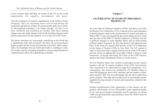to the constant hope and faith of women in the UN as the world organization for equality, development and peace.

Also the orientation of women's organizations in the North is slowly changing. They are becoming more critical and putting the economies and policies of their own governments under more scrutiny. Development assistance is no longer enough—nor has it ever been. Solidarity and sisterhood are needed. Talk about making change must also imply change in the North including changes in the policies and actions of rich countries *vis-à-vis* the rest of the world.

The power structures are increasingly centralizing in the North due to globalizing trade and economies and there are growing threats against people and the living environment everywhere. More importantly, the borderline between North and South is vanishing in women's worlds, and the increasing inequalities and growing demands for competitiveness affect all in globalizing economies.

### **Chapter 7**

### **CELEBRATING 30 YEARS OF PROGRESS— BEIJING+10**

Ten years after the Beijing Conference (1995), and thirty years after the Mexico City Conference (1975), a special review and assessment of global progress made in the advancement of women took place in March 2005. It was once hoped that this stock-taking exercise would take the form of the Fifth UN World Conference on Women, but due to political changes in some Member States and an unfavourable political climate in general, the Ten-Year Review and Appraisal took place in the form of a special 49th Session of the UN Commission on the Status of Women (CSW) in New York. The UN wanted to make it much more than a regular annual session of the CSW, and to give the session as high-profile as possible without it being a world conference, as Kyang-wha Kang, the Chair of the CSW Session, stated in the NGO consultations on the eve of the session.

All UN Member States were invited to participate in this session together with the 45 regular members of the CSW. Governments were requested to be represented by high-level delegations. As a consequence, this session was attended by 165 Member States in which 80 delegations were led by ministers and the number of delegates reached 1,800. The star participants were the First Ladies from seven countries. This high and extended level of participation clearly signalled the large amount of interest and expectations related to this CSW session.

Another manifestation of the significance of the session was the quantity and diversity of over 300 parallel events organized mainly by the non-governmental community and the presence of almost 3,000 non-governmental representatives from 430 NGOs from all over the world.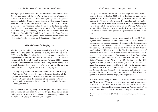*Celebrating 30 Years of Progress: Beijing+10*

The highlight of the meeting was the observance on 4 March of the 30-year anniversary of the First World Conference on Women, held in Mexico City in 1975. The tribute brought together distinguished speakers including Nobel laureates Rigoberta Menchu and Wangari Maathai and former Secretaries-General of the four World Conferences on Women: Helvi Sipilä from Finland by video (Mexico, 1975); extracts of speech read on behalf of Lucille Mair, from Jamaica (Copenhagen, 1980); Leticia Shahani, from the Philippines (Nairobi, 1985) and Gertrude Mongella, from Tanzania (Beijing, 1995). The programme also included music, dance and other cultural performances from different parts of the world.

### **Global Census for Beijing+10**

The timing of the Beijing PFA was to establish "a basic group of priority actions that should be carried out during the next five years" (PFA, para 7). Thus the first five-year review and appraisal of its implementation was held in 2000 in the form of the 23rd Special Session of the General Assembly entitled "Women 2000: Gender Equality, Development and Peace for the Twenty-First Century." The crucial decision then was to reconfirm the Beijing Platform for Action for another five years and to unanimously agree:

"to regularly assess further implementation of the Beijing Platform for Action with the view to bringing together all the parties involved in 2005 to assess progress and consider new initiatives 10 years after the adoption of the Beijing Platform for Action and 20 years after the adoption of the Nairobi Forward-Looking Strategies."

As mentioned at the beginning of this chapter, the ten-year review and appraisal of implementation of the Beijing PFA, the so-called Beijing+10, took place in 2005, along with anniversary celebrations for Nairobi (20 years) and Mexico City (30 years).

The questionnaires for the review and appraisal were sent to Member States in October 2003 and the deadline for receiving the replies was April 2004; however, the reports were still counted until October 2004. The questions aimed at detailed and substantive answers about the achievements, as well as obstacles and challenges, on each one of the 12 critical areas of the Beijing Platform for Action. Altogether, replies were received from 134 countries, or 71% of the Member States participating during the Beijing conference.

Summaries of the country reports were compiled by the UN's five regional commissions (Economic Commission for Africa, Economic Commission for Europe, Economic Commission for Latin America and the Caribbean, Economic and Social Commission for Asia and the Pacific, and Economic and Social Commission for Western Asia) and at UN Headquarters by the Division for Advancement of Women in New York. There were interesting differences in achievements and also in proportions of the countries replying from various regions. The highest response rate was from Western Asia (11 of 13 States). The second was Africa (43 of 52), the third was the ECEregion with Europe and North America (43 of 55 States) and then Latin American and Caribbean States (23 of 33), the last one being the huge Asia-Pacific area (15 of 39) with China and India included. Maybe this tells something about the interests and intensity of the countries in respective regions in the implementation of UN programmes in general, and the Beijing PFA in particular.

It is worth mentioning the activities of the Economic Commission for Africa in the 1970s, which was already very active working on women's issues even before the Mexico conference. The Commission established the African Center for Women (ACW)<sup>10</sup> in March 1975, the first one of the five UN regions. Within the UN

<sup>10.</sup> African Center for Women (ACW): (www.uneca.org/fr/acgd/en/1024x768/acgd. htm).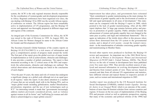*Celebrating 30 Years of Progress: Beijing+10*

system, the ACW is the only regional structure directly responsible for the coordination of women/gender and development programmes in Africa. Regional conferences have been organized ever since, the one dealing with Beijing+10 in 2004 was the seventh African regional conference on women. The African region has been remarkably active in implementation of UN programmes, and the Beijing+10 review and appraisal was thoroughly prepared at different stages and sub-regions of the continent.

An integral part of the Economic Commission for Africa, the ACW was raised to the rank of Division in 1999. In August 2001, the African Center for Women changed its name to the African Center for Gender and Development (ACGD).

The Secretary-General's Global Summary of the country reports on Beijing+10 (E/CN.6/2005/2) is a rich source of information and gives a comprehensive picture of progress made around the world. The first part of the report gives the global overview of major trends in implementation as well as achievements, obstacles and challenges. It also provides a number of global conclusions. The report is then structured according to the 12 critical areas of the PFA and respectively the achievements, obstacles and challenges are outlined. The critical observations and shortcomings are listed in the conclusions of each chapter.

"Over the past 10 years, the status and role of women has undergone a significant change on a global scale although not at an equal pace in all regions," states the report. It also draws attention to a number of issues that are not actually dealt with in the Beijing PFA, such as "major global trends including globalization; market liberalization; privatization; migration; and the use of new technologies such as ICT." An interesting remark is made that "governments increasingly address matters previously considered private, such as violence against women in all its forms" and "trafficking [in women and children] is acknowledged as a major global concern."

Improvement has taken place, and governments have reiterated "their commitment to gender mainstreaming as the main strategy for achievement of gender equality and to the involvement of women as full and equal participants in all areas of development." This statement can be compared with the Beijing+5 report in 2000, which pointed to the lack of gender mainstreaming. After all the 2005 report deplores that "A large gap remains between policy and practice in promotion of gender equality. Public attitudes towards the advancement of women and gender equality have not changed at the same pace as policy and legal and institutional framework." This is again an indication of the trickle down effect in this process where action flows downward from the UN system to the governmental system, and is ahead of civil society—except the women's movement—in the transformation of attitudes concerning gender equality and mainstreaming in Member States.

Several other reports were produced to facilitate the Beijing+10 review and assessment. An important one is the *2004 World Survey on the Role of Women in Development: Women and International Migration* (A/59/287/Add.1, United Nations, 2005b). The *World Surveys* on the role of women in development have been published every five years since 1984. They provide excellent sources of analyzed and assessed information on evolving development thinking and theories from women's points of view. These surveys, based on research and data from all relevant UN organizations and statistics, have different relevant and topical themes in respective periods of years, such as women and international migration in 2005.

Another report was produced by the UN Research Institute for Social Development (UNRISD), entitled *Gender Equality: Striving for Justice in an Unequal World,* which is an outcome of the contributions of more than 60 feminist scholars from various countries and regions. It focuses on the ten years of implementation of the Beijing PFA and presents critical as well as optimistic perspectives, arguing that many of the economic and political reforms of the 1990s had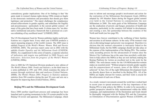contradictory gender implications. One of its findings is that "the gains made in women's human rights during 1990s remain as fragile as the democratic institutions and procedures that should give them legitimacy and protection." The report challenges the complacency around achievements in gender equality, and underlines the fragility and precariousness—particularly in the current global context—of many of the gains that have been made. It claims space for "an alternative institutional and policy framework that is premised on a serious rethinking of key neoliberal tenets" (UNRISD, 2005).

The UN Development Fund for Women publishes highly useful publications on a regular basis. Every other year UNIFEM produces a report measuring progress of the world's women. The 2005 issue is entitled *Progress of the World's Women: Women, Work and Poverty* (UNIFEM, 2005). The previous report came out in 2002 with the subtitle *Gender Equality and the Millennium Goals* (UNIFEM, 2002b). As a supplement to this series of reports, a separate selection of indicators and targets was published in 2000 *Targets and Indicators. Selection from the progress of the World's Women* (UNIFEM, 2000a).

Also in 2000 the UN Statistical Division produced a new edition of *The World's Women 2000: Trends and Statistics*, as the third issue in a series published in 1991 and 1995, which examines the status of women through statistical data and analyses (United Nations, 2000b). *The World's Women 2005: Progress in Statistics* analyses statistics from 204 countries during the past 30 years and sets out a blueprint for improving them (United Nations, 2005c).

### **Beijing PFA and the Millennium Development Goals**

Since 2000 another significant process and campaign has been launched and is gaining momentum in the UN system parallel to the Beijing+10 review and appraisal. The Millennium Campaign, which

aims to inform and encourage people's involvement and action for the realization of the Millennium Development Goals (MDGs) adopted by 189 Member States during the biggest global summit ever held in the United Nations to commemorate the new Millennium in 2000. The main goals of the Millennium Campaign are the eradication of poverty and hunger, promotion of health and education, particularly in the countries left behind in development, and creating a new, fair partnership between the countries of the North and South (see box page 99).

Women have forever contributed to the wellbeing of their families and societies in all human cultures. In the early 1970s women's vital role in alleviating hunger and poverty was recognized. Therefore it is obvious that the women's movement is intricately linked to the Millennium Goals, but the MDG campaign should not take place at the expense of the implementation of the Beijing PFA. The continuously ascending process for the advancement of women since the Mexico City Conference has at the same time provided a solid platform to help achieve the MDGs as they are now defined, making the Beijing Platform for Action an excellent tool in the work for the MDGs. The well-chosen motto for the UN/MDGenderNet-website makes an essential point: "Without progress towards gender equality and the empowerment of women, none of the MDGs will be achieved." In fact, five of the eight Millennium Development Goals are directly drawn from or inscribed in the Beijing PFA. All of the MDGs are highly relevant for women, and their work is crucial for the achievement of each one of them.

As a result, women's movements around the world have worked hard in recent years to spread awareness of the key importance of the Beijing PFA to help achieve the MDGs. In order to be successful, a gender perspective should be fully mainstreamed within the MDG campaign, and implementation of the Declaration and Goals should be thoroughly integrated with the Beijing PFA and the Convention on Elimination of Discrimination against Women (CEDAW), all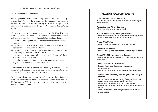*The Unfinished Story of Women and the United Nations*

within a human rights framework.

These arguments have received strong support from UN Secretary-General Kofi Annan, who emphasized the interaction between the Millennium Declaration and Beijing PFA very strongly in his address to the opening of the Beijing+10 Session of the CSW by saying:

"Sixty years have passed since the founders of the United Nations inscribed, on the first page of our Charter, the equal rights of men and women. Since then, study after study has taught us that there is:

- no tool for development more effective than the empowerment of women;
- no other policy is as likely to raise economic productivity, or to reduce infant and maternal mortality;
- no other policy is as sure to improve nutrition and promote health - including the prevention of HIV/AIDS;
- no other policy is as powerful in increasing the chances of education for the next generation;
- no policy is more important in preventing conflict, or in achieving reconciliation after a conflict has ended.

"But whatever the very real benefits of investing in women, the most important fact remains: women themselves have the right to live in dignity, in freedom from want and from fear."

He appealed directly to the world's leaders to take these facts seriously into consideration when they gathered in New York from 14- 16 September 2005 to review progress in implementing the Millennium Declaration.

|    | <b>MILLENNIUM DEVELOPMENT GOALS 2015</b>                                                                                                                                                                                                                                                                                                                                                                                             |
|----|--------------------------------------------------------------------------------------------------------------------------------------------------------------------------------------------------------------------------------------------------------------------------------------------------------------------------------------------------------------------------------------------------------------------------------------|
| 1. | <b>Eradicate Extreme Poverty and Hunger</b><br>Halve the proportion of those living on less than a dollar a day and<br>those who starve.                                                                                                                                                                                                                                                                                             |
| 2. | <b>Achieve Universal Primary Education</b><br>All boys and girls complete primary school.                                                                                                                                                                                                                                                                                                                                            |
| 3. | <b>Promote Gender Equality and Empower Women</b><br>- Eliminate discrimination of girls in primary and secondary schools.<br>- Increase the number of women in parliaments/power.                                                                                                                                                                                                                                                    |
| 4. | <b>Reduce Child Mortality</b><br>Reduce by two-thirds the mortality of children under five.                                                                                                                                                                                                                                                                                                                                          |
| 5. | <b>Improve Maternal Health</b><br>Reduce by three-quarters the number of women dying in childbirth.                                                                                                                                                                                                                                                                                                                                  |
| 6. | Combat HIV/AIDS, Malaria and other Diseases.<br>Halt and begin to reverse the spread of HIV/AIDS, malaria and other<br>major diseases.                                                                                                                                                                                                                                                                                               |
| 7. | <b>Ensure Environmental Sustainability</b><br>- Integrate the principle of sustainability into policies<br>and programmes,<br>- Double the number of people with access to safe drinking water.                                                                                                                                                                                                                                      |
| 8. | Develop a Global Partnership for Development and Sharing of<br>Resources.<br>- An open trading and financial system with commitment to good<br>governance, development and poverty reduction;<br>- Decent solutions for developing country debt problems;<br>- Increase net commitments of rich countries to 0,7 % GNP annually<br>for aid;<br>- Access to affordable essential drugs in developing countries;<br>- and other goals. |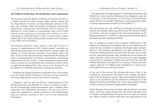### **The Political Declaration: Recommitment and Continuation**

The Secretary-General's Report on Beijing+10 redefines the PFA as "a global agenda for women's human rights, gender equality and the empowerment of women, developed through a process of dialogue and exchange within and among Governments, international organizations, including the United Nations, and civil society. The Platform for Action builds on commitments made at the United Nations world conferences on women held in Mexico in 1975, Copenhagen in 1980 and Nairobi in 1985, as well as other commitments made at the United Nations global summits and conferences in the 1990s" (E/CN.6/2005/2).

The Secretary-General's report makes it clear that 30 years of progress in implementation of this "global agenda" constitutes an unparalleled achievement for the advancement of human rights, the equality of women and men and other crucial human values and aims. It was for this reason decisively important that the Beijing+10 Session, bringing together all partners—governments, international organizations and civil society—reach an unequivocal and unconditional consensus for recommitment and continuation of their efforts to implement the Beijing PFA in the years to come. Beijing+10 saw the adoption of a Political Declaration, whereby governments:

— Reaffirm the Beijing Declaration and Platform for Action adopted at the Fourth World Conference on Women and the outcome of the twenty-third special session of the General Assembly;

— Emphasize that the full and effective implementation of the Beijing Declaration and Platform for Action is essential to achieving the internationally agreed development goals, including those contained in the Millennium Declaration, and stress the need to ensure the integration of a gender perspective in the (forthcoming) high-level plenary meeting on the review of the Millennium Declaration;

— Recognize that the implementation of the Beijing Declaration and Platform for Action and the fulfilment of the obligations under the Convention on the Elimination of All Forms of Discrimination against Women are mutually reinforcing in achieving gender equality and the empowerment of women (E/CN.6/2005/L.1).

This declaration not only reaffirms the Beijing agreement and enforces the mutually reinforcing effect of the PFA and the CEDAW Convention, but also recognizes that full implementation of the Beijing programme is essential for achieving internationally agreed development goals, including the MDGs.

The US delegation initially tried to hamper reaffirmation of the Platform by submitting an amendment that not only threatened consensus but also attempted to undermine the human rights underpinning of it. The proposed amendment to the draft declaration reaffirmed the Beijing documents but specified "that they do not create any new international human rights, and that they do not include the right to abortion." Half of the two-week session was spent struggling to reject the US amendment. Finally, at the end of the first week, the Political Declaration was approved by consensus, without any reservations, when the US withdrew their amendment as it had not garnered support from any other government.

At the end of the session, Ms. Kyung-wha Kang, Chair of the Commission, expressed her firm belief in the strength and importance of the declaration by saying: "This concise and powerful declaration is an unqualified and unconditional reaffirmation of the Beijing Declaration and Platform for Action and a pledge of further action for full and accelerated implementation of Beijing."

Rachel Mayanja, the Secretary-General's Special Adviser on Gender Issues, said in her closing remarks that "the session had taken stock of women's accomplishments during the past ten years and showed how effective women could be when they were equal partners at all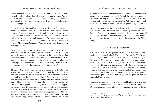levels. Member States, NGOs and the United Nations system confirmed, loud and clear, that all issues concerned women. Women must carry out their rightful and equal role in shaping new economic and social programmes, preventing conflict, or establishing and maintaining peace."

She believed that the significance of the session went far beyond the adopted documents. First, it showed that the "spirit of the Beijing consensus" was very much alive. Second, the session demonstrated that "what unites us is bigger than what divides." Third, the session had started a new era in implementation. "We cannot rest, we must continue to work hard to implement the Platform for Action and link it to the Millennium Declaration. We must ensure that there is never any slipping back."

However, the Political Declaration adopted during the 49th Session of the CSW in 2005 represented only the minimum of what had to be agreed in order to save the continuation of the process for further implementation of the Beijing PFA and gender mainstreaming in all activities of the UN system, including the Millennium Development Campaign. With the situation as it was, it was not possible to establish concrete plans for the continuation of work at the UN level.

Therefore the 50th Session of the Commission on the Status of Women (27 February – 10 March 2006) had the crucial task of deciding what would be the most effective way to maintain momentum and continue implementation of the PFA, as well as addressing new problems and issues in forthcoming years. Two specific themes were addressed at the 50th Session: the enhanced participation of women in development: an enabling environment for achieving gender equality and the advancement of women, taking into account, inter alia, the fields of education, health and work; and equal participation of women and men in decision-making processes at all levels. The 50th Session of the CSW in 2006 saw the adoption of a resolution on future organization and methods of work of the Commission

that aims to strengthen the connection between policy recommendations and implementation of the PFA and the Beijing+5 outcome document. Starting in 2007, each session of the Commission will consider only one priority theme from the Platform and the +5 outcome document in order to reduce the time spent on negotiations.

For the next three years the priority themes will be "The elimination of all forms of discrimination and violence against the girl child" (2007); "Financing for gender equality and the empowerment of women" (2008); and "The equal sharing of responsibilities between women and men, including care-giving in the context of HIV/AIDS" (2009).

### **Women and UN Reform**

In recent years the reform process of the UN system has become a crucial issue on practically all UN agendas. During the 50th Session of the CSW, the International Women's Tribune Centre (IWTC) and the Heinrich Böll Foundation organized a NGO panel discussion on the implications of the UN reform process for women and women's advocacy worldwide as a contribution to efforts in broadening the UN Reform debate, particularly in creating spaces for more women's voices to be heard. The panel discussion highlighted a need to provide more information about the ongoing reform steps and—more importantly—provide a space for dialogue on the promise that this process holds for women.

The discussions in the panel resulted in a publication by several contributors, *UN Reform: What's in it for Women?*,<sup>11</sup> that examines the UN reform agenda and its relevance for women from many different

<sup>11.</sup> *UN Reform: What's in it for Women?*, produced by the International Women's Tribune Centre (IWTC) and the Heinrich Böll Foundation, is available online (www.iwtc.org/reform\_report.pdf).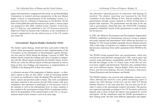*Celebrating 30 Years of Progress: Beijing+10*

angles and experiences, ranging from the newly set up Peacebuilding Commission, to women's advocacy perspectives in the new Human Rights Council, to transformation of the multilateral system, to a proposed vision for a Women's Commission on UN Reform. On the basis of this publication and discussions in the panel, a concise paper was prepared in July 2006, entitled *Gender Equality Architecture and UN Reforms*, and submitted to the UN Secretary-General's High-Level Panel on System-wide Coherence as the contribution of women's organizations into the reform process of the UN system (see Annex II).

## **Governments' Reports Double Checked by NGOs**

The shadow report-strategy, which had been used earlier within the system where governments reported on their implementation of the Convention on the Elimination of Discrimination against Women, was also used by NGOs during the Beijing+5 process in 2000. The shadow reports contain the findings and views of people in comparison with the official reports prepared by the Member States. In fact, NGOs can verify the official reports of their governments as well as bring in their own findings and experiences in implementation of CEDAW or the Beijing PFA in their own country.

A collateral outcome of the preparation of shadow reports—or alternative reports as they are also called—is that an increasing number of women are mobilized to study the Beijing PFA and their governments' reports and put them under scrutiny. The work accomplished and ideas collected in this process provide NGO women with more competence and experience to participate in UN processes, both at the national as well as the international level. In some countries it has resulted in the government inviting NGOs to participate beforehand in the preparation of the national report to the UN, i.e. the government wants to hear women's views at an early stage.

The alternative reporting process in connection with Beijing $+10$ doubled. The shadow reporting was launched by the NGO Committee on the Status Women in New York by sending the UN questionnaire through various channels to NGOs inviting them to prepare their responses. The questionnaire was the same as the one sent to governments. Somewhat later, the NGO/CSW Committee prepared a simplified version of the questionnaire in order to facilitate the process.

In 2003, the Women's Environment and Development Organization (WEDO) established an International Advisory Group to prepare and guide national and international NGO follow-up processes on Beijing+10. The Group included regionally diverse feminist activists with a wide range of expertise on a number of issues and who often had previous experience from earlier operations led by WEDO in the 1990s.

The WEDO Group prepared their own questionnaire, which also covered new issues that have emerged since 1995, such as peace and security; trade and finance; sustainability; and HIV/AIDS. They also felt that the linkages of the 12 Critical Areas of the PFA are now even more complex and intertwined. Therefore, they combined them into seven different themes: Human Rights; Peace and Security; Power and Decision-Making; Poverty Eradication; Education; Natural Resources and Environment; and Health.

The WEDO initiative was received with enthusiasm; women everywhere affirmed the need for a new global monitoring report to impact the 2005 Beijing+10 Review and the 2005 UN World Summit. However, it was soon clear that "one size does not fit all" when it comes to the international women's movement. The process was organized regionally according to five UN Economic and Social Regions and in some of them the reports were prepared by several sub-regions. All the contributors used the WEDO questionnaire as their starting point, but they took different approaches and empha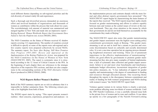sized different themes depending on sub-regional priorities and the rich diversity of women's daily life and experiences.

Such a thorough and diversified process demanded an enormous effort and involved hundreds of organizations and thousands of women as contributors within the process that took about two years. The overwhelmingly rich amount of material was summarized and merged together in New York and made into an impressive report— *Beijing Betrayed: Women Worldwide Report that Governments Have Failed to Turn the Platform into Action* (WEDO, 2005).

The NGO Committee on the Status of Women received 42 shadow reports covering 112 organizations. The number of countries covered is difficult to specify as some of the reports were sub-regional and a few country reports were prepared collectively by several NGOs. The summary report, *Ten Years After Beijing: Still More Promises than Progress 1995-2005: Review and Appraisal of the Implementation of the Beijing Platform for Action,* was prepared for the NGO Committee on the Status of Women in New York (NGO/CSW/NY, 2005). The report is systematic since it is structured according to the 12 Areas of Critical Concern in the PFA. In the beginning of each chapter there are references to the strategic objectives of the respective PFA sections, and there are also comparisons to the corresponding sections of the *NGO Alternative Global Report* produced in 2000 (CONGO, 2000).

### **NGO Reports Reflect Women's Realities**

Both of the NGO summary reports are so rich in substance that it is impossible to further summarize them. The following extracts provide a few highlights from both of them.

The WEDO report starts by saying: "This report presents women's realities—their concerns, experiences, perspectives and analyses—in the implementation process and contrasts sharply with the more formal and often abstract reports governments have presented." The NGO/CSW/NY report begins by characterizing the main features of the reports they received: "The NGO reports keep their sights clearly focused on gender mainstreaming and efforts to achieve equality between men and women as the central issues of review at this tenyear benchmark. They pay close attention to the means by which their governments do and do not hold themselves accountable for the commitments they made at Beijing."

The NGO/CSW/NY report also notes that gender mainstreaming and gender impact assessment were the highest cross-cutting policy commitments governments made at Beijing. "The gender mainstreaming is not an end in itself but a means to prevent and overcome discrimination based on culturally and socially determined roles. It is not a one-time operation but an ongoing process demanding heightened awareness and training. These are of paramount importance to the effective implementation of mainstreaming." NGOs cite good efforts by governments to promote gender mainstreaming but they also give many examples of limited implementation: a lack of systematic data collection and gender impact assessment; failure to set and meet clear benchmarks and timeframes; inadequate budget allocations; inconsistent integration of gender into policy measures, etc. "A key indication of support for gender equality and mainstreaming is the degree of commitment to funding and resources through allocated amount. One recurring theme throughout the reports is the discrepancy between commitment and reality of funding for both women's programmes and NGOs dealing with women's issues," the NGO/CSW/NY report finds.

Violence against women in its various forms is clearly a universal, acute problem affecting some two-thirds of women worldwide. Until the 1985 Nairobi Conference, it was a carefully silenced issue both in the private lives of women and in wars and conflicts. It was taken up openly in a few paragraphs of the Nairobi Forward-Looking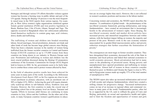Strategies and through various UN efforts thereafter violence against women has become a burning issue in public debate and part of the UN agenda. During the Beijing $+10$  process it was the most frequently raised issue in the NGO reports from various regions. For example, in West Africa women's rights organizations mobilized against female genital mutilation (FGM) and won positive legislation in Benin, Burkina Faso, Côte d'Ivoire, Ghana, Senegal and Togo. The opposite occurred in Bangladesh where law enforcement authorities found themselves ineffective to contain gang rape, acid violence, dowry deaths and trafficking.

The trafficking of women and children into bonded sweatshop labour, forced marriages, forced prostitution, domestic servitude and other kinds of work has become large global concern since Beijing. There has been a dramatic increase in the number of women being trafficked from the former socialist countries in Central and Eastern Europe (CEE/CIS countries) as up to 175,000 women from these countries are being drawn in sex industry in Western Europe each year. Prostitution and trafficking in women and children was the most crucial problem discussed during the Beijing+10 preparatory conference of the Economic Commission for Europe (ECE) Region held in Geneva in 2004. So far, governments seem to be fairly helpless to combat these crimes and to protect women affected by them.

In the field of education positive results have been achieved for some years in many parts of the world. According to the *Millennium Development Goals Report 2005*, so far five regions are close to universal enrolment in primary education, with an enrolment rate of 90% or higher (UN, 2005c). Achieving the goal will require dramatically scaled-up efforts in sub-Saharan Africa, Southern Asia and Oceania. However, the first countries to make the crucial step of abolishing school fees at the primary level are Kenya, Tanzania and Uganda. Efforts to increase adult literacy are continuing in many countries in Asia, Africa and the Caribbean. On the other end of the scale, in many European countries women's qualifications in education are on average higher than men's. However, this is not reflected in women's academic positions and incomes in the labour market.

Concerning women and economics, the WEDO report describes the situation: "A combination of global trends – the predominance of the neo-liberal economic framework, growing militarization, and rising fundamentalism – have created an environment that is increasingly hostile to the advancement of women's rights. Since Beijing, the neo-liberal economic model and market driven policies have increased poverty and intensified inequalities between and within nations, with the harshest impact falling on women, the majority and poorest of the poor. Women's work in the care economy remains unaccounted for in gender-blind macroeconomic policy and poverty reduction strategies that further exacerbate the feminization of poverty."

The consequences are most tragic in former socialist countries. They have deregulated their economies, decreased the role of the State in monetary and fiscal policies and linked their national economies to world economic processes. Shock privatization had led in many cases to the plundering of privatized assets. Rising poverty and unemployment have spurred prostitution and trafficking in women and children. Almost half of women in those countries consider themselves poor: in Moldova and Ukraine the figure is close to 70%; and in Kyrgyzstan women made up roughly 57% of the total number of unemployed in 1999.

The WEDO report also takes up increased militarization and revival of both secular and religious fundamentalism, which have created a stifling climate for progressive change. "Increased militarization comes on top of an increase in regional ethnic and communal violence in many parts of the world. Fundamentalist parties, often led by or supported by the US, seek to rollback the gains of Cairo and Beijing, particularly on sexual and reproductive health and rights, and to limit the freedom and opportunities of women and girls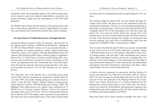around the world. The devastating impact of all of these trends intensifies women's social and cultural vulnerabilities, especially the poorest and those coping with the consequences of the HIV/AIDS pandemic."

The WEDO report deems that the inaction of the governments in the face of such intense opposition to women's rights justifies its conclusion: governments have betrayed the promises they made in Beijing.

## **An Experiment of Global Democracy through Internet**

During the Beijing+5 process, three UN agencies—the Division for the Advancement of Women, UNIFEM and INSTRAW—introduced in 1999 the WomenWatch website (www.un.org/womenwatch), a direct gateway for women around the world to global information within the system of UN websites. Through WomenWatch, these UN agencies also launched global online working groups on implementation of the 12 Critical Areas of Concern in the Beijing PFA, inviting men and women from around the world to participate in the review and appraisal process by contributing their views and experiences through the electronic discussion groups directly to the intergovernmental institution, the UN, thus feeding into the global process.

This innovative use of the Internet was a successful and exciting exercise that could be considered an experiment in global democracy. In late 1999, most of the working groups were open for about six weeks, except the End Violence Against Women working group, which started in October 1998 and lasted until February 2000. The highlight of the whole process was a global video conference on "A World Free of Violence Against Women," held in the General Assembly Hall at the UN in New York on International Women's Day (8 March) 1999. This unique event connected live presentations and interviews from several distant parts of the world. It lasted about two hours and was broadcasted directly through hundreds of TV stations.

The question might be asked if this was just another privilege for women of the North, who had access to new information and communication technologies. However, it was found that participation in the groups was spread quite evenly between the South and the North. Altogether about 45% of the participants were from the South and about 52% were from the North, while only around 19% of all Internet users were then located outside Europe and North America. In some of the discussion groups, for example on environment and decision making, more than half of contributions came from the South (E/CN.6/2000/PC/CRP.1, United Nations, 2000c).

This was first time that this kind of follow-up exercise was provided as part of the review of a UN world conference or summit. Almost 11,000 individuals from over 120 countries subscribed to these virtual working groups, and more than 1,000 contributions were posted. Many others participated in direct one-on-one exchanges that contributed to the overall dialogue. It was interesting how this kind of open and personal interaction of truly international and multicultural participants generated information, experiences and ideas, which would hardly come out in any formal discussion.

A similar exercise organized in connection with the Beijing+10 review and appraisal was held from November 2004 to January 2005. The aim was again to provide input from civil society into the ten-year review and appraisal of the Beijing Platform for Action. There were online discussions on 11 subjects adapted from the Beijing PFA and they lasted three to four weeks each. The discussions were hosted by WomenWatch and sponsored, organized and moderated by the various agencies of the UN Inter-Agency Network on Women and Gender Equality (IANWGE).

More than likely due to fewer resources available, this time it was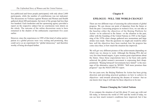less publicized and fewer people participated, with only about 2,600 participants, while the number of contributions was not indicated. The discussions on Violence against Women and Women and Health gathered about 600 participants, but most of the groups had less than two hundred. Each moderator and her sponsoring agency provided a report on the respective subject but no conclusions were drawn on the whole. The outcome of the online discussions seem to have remained in the shadow of the enthusiastic experiment five years earlier.

However, since the experiences in 1999 of this kind of online participation in a global process were very exiting and promising, they could serve as an experiment for "global democracy" and therefore worthy of being developed further.

### **Chapter 8**

### **EPILOGUE - WILL THE WORLD CHANGE?**

There are two different ways of assessing the achievements of global progress. We can choose our point of departure from the future or from the past. Concerning progress in women's lives, we can take as the baseline either the objectives of the Beijing Platform for Action—to be achieved in the future—or the situation in the past, either with the founding of the United Nations in 1945 or the beginning of the 1970s when change gathered new momentum and large strides were made. Then the questions we might ask would be either how well the objectives have been reached, how far progress has come since then, or how much the situation has improved.

We will get very different pictures of the achievements depending on which way we choose to work. Although the Beijing PFA did set very few time-bound targets, it gave women great expectations about the future. Since those expectations have so far been only partly achieved, the global women's movement is expressing their disappointment. "Beijing betrayed! Governments have failed!" is the message of the alternative report by WEDO. "Still more promises than progress!" says the NGO/CSW/NY report.

For ten years now, the Beijing Platform for Action has been giving direction and providing practical guidance on how to achieve its objectives—and towards advancing the dreams of women—but no one knows how long it will take for these objectives to be met.

### **Women Changing the United Nations**

If we compare the situation of real life about 35 years ago with real life today, or between the world of 1945 and the world of today, we can see how much women's conditions have improved; but it has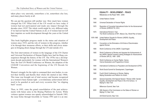*The Unfinished Story of Women and the United Nations*

taken place very unevenly, somewhere a lot, somewhere else less, and many places barely at all.

We can put the question still another way: How much have women changed the UN? What kind of the UN would we have today if women had not participated and made any impact through the decades since 1919? The whole world might be very different today if we had not had the United Nations at all, or if women had not left their imprints on world development through the years at the United Nations.

This book highlights progress made in the status and situation of women since 1919, and the role of women in this progress, whether it be through their strenuous efforts, or their skills and clever strategies in bringing about change through the UN and outside of it.

The first interventions of women in the language of the UN Charter and Universal Declaration of Human Rights have had far-flung consequences through the history of the UN. The 1970s was a development decade particularly for women with the International Women's Year, the first UN World Conference on Women, the adoption of the CEDAW Convention and the beginning of the UN Decade for Women.

Women's struggle for the right to command their own bodies, to control their fertility and thereby their whole life started in late 1960s. This issue was brought out of total secrecy and became recognized as a women's basic human right - a revolutionary achievement still in need to be guarded at each and every occasion that "no slipping back" occurs.

Then, in 1995, came the grand consolidation of the past achievements with future aims in the Beijing Platform for Action. While violence against women was openly acknowledged in Nairobi 1985, the issue broke through forcefully in Vienna 1993 and it is an inte-

# **EQUALITY - DEVELOPMENT - PEACE** Milestones on the Road 1945 - 2005 1945 United Nations Charter 1948 Universal Declaration of Human Rights 1970 Resolution of Concerted International Action for the Advancement of Women (A/RES/2716, XXV) 1975 International Women's Year The World Conference of IWY, Mexico City, World Plan of Action 1976-1985 United Nations Decade for Women (UNDW): Equality, Development and Peace 1979 Convention on the Elimination of All Kinds of Discrimination against Women 1980 World Conference of the UNDW, Copenhagen 1985 World Conference to Review and Appraise the Achievements of the UNDW, Nairobi Forward-Looking Strategies for Advancement of Women (NFLS), 1985 - 2000. 1993 World Conference on Human Rights, Vienna Vienna Declaration and Programme of Action 1994 International Conference on Population and Development (ICPD) 1995 World Social Summit for Development, Copenhagen 1995 Fourth World Conference on Women, Beijing Beijing Declaration and Platform for Action 2000 General Assembly 23rd Special Session "Women 2000: Gender Equality, Development and Peace in the 21st Century," or Beijing+5, New York Millennium Summit, New York 2005 49th Session of the Commission on the Status of Women on Beijing+10, New York UN World Summit, New York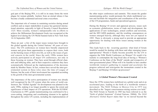gral part of the Beijing PFA, it is still in its many forms the worst plague for women globally. Anyhow from an eternal silence it has become a loudly condemned universal crime everywhere.

The important role of women in sustaining societies during armed conflicts and as major stakeholders in peace has garnered international attention, especially in light of Security Council Resolution 1325. More recently, women's indispensable role in efforts to achieve the Millennium Development Goals was recognized at the highest level during the UN World Summit held in New York from 14-16 September 2005.

These are just a few of the major issues women have brought to the global agenda during the United Nations' 60 years of existence. The UN conferences on women have literally empowered women and given them opportunities to express their views, both on the burning issues of their own life, as well as the issues of general concern in the world. Since the early 1990s women have actively participated in all major UN conferences, not only in those focusing on women. They have acted through official channels and lobbying alike, and in their respective countries they have systematically followed up the implementation of the decisions made by Member States. In fact, women have served the inter-governmental system in these roles since the time of League of Nations, but the scale of their involvement has expanded according to the growth of the inter-governmental system.

The importance of the active participation of women was already well recognized by the UN system when the series of world conferences, the "Global Agenda" for development was planned in the early 1990s, making it no longer possible to ignore the extent and significance of their impact on UN operations. With the ECOSOC Conclusions in 1997, gender mainstreaming was confirmed to be a cross-cutting, integrating and coordinating element to be applied throughout the entire UN system, including the implementation of

the other major conferences and summits. This meant the gender mainstreaming policy would permeate the whole multilateral system and facilitate the integration and coordination of the activities of the UN programmes, funds and specialized agencies.

During the Beijing+10 review and appraisal process, issues such as economic globalization, terms of trade and development, the applications of new technologies, armed conflicts and terrorism, and the HIV/AIDS pandemic, and the resulting consequences on women emerged heavily, although they were not yet topical in 1995. There is obviously a strong need to provide an appropriate opportunity for dealing with these issues among women at the global level.

This leads back to the recurring question: what kind of forum would be needed for dealing with these and other emerging issues appropriately? Would it finally become possible for the UN to organize the Fifth World Conference on Women? Or would it be realistic to contemplate the long-lived idea of having a "Women's Conference on the State of the World" outside and irrespective of inter-governmental plans? When will it be feasible to have another worldwide women's gathering to expand and accelerate the progress achieved and reinvigorate the momentum created in the Beijing+5 and Beijing+10 follow-up processes?

### **A Global Women's Movement Created**

Since the 1970s women have mobilized on a global scale and at an accelerated pace, leading to the birth of a worldwide women's movement. The NGO Tribune in Mexico City in 1975 was described as the "largest consciousness-raising session ever held." The NGO Forum in Nairobi in 1985 has been referred to as the "birth of global feminism" (United Nations, 2000d). *The NGO Alternative Global Report* states that "as we moved beyond the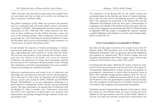1980s, it became clear that what we had created was a global women's movement and what we had set in motion was nothing less than a revolution" (CONGO, 2000).

The global conferences of the 1990s were pivotal in the development of a politically-able and astute global women's movement. According to CONGO, "Strengthened by the three women's world conferences of 1975, 1980 and 1985, women moved to the forefront in these conferences [in the 1990s] claiming a space and voice in the resulting policies. These conferences served as training grounds for a new leadership by bringing hundreds of women into the public policy process and resulting, in many countries, in a 'critical mass' of women with political clout."

In past decades the majority of women participating in women's international gatherings were mainly from the Western middleclass, representing the white minority of women from the North. The activism and dynamics of the international women's movement has now shifted to the South. Ever since the Nairobi Conference, the proportion of women from developing countries has increased in UN conferences and their parallel events. Through their enthusiasm, motivation and preparedness for action, Southern women are providing new inspiration and faith.

Improved communications and rising levels of education and knowledge have provided more and more women with the opportunity to take part in world events. In connection with the Beijing+5 process, women were invited by DAW, UNIFEM and INSTRAW through "WomenWatch" to use new information technology as a direct means to communicate online with the inter-governmental system. The same opportunity was opened also in connection with the Beijing+10, albeit in smaller scale. Furthermore, motivation and faith in the importance of participation are growing with empowerment and gaining strength through common actions during parallel events.

The importance of the Beijing PFA for the world's women was accentuated again by the intensity and extent of women's participation in the five-year review and appraisal processes in 2000 and 2005. The campaign for integration of the Beijing PFA and the Millennium Development Goals has been quite a demonstration of competence and strength of the global women's movement. The outcome of this campaign was seen during the 2005 UN World Summit in September 2005 that sought to strengthen the collective response to global challenges in development, in security and in human rights, and to revitalize the UN.

### **Every Government is Accountable to Women**

But what will take place in practice at the country level in the UN Member States? Will documents such as the Beijing PFA and the Millennium Declaration with its eight goals agreed and adopted by governments be implemented? Will cultures change and will inequality, discrimination and violence against women soon be only a memory from the past in every corner of the world?

Everything that takes place within the UN system is based on cooperation between governments and the decisions they approve. Consequently, implementation of these decisions also depends on governments' commitment to realize them in practical terms at home. This is both the strength and the weakness of the UN: the system has no authority to implement decisions directly in any country, nor the power to force any government to comply with the decisions. The only exceptions are decisions by the Security Council and UN Conventions with compliance and enforcement mechanisms.

Ultimately, practical implementation depends on the extent to which the citizens in each Member State are aware of these decisions adopted by their government at the UN on their behalf. Women as citizens can make governments accept their responsibility and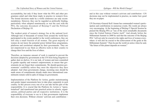accountability, but only if they know what the PFA and other programmes entail and what these imply in practice in women's lives. The formal decisions made by a world conference are only recommendations. However, they can be regarded as politically binding, particularly when adopted unanimously as was the case with the PFA, the outcome document of Beijing+5 and the Political Declaration of Beijing+10.

The weakest point of women's strategy lies at the national level. Although tens of thousands of women from around the world have participated in the events parallel to the world conferences, they are still only a small fraction of all women. The great majority of women do not know the potential power behind these programmes, platforms and resolutions adopted by their governments. They are not empowered to use them as effective tools in their country to change their lives and the lives of others.

Therefore, an immense amount of work is required to prevent the decisions adopted by governments at the UN from being forgotten to gather dust on shelves. It is our task, of women and men committed to gender equality and women's empowerment, to ensure that governments do not forget their commitments. We should question governments' credibility unless they meet the objectives they have adopted. And when governments change, incoming ones should be made aware of commitments already made since international commitments remain valid in spite of change in governments.

Implementation of the Platform for Action, gender mainstreaming and gender impact assessments have to take place separately in each country. In this process every one of us can take her/his part of the responsibility. It is crucial that the Platform for Action is "operationalized" and transformed into practical action in schools, organizations, political parties and all respective institutions. It is the responsibility of everyone to see to it that governments implement their own decisions. Without citizens' activism and contributionand in this case without women's activism and contribution—UN decisions may not be implemented in practice, no matter how good they are on paper.

UN Secretary-General Kofi Annan has commended women's participation and contributions in numerous events. His words are always very encouraging. At the beginning of Beijing+5 Special Session he praised the Beijing PFA as "one of the most remarkable documents since the United Nations Charter itself." And already before the Millennium Summit in 2000 he said that the outcome of the Beijing PFA "will not only be crucial to the rights and lives of women everywhere: it will also be crucial to the achievement of the goals at the Millennium Summit." Then he put the world on notice when he said, "the future of this planet depends on women."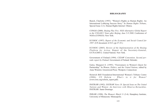#### **BIBLIOGRAPHY**

Bunch, Charlotte (1993). "Women's Rights as Human Rights: An International Lobbying Success Story." In *Human Rights Tribune*, Special Issue 2 (1). Human Rights Internet: Ottawa.

CONGO (2000). *Beijing Plus Five. NGO Alternative Global Report to the UNGASS 5 Years after Beijing, June 5-9 2000*. Conference of NGOs (CONGO): New York.

ECOSOC (1997). *Report of the Economic and Social Council for 1997*. (UN document A/52/3, pp 27-35.)

ECOSOC (2005). *Review of the Implementation of the Beijing Platform for Action*. Report of the Secretary-General, E/CN.6/2005/2. United Nations: New York.

Government of Finland (1994). *CEDAW Convention. Second periodic report by Finland*. Government of Finland: Helsinki.

Galey, Margaret E. (1995). "Forerunners in Women's Quest for Partnership." In *Women, Politics, and the United Nations*, edited by Anne Winslow. Greenwood Press: Westport, Connecticut.

Heinrich Böll Foundation/International Women's Tribune Centre (2006). *UN Reform – What's in it for Women?* (www.iwtc.org/reform\_report.pdf).

INSTRAW (1992). *INSTRAW News 18. Special Issue on The United Nations and Women: An Interview with Minerva Bernardino*. INSTRAW: Santo Domingo.

IWRAW (1998). *The Women's Watch* 11 (3-4). Humphrey Institute, University of Minnesota: Minneapolis.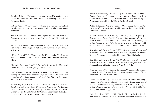Järvelin, Riitta (1997). "An ongoing study at the University of Oulu on the Provinces of Oulu and Lapland." In *Helsingin Sanomat*, 9 November 1997.

Kabeer, Naila (1995). *Necessary, sufficient or irrelevant?* Institute of Development Studies, Working Paper, No.25. Brighton: University of Sussex.

Miller, Carol (1992). *Lobbying the League: Women's International Organizations and the League of Nations*. Oxford: University of Oxford.

Miller, Carol (1994). "Geneva—The Key to Equality: Inter-War Feminists and the League of Nations." In *Women's History Review*, Vol. 3, No. 2.

Miller, Carol (1995). "Women on the UN Agenda: The Role of NGOs." Speech at the UN/NGLS Panel. NGO Forum: Huairou, China.

Morsink, Johannes (1991). "Women's Rights in the Universal Declaration." In *Human Rights Quarterly* 13 (2).

NGO Committee on the Status of Women (2005). *Ten Years after Beijing: Still more Promises than Progress. 1995-2005: Review and Appraisal of the Implementation of the Beijing Platform for Action*. NGO/CSW/NY, New York.

Palmer, Ingrid (1980). *Recommendations Relating to Women and Development Emerging From Conferences Held Under the Auspices of the United Nations or the Specialized Agencies*. World Conference on the UN Decade for Women, Copenhagen, 1980. (UN document A/CONF.94/19.) United Nations: New York.

Pietilä, Hilkka (1998). "Violence Against Women—An Obstacle to Peace. Four Conferences—A New Vision. Report on Four Conferences in 1997." In *EuroPRO-Fem* (CD-Rom). European Profeminist Men's Network, City & Shelter: Brussels.

Pietilä, Hilkka and Vickers, Jeanne (1996). *Making Women Matter: The Role of the United Nations*. Third post-Beijing updated edition. Zed Books: London.

Pietilä, Hilkka and Vickers, Jeanne (1998). "Equality— Development—Peace. The UN System in the vanguard of advancement of women, development and peace." In *The Future of the United Nations System: Potential for the Twenty-First Century*, edited by Chadwick F. Alger. United Nations University Press: Tokyo.

Sen, Gita and Grown, Caren (1985). *Development, Crises, and Alternative Visions. Third World Women's Perspectives* (DAWN Report). First non-commercial edition for the Nairobi Conference.

Sen, Gita and Grown, Caren (1987). *Development, Crises, and Alternative Visions. Third World Women's Perspectives*. New Feminist Library. Monthly Review Press: New York.

Somavía, Juan (1995). "Healing the Human Community: Redefining Human Security." In *Breakthrough News, Spring/Summer*. Global Education Associates: New York

United Nations (1970). "General Assembly Resolution outlining a programme of concerted international action for the advancement of women, 15 December 1970 (UN document A/RES/2716, XXV)." In *United Nations and the Advancement of Women 1945-1995* (see below), Document 39, pp. 169-171.

United Nations (1975). "The World Plan of Action for the Implementation of the Objectives of the International Women's Year.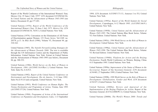Report of the World Conference of the International Women's Year, Mexico City 19 June-2 July 1975" (UN document E/CONF.66/34). In *United Nations and the Advancement of Women 1945-1995* (see below), Document 45, pp.177-201.

United Nations (1976). *Report of the World Conference of the International Women's Year, 19 June-2 July 1975, Mexico City*. (UN document E/CONF.66/34, 76/IV.1.) United Nations: New York.

United Nations (1979). Convention on the Elimination of All Forms of Discrimination against Women. *UN Treaty Series*, Vol.1249. no. 20378, p.13. In *Blue Book* (1996), Volume VI, Document 84, pp. 310-162.

United Nations (1985). *The Nairobi Forward-Looking Strategies for the Advancement of Women Towards 2000*. The text is available through the UN Information Centres and the Department of Public Information. United Nations: New York. Extract in United Nations and the Advancement of Women 1945-1995 (see below), Document 84, pp. 300-352.

United Nations (1986). *World Survey on the Role of Women in Development, 1984*. (A/CONF.116.4/Rev.1.) United Nations: New York. Sales No. E.8.IV.3.

United Nations (1992). *Report of the United Nations Conference on Environment and Development, Rio de Janeiro*, 3-14 June 1992. Sales No.E.93.I.8 and corrigenda. United Nations: New York.

United Nations (1993). *World Conference on Human Rights. The Vienna Declaration and Programme of Action*, Vienna, June 1993 (A/CONF.157/24). United Nations: New York.

United Nations (1994). *Programme of Action of the International Conference on Population and Development*, Cairo, 1-13 September 1994. (UN document A/CONF/171/13, Annexes I to IV.) United Nations: New York.

United Nations (1995a). *Report of the World Summit for Social Development*, Copenhagen, 6-12 March 1995. (A/CONF.166/9.) United Nations: New York.

United Nations (1995b). *United Nations and the Advancement of Women 1945-1995*. The United Nations Blue Book Series, Volume VI. First Edition. United Nations: New York.

United Nations (1995c). *1994 World Survey on the Role of Women in Development*. United Nations: New York.

United Nations (1996a). *United Nations and the Advancement of Women 1945-1996*. The United Nations Blue Book Series, Volume VI. Revised Edition. United Nations: New York.

United Nations (1996b). *Platform for Action and the Beijing Declaration*. Fourth World Conference on Women, Beijing, China 4-15 September 1995. United Nations: New York.

United Nations (1999a). *Improvement of the Status of Women in the Secretariat.* Report of the Secretary-General. (UN document A/54/403, 27 September 1999.) United Nations: New York.

United Nations (1999b). *1999 World Survey on the Role of Women in Development: Globalization, Gender and Work*. (UN document A/54/227.) United Nations: New York.

United Nations (2000a). *Review and Appraisal of the Implementation of the Beijing Platform for Action*. Report of the Secretary-General. (E/CN.6/2000/PC/2.) United Nations: New York.

United Nations (2000b). *The World's Women 2000: Trends and*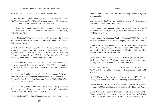*The Unfinished Story of Women and the United Nations*

*Bibliography*

*Statistics*. United Nations Statistical Division: New York.

United Nations (2000c). *Summary of the WomenWatch Online Working Groups on the 12 Critical Areas of Concern*. (UN document E/CN.6/2000/PC/CRP.1.) United Nations: New York.

United Nations (2000d). *Women 2000. The Four Global Women's Conferences 1975-1995*. Historical Perspective. Fact Sheet by UN/DPI: New York.

United Nations (2000e). Secretary-General's Address to the Special Session on Women. Press Release SG/SM/7430, WOM/1203. United Nations: New York.

United Nations (2000f). *Report of the Ad Hoc Committee of the Whole of the Twenty-Third Special Session of the General Assembly*. A/S-23/10/Rev.1. (Contains: Political Declaration and the Outcome document adopted by the 23rd Special Session of the General Assembly, June 2000). United Nations: New York.

United Nations (2002). *Women Go Global. The United Nations and the International Women's Movement 1945-2000*. An interactive, multimedia CD-Rom. National Council for Research on Women, New York.

United Nations (2005a). *Review of the implementation of the Beijing Platform for Action and the Outcome document of the 23rd GA Special Session*. Report of the Secretary-General (E/CN.6/2005/2). United Nations: New York.

United Nations (2005b). *2004 World Survey on the Role of Women in Development: Women and International Migration* (A/59/287/Add.1). United Nations: New York.

United Nations (2006). *The Millennium Development Goals Report*

*2006*. United Nations: New York. Online: (http://www.un.org/millenniumgoals).

United Nations (2006). *The World's Women 2005. Progress in Statistics*. United Nations: New York.

United Nations Development Fund for Women (2000a). *Targets and Indicators. Selection from Progress of the World's Women 2000*. UNIFEM: New York.

United Nations Development Fund for Women (2000b). *Progress of the World's Women*. A New Biennial Report. UNIFEM: New York.

United Nations Development Fund for Women (2002). *Women – War – Peace. Progress of the World's Women 2002*. Volume 1. The Independent Experts' Assessment by Elisabeth Rehn & Ellen Johnson Sirleaf. UNIFEM: New York.

United Nations Development Fund for Women (2002). *Progress of the World's Women 2002: Gender Equality and the Millennium Development Goals*. Volume 2. UNIFEM: New York.

United Nations Development Fund for Women (2005). *Progress of the World's Women 2005*: Women, Work and Poverty. UNIFEM: New York.

United Nations Development Programme (1995). *Human Development Report 1995*. Oxford University Press: New York.

United Nations Population Fund (2000). *The State of World Population 2000: Lives Together, Worlds Apart*. UNFPA: New York.

United Nations Research Institute for Social Development (2005). *Gender Equality: Striving for Justice in an Unequal World*. UNRISD: Geneva. See also the UNRISD report *Beijing+10: An*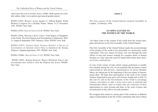*Ambivalent Record on Gender Justice* (2006). Both reports are available online: (http://www.unrisd.org/research/gender/report).

WEDO (1992). *Women's Action Agenda 21*. Official Report, World Women's Congress for a Healthy Planet. Miami, 8-12 November 1991. WEDO: New York.

WEDO (1995). *News & Views* 8 (3-4). WEDO: New York.

WEDO (1996). *Weaving a Better Future*. Final Report of Daughters of the Earth: The Environment and Development Collaborative Web. 31 August-8 September 1995, Huairou, China. WEDO: New York.

WEDO (1997). *Promise Kept, Promise Broken? A Survey of Governments on National Action Plans to Implement the Beijing Platform*. Updated September 1997. WEDO: New York.

WEDO (1998b). *News & Views* 11 (2). WEDO: New York.

WEDO (2005). *Beijing Betrayed. Women Worldwide Report that Governments have Failed to Turn the Platform into Action*. WEDO: New York.

#### **Annex I**

The first session of the United Nations General Assembly in London, 12 February 1946:

### **AN OPEN LETTER TO THE WOMEN OF THE WORLD**

"An Open Letter to the women of the world from the women delegates and advisers at the first Assembly of the United Nations:

This first Assembly of the United Nations marks the second attempt of the peoples of the world to live peacefully in a democratic world community. This new chance for peace was won through the joint efforts of men and women working for common ideals of human freedom at a time when the need for united effort broke down barriers of race, creed and sex.

In view of the variety of tasks which women performed so notably and valiantly during the war, we are gratified that seventeen women representatives and advisers, representatives of eleven Member States, are taking part at the beginning of this new phase of international effort. We hope their participation in the work of the United Nations Organization may grow and increase insight and in skill. To this end we call on the Governments of the world to encourage women everywhere to take a more active part in national and international affairs, and on women who are conscious of their opportunities to come forward and share in the work of peace and reconstruction as they did in war and resistance.

We recognise that women in various parts of the world are at different stages of participation in the life of their community, that some of them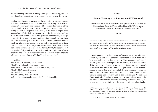are prevented by law from assuming full rights of citizenship, and that they therefore may see their immediate problems somewhat differently.

Finding ourselves in agreement on these points, we wish as a group to advise the women of all our countries of our strong belief that an important opportunity and responsibility confront the women of the United Nations: first, to recognise the progress women have made during the war and to participate actively in the effort to improve the standards of life in their own countries and in the pressing work of reconstruction, so that there will be qualified women ready to accept responsibility when new opportunities arise; second, to train their children, boys and girls alike, to understand world problems and the need for international cooperation, as well as the problems of their own countries; third, not to permit themselves to be misled by antidemocratic movements now or in the future; fourth, to recognise that the goal of full participation in the life and responsibilities of their countries and of the world community is a common objective toward which the women of the world should assist one another."

Signed by: Mrs. Eleanor Roosevelt, United States Mrs. Marie-Hélène Lefaucheaux, France Miss Minerva Bernardino, The Dominican Republic Mrs. Bodil Begtrup, Denmark Mrs. Frieda Dalen, Norway Mrs. H. Verwey, The Netherlands and 11 other women delegates to the General Assembly

### **Annex II**

### **Gender Equality Architecture and UN Reforms**<sup>1</sup>

For submission to the UN Secretary-General's High Level Panel on System-wide Coherence by the Center for Women's Global Leadership (CWGL) and the Women's Environment and Development Organization (WEDO) <sup>2</sup>

#### 17 July 2006

*This paper briefly outlines the successes and failures of the current UN system in addressing gender equality and women's rights, and puts forth several principles and characteristics that are critical to reforming the gender equality architecture in order to deliver consistent positive gender equality outcomes* 

**I. Introduction:** In the last decade, efforts to make the development, human rights and peace/security "mainstreams" work for women have resulted in impressive gains as well as staggering failures. In the ten years since the adoption of the Beijing Platform for Action (PFA), a number of strategic partnerships forged between women's movements and policy reformers have placed equity and women's human rights at the heart of global debates in areas such as the International Criminal Court, Security Council Resolution 1325 on women, peace and security, and in the Millennium Project Task Force on Gender Equality. In some regions, women have made striking gains in elections to local and national government bodies, and in entering public institutions; girls' access to primary education has

<sup>1.</sup> This paper was commissioned by the Center fo Women's Global Leadership (CWGL) and the Women's Environment and Development Organization (WEDO). It was drafted by Aruna Rao, Founder-Director, Gender at Work, and substantially revised by CWGL and WEDO.

<sup>2.</sup> See end of paper for list of endorsing organizations.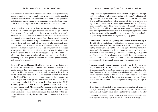increased and women are entering the labour force in larger numbers; access to contraception is much more widespread; gender equality has been mainstreamed in some countries into law reform processes and statistical measures; and violence against women has been recognized as a human rights issue and made a crime in many countries.

However, gains for women's rights are facing growing resistance in many places and too often positive examples are the exception rather than the norm. They usually occur because an individual, a network, an organizational champion, or a unique confluence of "push" factors is responsive and receptive to change. Even then, these changes only come about when women's rights advocates invest extraordinary interest, time and effort and, where required, take significant risks. For instance, it took nearly five years of advocacy by women with support of a small number of donors to get Burundi women included at the peace table and, at the eleventh hour, it was the advocacy of Nelson Mandela that made it finally happen. This ad hoc approach, which too often requires high-level intervention, is not effective in producing consistent positive outcomes to support gender equality and women's human rights.

**II. Identifying the Gaps and Problems:** Ten years after Beijing and 30 years after the first world conference on women in Mexico City, gender equality has a growing number – but still too few – advocates in the corridors of power at international, national or local levels where critical decisions are made. For decades, women have relied on the United Nations as an important venue for the promotion of human rights and social justice, demanding that the UN set global norms and standards in these areas. Just last year at the World Summit, governments reaffirmed that gender equality is critical to the achievement of all Millennium Development Goals, and re-committed to its promotion in Goal #3. But too often there is insufficient implementation of these commitments, as demonstrated by the failure to achieve universal primary education in 2005—the first MDG target.

Many women's rights advocates now fear that the political championship at a global level for social justice and women's rights is eroding. Evaluation after evaluation shows that countries, bi-lateral donors and the multilateral system consistently fail to prioritize, and significantly under-fund, women's rights and equality work.<sup>3</sup> Money talks, and in this case, it has voted with its feet. Equally worrying is the fact that new aid principles stressing national ownership and their accompanying aid modalities such as budget support and sector wide approaches, while laudable in some ways, make it even harder to specifically resource and track gender equality goals.

**Current state of Gender Equality and Gender Mainstreaming at the UN:** The present phase of UN reform provides an opportunity to take gender equality from the realm of rhetoric to the practice of reality. Most women's rights advocates agree that the normative frameworks for gender equality and women's human rights – legal frameworks, constitutional guarantees for equality, and gender equality policies – have advanced considerably in many countries as well as within the UN system. However, the lack of implementation and accountability repeatedly undermines these commitments.

"Gender Mainstreaming," promoted widely in the UN after the Beijing Fourth World Conference on Women, was transformatory in its conception. But it has been extremely limited in its implementation. Gender mainstreaming has often only been reluctantly adopted by "mainstream" agencies because top leadership has not adequately supported this agenda; it has too often become a policy of "add women and stir" without questioning basic assumptions, or ways of working.

It has been implemented in an organizational context of hierarchy and agenda setting that has not prioritized women's rights and where women's units usually have limited authority to initiate or monitor

<sup>3.</sup> UNIFEM Assessment: A/60/62 – E2005/10; UNDP Evaluation of Gender mainstreaming (http://www.undp.org/eo/documents/EO\_GenderMainstreaming.pdf).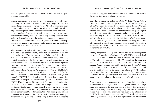gender equality work, and no authority to hold people and programmes accountable.

Gender mainstreaming is sometimes even misused to simply mean including men as well as women, rather than bringing transformational change in gender power relations. At best, it has meant such things as adopting a gender policy, creating a gender unit to work on organizational programmes, mandatory gender training, and increasing the number of women staff and managers. In the worst cases, gender mainstreaming has been used to stop funding women's work and/or to dismantle many of the institutional mechanisms such as the women's units and advisors created to promote women in development, in the name of integration. Both national and international institutions have had this experience.

The UN system is replete with examples of structures and personnel mandated to do gender equality work that are under-resourced and under-prioritized. They constantly must fight an uphill battle as a result of their low place in organizational hierarchies, small size, limited mandate, and the lack of autonomy and connection to key constituencies. Currently, there are several under-resourced agencies focused exclusively on women's issues (United Nations Development Fund for Women (UNIFEM), International Research and Training Institute for the Advancement of Women (INSTRAW), the Secretary-General's Special Advisor on Gender Issues (OSAGI), and the Division for the Advancement of Women (DAW)). For example, UNIFEM, the only unit with a (limited) field presence, is a fund, not an independent operational agency, that reports to the UNDP [United Nations Development Programme] administrator, which means that it doesn't have a seat at high-level decision-making tables. Gender units – from OSAGI to those in the specialized agencies – have limited ability to provide critical feedback or speak out on gender equality performance; too often these special advisor or gender focal points in the UN are used to defend the status quo rather than change it. Their limited budgets, their limited access to

decision making, and their limited terms of reference do not position them as critical players in their own entities.

Other larger agencies, including UNDP, UNFPA [United Nations Population Fund], UNICEF [United Nations Children's Fund], UNESCO [United Nations Educational, Scientific and Cultural Organization], the High Commissioners for human rights and refugees and others, sometimes do important work on gender equality, but it is only a part of their mandate, and often receives low priority. According to a 2002 UNIFEM/UNDP scan, of the 1,300 UN staff who have gender equality in their terms of reference, nearly 1,000 of these are gender focal points that are relatively junior, have little substantive expertise, no budgets, and who deal with gender as one element of a large portfolio. In other words, these structures are designed to fail or falter.

Funding for gender equality work within both mainstream agencies and women's specific mechanisms such as UNIFEM is grossly inadequate for the task at hand. In 2002, UNIFEM's resources totaled US\$36 million. In comparison, UNFPA's budget for the same year was US\$373 million; the Office of the High Commissioner for Human Rights' budget was US\$64 million and UNAIDS' [Joint United Nations Programme on HIV/AIDS] budget was US\$92 million. UNICEF's budget in the same year totaled US\$1,454 million. The message is clear: investment in women is of the lowest order. Most mainstream agencies cannot even track how much money they spend on women rights and the achievement of gender equality.

With decades of experience and in view of the challenges ahead, there is ample knowledge of how the UN system can be better organized and structured to facilitate positive change for women and families. Currently there are a variety of options that are being discussed. We see some as a backward step, such as the absorption of UNIFEM into a larger agency such as UNDP, while others would bring only cosmetic change, such as simply combining current man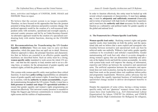dates, activities and budgets of UNIFEM, DAW, OSAGI and INSTRAW. These we reject.

We believe that the current system is no longer acceptable. Therefore, we have focused on the approaches that have the greatest potential to bring about coherence and positive systemic change. Our preferred approach would be the creation of a well-resourced independent entity with normative, operational and oversight capacity, a universal country presence and led by an Under-Secretary-General. An alternative approach would be the creation of a specialized coordinating body with similar functions, drawing on the UNAIDS model.

**III. Recommendations for Transforming the UN Gender Equality Architecture:** There are many ways to carry out these approaches, which this paper does not spell out in detail. However, whatever approach is taken, the principal functions and characteristics that we believe are essential to an effective gender equality machinery are described below. Such an entity must be a strong, **women-specific entity** mandated to work across the whole UN system – one that has the capacity to lead, monitor and to act as a driving force, or catalyst, for the advancement of gender equality and women's rights, at both the global and country level.

This system-wide women-specific entity must perform three critical functions. It must have **policy-setting** responsibilities on substantive issues of gender equality and women's rights. It must have the capacity to monitor, with the **authority to ensure accountability**, on gender mainstreaming throughout the UN system. Finally, it must have a **field presence to conduct and shape UN operational activities** to ensure that gender equality and women's rights programming are carried out effectively. This universal country presence is essential to bridge the biggest gap between commitments to women's human rights norms and the realities of implementation.

In order to function effectively, this entity must be backed up with several critical components or characteristics. It must have **autonomy**; it must be **adequately and sufficiently resourced** (financially and in terms of personnel with high levels of substantive expertise); and it must have the **authority and clout** necessary for the entity to function as a substantive and political leader for gender equality at the global and national level.

## **A: The Framework for a Women-Specific Lead Entity**

**Women-specific lead entity:** Realizing women's rights and gender equality needs clear leadership on both the policy and the operational side and we believe that a more explicit and synergistic relationship between normative and operational work can best be achieved under one umbrella. Without a lead entity, gender equality continues to be everybody's and nobody's responsibility. Gender mainstreaming will work best only when it co-exists alongside a strong women's agency that can demonstrate leadership and advocate at the highest levels and hold the system accountable. An entity with system-wide reach will improve the sharing of information, expertise and follow-up between the normative and operational arms. The artificial separation between the normative and operational does not work in practice, leaving the normative function isolated from work on the ground where real conditions inform policy and programme requirements. Moreover, policy advocacy has too long eclipsed the equally important business of institutional and operational change needed to deliver development benefits to women.

Despite the arguments of some critics, having a strong womenspecific entity will not "ghettoize" women's issues. Just as other issues have clear leadership (e.g., ILO [International Labour Organization] for labour, UNICEF for children, and UNHCR [United Nations High Commissioner for Refugees] for refugees),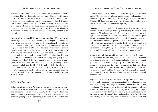*Annex II: Gender Equality Architecture and UN Reforms*

gender equality issues also needs a driving force. This is not a contradiction. The ILO does not ghettoize issues of labour. Just because UNICEF focuses on children doesn't mean that World Food Programme should not distribute food to children or that ILO cannot deal with child labour. At the same time, making it the mandate of every agency should not preclude resourcing a specific entity with a mandate to lead, catalyze and monitor the work. Every agenda needs a political driver to lead it and the gender equality agenda is no exception.

**System-wide responsibility for gender equality:** Effectiveness of such a high level women-specific entity is contingent not only on its own vision and capacity but also on the strengthened commitment (as measured through prioritization, resourcing and results) of existing agencies in the whole United Nations system toward gender equality goals. Women's lives around the world are touched by decisions ranging from small arms trade, climate control and macroeconomic policy to water and sanitation, health and education. The task is too broad and nuanced to be addressed by any one agency alone. In the case of HIV/AIDS for example, the whole UN system is mandated to address it with the support of UNAIDS (including a wellresourced global fund for HIV/AIDS) and similarly the whole system is mandated to address human rights with the support of a recently expanded OHCHR [Office of the High Commissioner for Human Rights]. So, too, for gender equality, system-wide responsibility is critical.

## **B: The Key Functions**

**Policy Development and Advocacy:** The entity should have a comprehensive mandate dedicated to the full range of women's rights and concerns, derived from CEDAW, the Beijing Platform for Action, and other relevant policies. It must be able to create and set coherent global policy for gender equality across the UN system and

advocate for necessary changes at both policy and institutional levels. While the primary change must focus on implementation and accountability for commitments that exist, gender discrimination is still embedded in many legal and policy frameworks at all levels and normative work must continue to be a priority.

**Operations:** It is critical for this entity to work at the country and regional levels on strategic thinking, constituency building and programming. To enhance its leadership role, this entity must provide high quality substantive expertise buttressed by research and practice on the gender dimensions of a range of substantive areas from macroeconomic policy and governance to violence against women and sexual and reproductive rights. It should implement programmes, facilitate innovation, share lessons learned and enable institutional learning throughout the system. This work must be done in close collaboration with women's organizations and networks.

**Monitoring and Accountability:** Along with policy development and operations, the lead entity must be able to develop a corresponding action plan and set of performance indicators that are consistently tracked. It must have the capacity to monitor and the power to ensure accountability, in the form of a mechanism that would function at all levels of the UN system. Developing partnerships with NGOs and women's rights networks at global, regional and country level is a critical part of the governance structure of this accountability mechanism.

High-level systems at the country and regional levels need to develop and implement specific accountability mechanisms, incentives for promoting work on gender equality, and take action for noncompliance. The institutional architecture at the country level must be held accountable for gender equality goals using agreed-upon benchmarks not only for the process of gender mainstreaming but for progress toward women' rights and equality goals. Incentive systems are key as well as hiring more women in shaping the way staff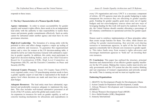responds to these issues.

## **C: The Key Characteristics of a Women-Specific Entity**

**Agency Autonomy:** In order to ensure accountability for gender equality and women's rights efforts, there needs to be an independent lead entity with the authority to take responsibility to tackle these issues and promote gender commitments effectively. Such an entity cannot be subsumed under another agency and must have its own governance structure.

**High-level Leadership:** The formation of a strong entity with the potential to drive and affect change requires a major up scaling of power, authority and resources. To guarantee this organizational stature and a voice for women at the UN decision-making table, it should be led by an Under-Secretary-General with substantive expertise in gender equality. In addition, this entity must participate in high-level decision-making bodies, such as the Chief Executive Board for Coordination (CEB), High Level Committee on Programmes (HLCP), and the Executive Committee on Peace and Security (ECPS).

**Universal Country Presence:** Every UN Country Team (UNCT), every regional centre, every UN peacekeeping mission needs to have a gender equality expert or team that is represented at the heads of agency level where decisions are made and must have an independent budget.

**Adequate Resources:** The lead entity must have substantial, regularized and predictable resources adequate to implement the mandate. This also includes well-trained substantive personnel at all levels of the UN system, and at the global and country level.

An expansion in resources for work on gender equality, as well as concrete tracking mechanisms for allocations and expenditures in every UN organization and every UNCT is a necessary component of reform. All UN agencies must also do gender budgeting to make transparent the resources they are allocating to gender equality goals. Funding for gender equality goals must come out of regular budgets and not extra-budgetary sources alone and new ways of leveraging funding for this work will need to be explored. For example, the United Nations should consider allocating a percentage of all voluntary contributions to operational activities for gender equality.

Donors need to reinforce implementation of these principles rather than create escape hatches for them. Too often, while donors are calling for gender mainstreaming, they provide cost-sharing resources to mainstream agencies, in spite of the fact that these agencies consistently fail to allocate core resources to gender equality. This takes funds away from women's rights advocates and encourages mainstream agencies to "hold out" on investing their core resources.

**IV. Conclusion:** This paper has outlined the structure, principal functions and characteristics of an effective gender equality machinery for the UN system. Making this vision a reality must involve not only governments and the UN system but also the creative thinking and vast experience of women's organizations and networks around the world. Time is running out and we must act together now.

## **Endorsing Organizations**

1. ABANTU for Development (People for Development), Ghana

2. Action Canada for Population and Development, Canada

3. African Women's Development and Communications Network (FEMNET)

- 4. African Women's Development Fund (AWDF)
- 5. Ain o Salish Kendra (ASK), Bangladesh
- 6. Amnesty International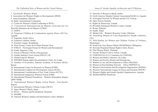7. Asia Pacific Women's Watch 8. Association for Women's Rights in Development (AWID) 9. Aurat Foundation, Pakistan 10. Baha'i International Community 11. Center for Women's Global Leadership (CWGL) 12. Concertacion Interamericana de Mujeres Activistas por los Derechos Humanos de las Mujeres (CIMA) 13. DAWN 14. Empower Children & Communities against Abuse (ECCA), Uganda 15. Engender, South Africa 16. Feminist Coalition, Serbia 17. Feminist League, Kazakhstan 18. Flora Tristan, Centro de la Mujer Peruana, Peru 19. FOKUS – Norwegian Forum for Women and Development 20. Fondo Alquimia, Chile 21. Forum of Women's NGOs of Kyrgyzstan 22. Gender Statistics Users Group (GSUG), UK 23. Global Fund for Women 24. INFORM Human rights Documentation Centre, Sri Lanka 25. Institute of Economics, Russian Academy of Sciences (RAS), Russia 26. International Center for Research on Women (ICRW) 27. International Coalition for Development Action (ICDA) 28. International Confederation of Free Trade Unions (ICFTU) 29. International Indigenous Women's Forum (FIMI) 30. International Planned Parenthood – Western Hemisphere Region (IPPF-WHR) 31. International Women's Rights Action Watch - Asia-Pacific Region 32. International Women's Tribune Center (IWTC) 33. Japan Women's Watch, Japan 34. KULU – Women and Development, Denmark 35. MADRE 36. National Women's Studies and Information Centre, Moldova

37. Network of Women in Black, Serbia 38. North America Masaba Cultural Association(NAMCA), Uganda 39. Norwegian Network for Women and the UN, Norway 40. Open Society Institute 41. Rights & Democracy, Canada 42. Riverdale Immigrant Women's Centre, Canada 43. Rozan, Pakistan 44. Saathi, Nepal 45. Shirkat Gah – Women's Resource Centre, Pakistan 46. SisterSong Women of Color Reproductive Health Collective, USA 47. SOS Hotline for Women and Children Victims of Violence, Montenegro 48. South East Asia Women Watch (SEAWWatch), Philippines 49. Stavropol Regional Human Rights Center, Russia 50. Thai Women Watch, Thailand 51. Toronto Women's Call to Action, Canada 52. UNIFEM/USA (U.S. Committee for UNIFEM) 53. Women and Media Collective, Sri Lanka 54. Women and Society, Bosnia and Herzegovina 55. Women in Law and Development in Africa (WiLDAF) 56. Women in Peacebuilding Network – Africa (WIPNET-A) 57. Women's Environment and Development Organization (WEDO) 58. Women's International League for Peace and Freedom (WILPF) 59. Women's Rights and Gender Equality Organizations, Armenia

60. WOMANKIND Worldwide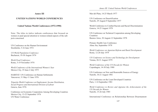## **Annex III**

## **UNITED NATIONS WORLD CONFERENCES**

## **United Nations World Conferences (1972-1990)**

Note: The titles in italics indicate conferences that focused on women or paid special attention to women-related aspects of the subjects concerned.

UN Conference on the Human Environment Stockholm, 5-16 June 1972

*UN World Population Conference* Bucharest, 19-30 August 1974

*World Food Conference* Rome, 5-19 November 1974

*World Conference of the International Women's Year* Mexico City, 19 June-2 July 1975

HABITAT: UN Conference on Human Settlements Vancouver, 31 May-11 June 1976

*Tripartite World Conference on Employment, Income Distribution, Social Progress and International Division of Labour* Geneva, June 1976

Conference on Economic Cooperation Among Developing Countries Mexico City, 13-22 September 1976 UN Water Conference

Mar del Plata, 14-25 March 1977

UN Conference on Desertification Nairobi, 29 August-9 September 1977

World Conference to Combat Racism and Racial Discrimination Geneva, 14-25 August 1978

UN Conference on Technical Cooperation among Developing **Countries** Buenos Aires, 30 August-12 September 1978

Primary Health Care Conference Alma Ata, September 1978

*World Conference on Agrarian Reform and Rural Development* Rome, 12-20 July 1979

*UN Conference on Science and Technology for Development* Vienna, 20-31 August 1979

*World Conference of the UN Decade for Women* Copenhagen, 14-30 July 1980

UN Conference on New and Renewable Sources of Energy Nairobi, 10-21 August 1981

UN Conference on the Least Developed Countries Paris, 1-14 September 1981

*World Conference to Review and Appraise the Achievements of the UN Decade for Women* Nairobi, 15-26 July 1985

International Conference on Relationship Between Disarmament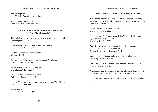and Development New York, 24 August-11 September 1987

World Summit for Children New York, 29-30 September 1990

# **United Nations World Conferences in the 1990s "The Global Agenda"**

The global women's movement made a significant impact on all the following conferences.

*UN Conference on Environment and Development* Rio de Janeiro, 3-14 June 1992

*World Conference on Human Rights* Vienna, 14-25 June 1993

*International Conference on Population and Development* Cairo, 5-13 September 1994

*World Summit for Social Development* Copenhagen, 6-12 March 1995

*Fourth World Conference on Women* Beijing, 4-15 September 1995

*Second UN Conference on Human Settlements (HABITAT II)* Istanbul, 4-15 June 1996

*World Food Summit* Rome, 13-17 November 1996 *Annex III: United Nations World Conferences*

# **United Nations Major Conferences 2000-2005**

World Summit for Social Development and Beyond: Achieving Social Development for All in a Globalized World (Copenhagen+5), Geneva, 26-30 June 2000

United Nations Millennium Summit, New York, 6-8 September 2000

United Nations Conference on the Illicit Trade in Small Arms and Light Weapons in All Its Aspects, New York, 9-20 July 2001

World Conference Against Racism, Racial Discrimination, Xenophobia and Related Intolerance, Durban, 31 August - 8 September 2001

International Conference on Financing for Development, Monterrey, 18-22 March 2002

World Summit on Sustainable Development, Johannesburg, 26 August-4 September 2002

World Summit on the Information Society, Phase I, Geneva, 10-12 December 2003; Phase II, Tunisia, 16-18 November 2005

United Nations 2005 World Summit, New York, 14-16 September 2005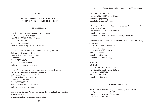## *Annex IV: Selected UN and International NGO Resources*

## **Annex IV**

## **SELECTED UNITED NATIONS AND INTERNATIONAL NGO RESOURCES**

## **United Nations**

Division for the Advancement of Women (DAW) 2 UN Plaza, DC2-12th Floor New York NY 10017, United States fax  $+1-212/963$  3463 e-mail  $\langle \text{daw@un.org} \rangle$ website (www.un.org/womenwatch/daw)

United Nations Development Fund for Women (UNIFEM) 304 East 45th Street, 15th Floor New York NY 10017, United States telephone +1-212/906 6400  $\text{fax} + 1 - 212/9066705$ e-mail  $\leq$ unifem@undp.org> website (www.unifem.undp.org)

United Nations International Research and Training Institute for the Advancement of Women (INSTRAW) Calle César Nicolás Penson 102-A Santo Domingo, Dominican Republic telephone +1-809/685 2111 fax +1-809/685 2117 e-mail <instraw.hq.sd@codetel.net.do> website (www.un-instraw.org)

Office of the Special Adviser on Gender Issues and Advancement of Women (OSAGI) Department of Economic and Social Affairs

2 UN Plaza, 12th Floor New York NY 10017, United States e-mail  $\langle$ osagi@un.org $\rangle$ website (www.un.org/osagi)

Inter-Agency Network on Women and Gender Equality (IANWGE) 2 UN Plaza, 12th Floor New York NY 10017, United States e-mail  $\langle$ ianwge@un.org $\rangle$ website (www.un.org/womenwatch/ianwge/index.html)

The United Nations Non-Governmental Liaison Service (NGLS) *In Geneva:* UN-NGLS, Palais des Nations CH-1211 Geneva 10, Switzerland telephone +41-22/917 2076 fax: +41-22/917 0432 e-mail  $\leq$ ngls@unctad.org> website (www.un-ngls.org)

*In New York:* UN-NGLS Room DC1-1106, United Nations New York NY 10017, United States telephone +1-212/963 3125  $\text{fax} + 1 - 212/9638712$ e-mail  $\langle$ ngls@un.org $\rangle$ 

#### **International NGOs**

Association of Women's Rights in Development (AWID) 215 Spadina Avenue, Suite 150 Toronto, Ontario W5T 2C7, Canada telephone +1-416/594 3773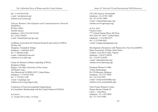$fax + 1 - 416/5940330$ e-mail  $\langle$ awid@awid.org $\rangle$ website (www.awid.org)

African Women's Development and Communications Network (FEMNET) PO Box 54562 Nariobi, Kenya telephone +254-2/741320/741301 fax +254-2/742927 e-mail <femnet@elci.gn.apc.org>

Caribbean Association for Feminist Research and Action (CAFRA) PO Box 442 Tunapuna, Trinidad & Tobago telephone +1-868/663 8670 fax +1-868/663 6482 e-mail  $\langle$ cafrainfo@wow.net $\rangle$ website (www.cafra.org)

Center for Women's Global Leadership (CWGL) Douglass College Rutgers, The State University of New Jersey 160 Ryders Lane New Brunswick NJ 08901-8555, United States telephone +1-732/932 8782 fax +1-732/932 1180 e-mail  $\langle \text{cwd} | \hat{\omega} \rangle$ website (www.cwgl.rutgers.edu)

Conference of Non-Governmental Organizations in Consultative Relationship with the United Nations (CONGO)

*In Geneva:* 11, Avenue De La Paix, 1st Floor *Annex IV: Selected UN and International NGO Resources*

CH-1202 Geneva, Switzerland telephone +41-22/301 1000 fax  $+41-22/301$  2000 e-mail <congo@ngocongo.org> website (www.ngocongo.org)

*In New York:* Church Centre 777 United Nations Plaza, 6th Floor New York NY 10017, United States telephone +1-212/986 8557 fax +1-212/986 0821 e-mail  $\langle \text{congony}(a)$ ngogongo.org $\rangle$ 

Development Alternatives with Women for a New Era (DAWN) Dawn Secretariat, 44 Ekpo Abasi Street Calabar, Cross River State, Nigeria telephone +234-87/230929 fax +234-87/236298 e-mail <info@dawnnet.org> website (www.dawnorg.org)

European Women's Lobby 18 Rue Hydraulique B-1210 Brussels, Belgium telephone +32-2/217 9020  $fax +32-2/2198451$ e-mail <ewl@womenlobby.org> website (www.womenlobby.org)

Flora Tristan Women's Centre Parque Hernan Velarde 42 Lima 1, Lima-Peru telephone +51-1/433 0694 fax  $+51-1/4339500$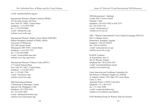e-mail  $\leq$  postmast $\omega$ flora.org.pe>

International Women's Health Coalition (IWHC) 333 Seventh Avenue, 6th Floor New York NY 10001, United States telephone +1-212/979 8500 fax +1-212/979 9009 e-mail  $\langle \text{info}(\hat{\omega}) \text{iwhc} \rangle$ website (www.iwhc.org)

International Women's Rights Action Watch (IWRAW) Hubert Humphrey Institute of Public Affairs University of Minnesota 301-19th Avenue South Minneapolis MN 55455, United States telephone +1-612/625 5557  $\text{fax} + 1 - 612/6240068$ e-mail <iwraw@hhh.umn.edu> website (www.igc.org/iwraw)

International Women's Tribune Centre (IWTC) 777 United Nations Plaza New York NY 10017, United States telephone +1-212/687 8633 fax +1-212/661 2704 e-mail  $\langle$ iwtc $\omega$ iwtc.org> website (www.iwtc.org)

ISIS International Manila 3 Marunong St./Barangay Central Quezon City, Philippines 1100 telephone +63-2/928 1956 fax  $+63-2/924$  1065 e-mail  $\leq$ admin@isiswomen.org> website (www.isiswomen.org)

ISIS Internacional—Santiago Casilla 2067 Correo Central Santiago, Chile telephone +56-2/633 4582 or 638 2219 fax  $+56-2/6383142$ e-mail <isis@reuna.cl> website (www.isis.cl)

ISIS—Women's International Cross-Cultural Exchange (WICCE) Plot 32, Bukoto Street Kamwokya, Kampala, Uganda telephone +256-41/543953 fax  $+256-41/543954$  $e$ -mail  $\langle$ isis@starcom.co.ug> website (www.isis.or.ug)

KARAT Coalition ul. Karmelicka 16m.13 00-163 Warsaw, Poland telephone/fax +48-22/636 8307 e-mail  $\leq$ secretariat $(a)$ karat.org.pl $>$ website (www.karat.org)

Latin American and Caribbean Committee for the Defence of Women's Rights (CLADEM) Jr. Estados Unidos 1295, Dpto 702, Jesus Maria Lima 11, Peru Apartado Postal 11-0470, Lima Peru telephone +51-1/463 9237 fax  $+51-1/463$  5898 e-mail <cendoc@cladem.org> website (www.infotext.org/cladem)

NGO Working Group on Women, Peace & Security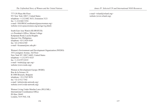*The Unfinished Story of Women and the United Nations*

777 UN Plaza 8th Floor NY New York 10017, United States telephone +1-212/682 3633, Extension 3121 fax  $+1-212/682$  5354 e-mail <NGOWGCoordinator@peacewomen.org> website (www.peacewomen.org/un/ngo/wg.html)

South East Asia Watch (SEAWATCH) c/o President's Office, Mirian College Katipunan Road, Loyola Heights Quezon City, Philippines telephone +63-2/426 0169  $\frac{1}{2}$  fax +63-2/924 6769 e-mail  $\triangle$ licuanan@mc.edu.ph>

Women's Environment and Development Organization (WEDO) 355 Lexington Avenue, 3rd Floor New York NY 10017-6603, United States telephone +1-212/973 0325  $\arctan 1-212/973$  0335 e-mail  $\leq \text{wedo@igc.}$ apc.org> website (www.wedo.org)

Women in Development Europe (WIDE) Rue de la Science 10 B-1000 Brussels, Belgium telephone +32-2/545 9070 fax +32-2/512 7342 e-mail <info@wide-network.org> website (www.wide-network.org)

Women Living Under Muslim Laws (WLUML) International Coordination Office PO Box 28445 London, N19 5NZ, UK

*Annex IV: Selected UN and International NGO Resources*

e-mail <wluml@wluml.org> website (www.wluml.org)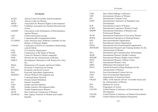#### IASC Inter-Allied Suffrage Conference IAW International Alliance of Women ICC International Criminal Court ICPD International Conference on Population and Development ICW International Council of Women ICWG International Cooperative Women's Guild IFBPW International Federation of Business and Professional Women IFUW International Federation of University Women IFWW International Federation of Working Women IGO Inter-governmental Organization ILO International Labour Organization INGO International Non-Governmental Organization INSTRAW International Research and Training Institute for the Advancement of Women ITCs Information and Communication Technologies IWHC International Women's Health Coalition IWRAW International Women's Rights Action Watch IWTC International Women's Tribune Centre IWY International Women's Year MDG Millennium Development Goal NFLS Nairobi Forward-Looking Strategies for the Advancement of Women NGLS Non-Governmental Liaison Service NGO Non-Governmental Organization OAS Organization of American States OSAGI Office of the Special Adviser on Gender Issues and the Advancement of Women PFA Platform for Action POA Programme of Action UNCED United Nations Conference on Environment and Development UNCHE United Nations Conference on Human Environment UNDP United Nations Development Programme **Acronyms** ACGD African Center for Gender and Development ACW African Center for Women AWID Association for Women's Rights in Development CAFRA Caribbean Association for Feminist Research and Action CEDAW Convention on the Elimination of Discrimination Against Women CEE Central and Eastern Europe CIS Commonwealth of Independent States CLADEM Latin American and Caribbean Committee for the Defence of Women's Rights CONGO Conference of NGOs in Consultative Relationship with ECOSOC CSO Civil Society Organization CSW Commission on the Status of Women CWGL Center for Women's Global Leadership DAW Division for the Advancement of Women DAWN Development Alternatives with Women for a New Era DESA Department of Economic and Social Affairs ECE Economic Commission for Europe ECOSOC Economic and Social Council FAO Food and Agriculture Organization FEMNET African Women's Development and Communications Network FGM Female Genital Mutilation GA General Assembly GAD Gender and Development GDI Gender-sensitive Development Index GEM Gender Empowerment Measure IACW Inter-American Commission of Women IANWGE Inter-Agency Network on Women and Gender Equality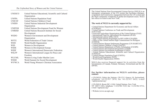#### *The Unfinished Story of Women and the United Nations*

| <b>UNESCO</b> | United Nations Educational, Scientific and Cultural |
|---------------|-----------------------------------------------------|
|               | Organization                                        |
| <b>UNFPA</b>  | United Nations Population Fund                      |
| <b>UNICEF</b> | United Nations Children's Fund                      |
| <b>UNIDO</b>  | United Nations Industrial Development               |
|               | Organization                                        |
| <b>UNIFEM</b> | United Nations Development Fund for Women           |
| <b>UNRISD</b> | United Nations Research Institute for Social        |
|               | Development                                         |
| <b>WEDO</b>   | Women's Environment and Development                 |
|               | Organization                                        |
| WFTU          | World Federation of Trade Unions                    |
| <b>WHO</b>    | World Health Organization                           |
| <b>WID</b>    | Women in Development                                |
| <b>WIDE</b>   | Women in Development Europe                         |
| <b>WIDF</b>   | Women's International Democratic Federation         |
| <b>WILFP</b>  | Women's International League for Peace and          |
|               | Freedom                                             |
| <b>WLUML</b>  | Women Living Under Muslim Laws                      |
| <b>WSSD</b>   | World Summit for Social Development                 |
| <b>WYWCA</b>  | World Young Women's Christian Association           |

The United Nations Non-Governmental Liaison Service (NGLS) is an interagency programme of the UN system that facilitates dialogue, cooperation and constructive engagement between the UN system and cooperation and constructive engagement between the UN system and the NGO community worldwide on global development issues. NGLS has offices in Geneva and New York. **The work of NGLS is currently supported by:**  • United Nations Department for Economic and Social Affairs<br>
(UN/DESA)<br>
• United Nations Conference on Trade and Development<br>
• United Nations Conference on Trade and Development<br>
• International Fund for Agricultural Deve NGLS also receives financial support for its activities from the Governments of Canada, Finland, Germany, Switzerland and the UK (DFID). **For further information on NGLS's activities, please contact:**  • UN-NGLS, Palais des Nations, CH-1211 Geneva 10, Switzerland, telephone +41-22/917 2076, fax +41-22/917 0432, e-mail <newsletence  $\frac{1}{2}$ • UN-NGLS, Room DC1-1106, United Nations, New York NY 10017, USA, telephone +1-212/963 3125, fax +1-212/963 8712, e-mail <ngls@un.org> • Website (www.un-ngls.org)